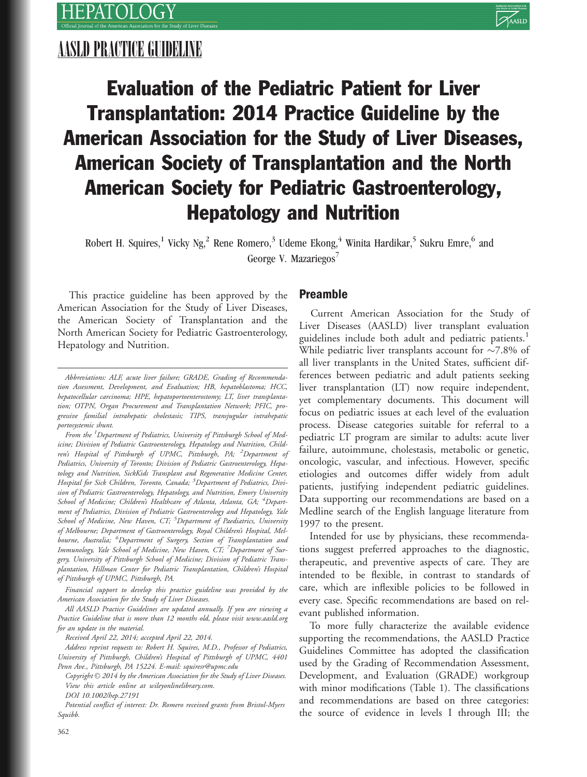# AASLD PRACTICE GUIDELINE



Evaluation of the Pediatric Patient for Liver Transplantation: 2014 Practice Guideline by the American Association for the Study of Liver Diseases, American Society of Transplantation and the North American Society for Pediatric Gastroenterology, Hepatology and Nutrition

Robert H. Squires,<sup>1</sup> Vicky Ng<sub>2</sub><sup>2</sup> Rene Romero,<sup>3</sup> Udeme Ekong,<sup>4</sup> Winita Hardikar,<sup>5</sup> Sukru Emre,<sup>6</sup> and George V. Mazariegos<sup>7</sup>

This practice guideline has been approved by the American Association for the Study of Liver Diseases, the American Society of Transplantation and the North American Society for Pediatric Gastroenterology, Hepatology and Nutrition.

From the <sup>1</sup>Department of Pediatrics, University of Pittsburgh School of Medicine; Division of Pediatric Gastroenterology, Hepatology and Nutrition, Children's Hospital of Pittsburgh of UPMC, Pittsburgh, PA; <sup>2</sup>Department of Pediatrics, University of Toronto; Division of Pediatric Gastroenterology, Hepatology and Nutrition, SickKids Transplant and Regenerative Medicine Center, Hospital for Sick Children, Toronto, Canada; <sup>3</sup>Department of Pediatrics, Division of Pediatric Gastroenterology, Hepatology, and Nutrition, Emory University School of Medicine; Children's Healthcare of Atlanta, Atlanta, GA; <sup>4</sup>Department of Pediatrics, Division of Pediatric Gastroenterology and Hepatology, Yale School of Medicine, New Haven, CT; <sup>5</sup>Department of Paediatrics, University of Melbourne; Department of Gastroenterology, Royal Children's Hospital, Melbourne, Australia; <sup>6</sup>Department of Surgery, Section of Transplantation and Immunology, Yale School of Medicine, New Haven, CT; <sup>7</sup>Department of Surgery, University of Pittsburgh School of Medicine; Division of Pediatric Transplantation, Hillman Center for Pediatric Transplantation, Children's Hospital of Pittsburgh of UPMC, Pittsburgh, PA.

Financial support to develop this practice guideline was provided by the American Association for the Study of Liver Diseases.

All AASLD Practice Guidelines are updated annually. If you are viewing a Practice Guideline that is more than 12 months old, please visit [www.aasld.org](http://www.aasld.org) for an update in the material.

Received April 22, 2014; accepted April 22, 2014.

Address reprint requests to: Robert H. Squires, M.D., Professor of Pediatrics, University of Pittsburgh, Children's Hospital of Pittsburgh of UPMC, 4401 Penn Ave., Pittsburgh, PA 15224. E-mail: squiresr@upmc.edu

Copyright  $\odot$  2014 by the American Association for the Study of Liver Diseases. View this article online at wileyonlinelibrary.com.

DOI 10.1002/hep.27191

Potential conflict of interest: Dr. Romero received grants from Bristol-Myers Squibb.

## Preamble

Current American Association for the Study of Liver Diseases (AASLD) liver transplant evaluation guidelines include both adult and pediatric patients.<sup>1</sup> While pediatric liver transplants account for  $\sim$ 7.8% of all liver transplants in the United States, sufficient differences between pediatric and adult patients seeking liver transplantation (LT) now require independent, yet complementary documents. This document will focus on pediatric issues at each level of the evaluation process. Disease categories suitable for referral to a pediatric LT program are similar to adults: acute liver failure, autoimmune, cholestasis, metabolic or genetic, oncologic, vascular, and infectious. However, specific etiologies and outcomes differ widely from adult patients, justifying independent pediatric guidelines. Data supporting our recommendations are based on a Medline search of the English language literature from 1997 to the present.

Intended for use by physicians, these recommendations suggest preferred approaches to the diagnostic, therapeutic, and preventive aspects of care. They are intended to be flexible, in contrast to standards of care, which are inflexible policies to be followed in every case. Specific recommendations are based on relevant published information.

To more fully characterize the available evidence supporting the recommendations, the AASLD Practice Guidelines Committee has adopted the classification used by the Grading of Recommendation Assessment, Development, and Evaluation (GRADE) workgroup with minor modifications (Table 1). The classifications and recommendations are based on three categories: the source of evidence in levels I through III; the

Abbreviations: ALF, acute liver failure; GRADE, Grading of Recommendation Assessment, Development, and Evaluation; HB, hepatoblastoma; HCC, hepatocellular carcinoma; HPE, hepatoportoenterostomy; LT, liver transplantation; OTPN, Organ Procurement and Transplantation Network; PFIC, progressive familial intrahepatic cholestasis; TIPS, transjugular intrahepatic portosystemic shunt.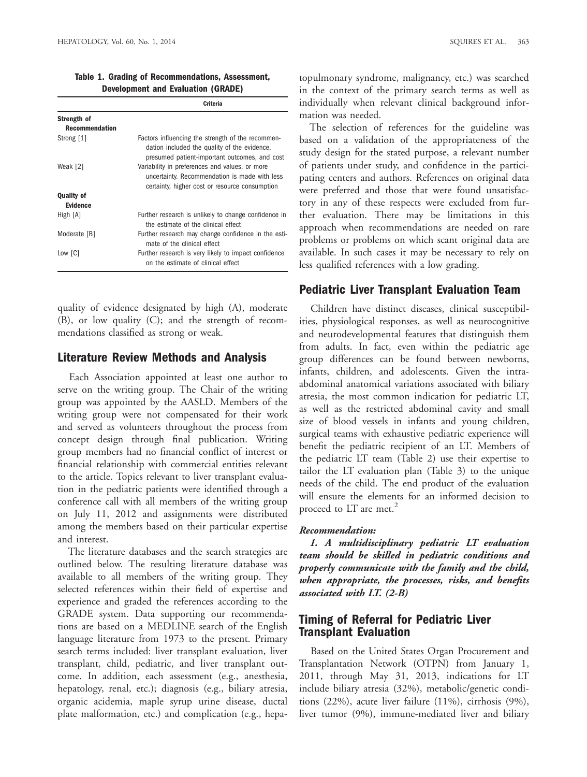Table 1. Grading of Recommendations, Assessment, Development and Evaluation (GRADE)

|                                      | Criteria                                                                                                                                           |
|--------------------------------------|----------------------------------------------------------------------------------------------------------------------------------------------------|
| Strength of<br><b>Recommendation</b> |                                                                                                                                                    |
| Strong [1]                           | Factors influencing the strength of the recommen-<br>dation included the quality of the evidence,<br>presumed patient-important outcomes, and cost |
| Weak [2]                             | Variability in preferences and values, or more<br>uncertainty. Recommendation is made with less<br>certainty, higher cost or resource consumption  |
| <b>Quality of</b><br><b>Evidence</b> |                                                                                                                                                    |
| High [A]                             | Further research is unlikely to change confidence in<br>the estimate of the clinical effect                                                        |
| Moderate [B]                         | Further research may change confidence in the esti-<br>mate of the clinical effect                                                                 |
| Low [C]                              | Further research is very likely to impact confidence<br>on the estimate of clinical effect                                                         |

quality of evidence designated by high (A), moderate (B), or low quality (C); and the strength of recommendations classified as strong or weak.

# Literature Review Methods and Analysis

Each Association appointed at least one author to serve on the writing group. The Chair of the writing group was appointed by the AASLD. Members of the writing group were not compensated for their work and served as volunteers throughout the process from concept design through final publication. Writing group members had no financial conflict of interest or financial relationship with commercial entities relevant to the article. Topics relevant to liver transplant evaluation in the pediatric patients were identified through a conference call with all members of the writing group on July 11, 2012 and assignments were distributed among the members based on their particular expertise and interest.

The literature databases and the search strategies are outlined below. The resulting literature database was available to all members of the writing group. They selected references within their field of expertise and experience and graded the references according to the GRADE system. Data supporting our recommendations are based on a MEDLINE search of the English language literature from 1973 to the present. Primary search terms included: liver transplant evaluation, liver transplant, child, pediatric, and liver transplant outcome. In addition, each assessment (e.g., anesthesia, hepatology, renal, etc.); diagnosis (e.g., biliary atresia, organic acidemia, maple syrup urine disease, ductal plate malformation, etc.) and complication (e.g., hepatopulmonary syndrome, malignancy, etc.) was searched in the context of the primary search terms as well as individually when relevant clinical background information was needed.

The selection of references for the guideline was based on a validation of the appropriateness of the study design for the stated purpose, a relevant number of patients under study, and confidence in the participating centers and authors. References on original data were preferred and those that were found unsatisfactory in any of these respects were excluded from further evaluation. There may be limitations in this approach when recommendations are needed on rare problems or problems on which scant original data are available. In such cases it may be necessary to rely on less qualified references with a low grading.

# Pediatric Liver Transplant Evaluation Team

Children have distinct diseases, clinical susceptibilities, physiological responses, as well as neurocognitive and neurodevelopmental features that distinguish them from adults. In fact, even within the pediatric age group differences can be found between newborns, infants, children, and adolescents. Given the intraabdominal anatomical variations associated with biliary atresia, the most common indication for pediatric LT, as well as the restricted abdominal cavity and small size of blood vessels in infants and young children, surgical teams with exhaustive pediatric experience will benefit the pediatric recipient of an LT. Members of the pediatric LT team (Table 2) use their expertise to tailor the LT evaluation plan (Table 3) to the unique needs of the child. The end product of the evaluation will ensure the elements for an informed decision to proceed to LT are met.<sup>2</sup>

#### Recommendation:

1. A multidisciplinary pediatric LT evaluation team should be skilled in pediatric conditions and properly communicate with the family and the child, when appropriate, the processes, risks, and benefits associated with LT. (2-B)

# Timing of Referral for Pediatric Liver Transplant Evaluation

Based on the United States Organ Procurement and Transplantation Network (OTPN) from January 1, 2011, through May 31, 2013, indications for LT include biliary atresia (32%), metabolic/genetic conditions (22%), acute liver failure (11%), cirrhosis (9%), liver tumor (9%), immune-mediated liver and biliary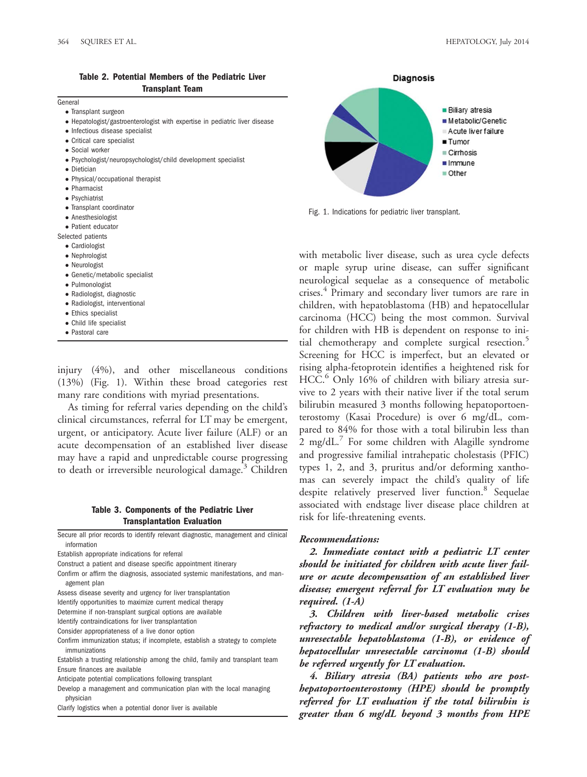#### Table 2. Potential Members of the Pediatric Liver Transplant Team

| ٠<br>۰ı۰<br>≂<br>×<br>٠ |  |
|-------------------------|--|
|-------------------------|--|

- Transplant surgeon
- Hepatologist/gastroenterologist with expertise in pediatric liver disease
- Infectious disease specialist
- Critical care specialist
- Social worker
- Psychologist/neuropsychologist/child development specialist
- Dietician
- Physical/occupational therapist
- Pharmacist
- Psychiatrist
- Transplant coordinator
- Anesthesiologist
- Patient educator
- Selected patients
	- Cardiologist
	- Nephrologist
	- Neurologist
	- Genetic/metabolic specialist
	- Pulmonologist
	- Radiologist, diagnostic
	- Radiologist, interventional
	- **•** Ethics specialist
	- Child life specialist
	- Pastoral care

injury (4%), and other miscellaneous conditions (13%) (Fig. 1). Within these broad categories rest many rare conditions with myriad presentations.

As timing for referral varies depending on the child's clinical circumstances, referral for LT may be emergent, urgent, or anticipatory. Acute liver failure (ALF) or an acute decompensation of an established liver disease may have a rapid and unpredictable course progressing to death or irreversible neurological damage.<sup>3</sup> Children

#### Table 3. Components of the Pediatric Liver Transplantation Evaluation

| Secure all prior records to identify relevant diagnostic, management and clinical<br>information |
|--------------------------------------------------------------------------------------------------|
| Establish appropriate indications for referral                                                   |
| Construct a patient and disease specific appointment itinerary                                   |
| Confirm or affirm the diagnosis, associated systemic manifestations, and man-<br>agement plan    |
| Assess disease severity and urgency for liver transplantation                                    |
| Identify opportunities to maximize current medical therapy                                       |
| Determine if non-transplant surgical options are available                                       |
| Identify contraindications for liver transplantation                                             |
| Consider appropriateness of a live donor option                                                  |
| Confirm immunization status; if incomplete, establish a strategy to complete<br>immunizations    |
| Establish a trusting relationship among the child, family and transplant team                    |
| Ensure finances are available                                                                    |
| Anticipate potential complications following transplant                                          |
| Develop a management and communication plan with the local managing<br>physician                 |
| Clarify logistics when a potential donor liver is available                                      |
|                                                                                                  |



Fig. 1. Indications for pediatric liver transplant.

with metabolic liver disease, such as urea cycle defects or maple syrup urine disease, can suffer significant neurological sequelae as a consequence of metabolic crises.<sup>4</sup> Primary and secondary liver tumors are rare in children, with hepatoblastoma (HB) and hepatocellular carcinoma (HCC) being the most common. Survival for children with HB is dependent on response to initial chemotherapy and complete surgical resection.<sup>5</sup> Screening for HCC is imperfect, but an elevated or rising alpha-fetoprotein identifies a heightened risk for HCC.<sup>6</sup> Only 16% of children with biliary atresia survive to 2 years with their native liver if the total serum bilirubin measured 3 months following hepatoportoenterostomy (Kasai Procedure) is over 6 mg/dL, compared to 84% for those with a total bilirubin less than 2 mg/dL. $^7$  For some children with Alagille syndrome and progressive familial intrahepatic cholestasis (PFIC) types 1, 2, and 3, pruritus and/or deforming xanthomas can severely impact the child's quality of life despite relatively preserved liver function.<sup>8</sup> Sequelae associated with endstage liver disease place children at risk for life-threatening events.

#### Recommendations:

2. Immediate contact with a pediatric LT center should be initiated for children with acute liver failure or acute decompensation of an established liver disease; emergent referral for LT evaluation may be required. (1-A)

3. Children with liver-based metabolic crises refractory to medical and/or surgical therapy (1-B), unresectable hepatoblastoma (1-B), or evidence of hepatocellular unresectable carcinoma (1-B) should be referred urgently for LT evaluation.

4. Biliary atresia (BA) patients who are posthepatoportoenterostomy (HPE) should be promptly referred for LT evaluation if the total bilirubin is greater than 6 mg/dL beyond 3 months from HPE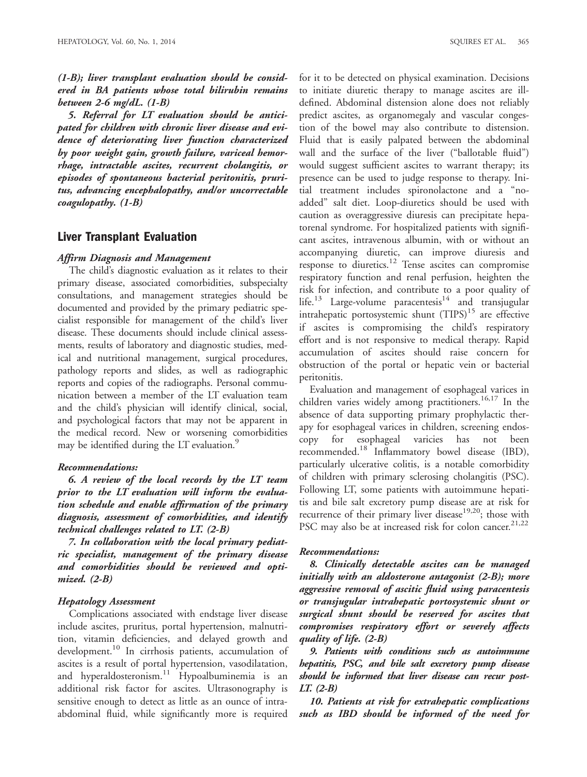(1-B); liver transplant evaluation should be considered in BA patients whose total bilirubin remains between 2-6 mg/dL. (1-B)

5. Referral for LT evaluation should be anticipated for children with chronic liver disease and evidence of deteriorating liver function characterized by poor weight gain, growth failure, variceal hemorrhage, intractable ascites, recurrent cholangitis, or episodes of spontaneous bacterial peritonitis, pruritus, advancing encephalopathy, and/or uncorrectable coagulopathy. (1-B)

# Liver Transplant Evaluation

#### Affirm Diagnosis and Management

The child's diagnostic evaluation as it relates to their primary disease, associated comorbidities, subspecialty consultations, and management strategies should be documented and provided by the primary pediatric specialist responsible for management of the child's liver disease. These documents should include clinical assessments, results of laboratory and diagnostic studies, medical and nutritional management, surgical procedures, pathology reports and slides, as well as radiographic reports and copies of the radiographs. Personal communication between a member of the LT evaluation team and the child's physician will identify clinical, social, and psychological factors that may not be apparent in the medical record. New or worsening comorbidities may be identified during the LT evaluation.<sup>9</sup>

## Recommendations:

6. A review of the local records by the LT team prior to the LT evaluation will inform the evaluation schedule and enable affirmation of the primary diagnosis, assessment of comorbidities, and identify technical challenges related to LT. (2-B)

7. In collaboration with the local primary pediatric specialist, management of the primary disease and comorbidities should be reviewed and optimized. (2-B)

## Hepatology Assessment

Complications associated with endstage liver disease include ascites, pruritus, portal hypertension, malnutrition, vitamin deficiencies, and delayed growth and development.<sup>10</sup> In cirrhosis patients, accumulation of ascites is a result of portal hypertension, vasodilatation, and hyperaldosteronism.11 Hypoalbuminemia is an additional risk factor for ascites. Ultrasonography is sensitive enough to detect as little as an ounce of intraabdominal fluid, while significantly more is required

for it to be detected on physical examination. Decisions to initiate diuretic therapy to manage ascites are illdefined. Abdominal distension alone does not reliably predict ascites, as organomegaly and vascular congestion of the bowel may also contribute to distension. Fluid that is easily palpated between the abdominal wall and the surface of the liver ("ballotable fluid") would suggest sufficient ascites to warrant therapy; its presence can be used to judge response to therapy. Initial treatment includes spironolactone and a "noadded" salt diet. Loop-diuretics should be used with caution as overaggressive diuresis can precipitate hepatorenal syndrome. For hospitalized patients with significant ascites, intravenous albumin, with or without an accompanying diuretic, can improve diuresis and response to diuretics.<sup>12</sup> Tense ascites can compromise respiratory function and renal perfusion, heighten the risk for infection, and contribute to a poor quality of life.<sup>13</sup> Large-volume paracentesis<sup>14</sup> and transjugular intrahepatic portosystemic shunt  $(TIPS)^{15}$  are effective if ascites is compromising the child's respiratory effort and is not responsive to medical therapy. Rapid accumulation of ascites should raise concern for obstruction of the portal or hepatic vein or bacterial peritonitis.

Evaluation and management of esophageal varices in children varies widely among practitioners.16,17 In the absence of data supporting primary prophylactic therapy for esophageal varices in children, screening endoscopy for esophageal varicies has not been recommended.18 Inflammatory bowel disease (IBD), particularly ulcerative colitis, is a notable comorbidity of children with primary sclerosing cholangitis (PSC). Following LT, some patients with autoimmune hepatitis and bile salt excretory pump disease are at risk for recurrence of their primary liver disease<sup>19,20</sup>; those with PSC may also be at increased risk for colon cancer.<sup>21,22</sup>

#### Recommendations:

8. Clinically detectable ascites can be managed initially with an aldosterone antagonist (2-B); more aggressive removal of ascitic fluid using paracentesis or transjugular intrahepatic portosystemic shunt or surgical shunt should be reserved for ascites that compromises respiratory effort or severely affects quality of life. (2-B)

9. Patients with conditions such as autoimmune hepatitis, PSC, and bile salt excretory pump disease should be informed that liver disease can recur post-LT. (2-B)

10. Patients at risk for extrahepatic complications such as IBD should be informed of the need for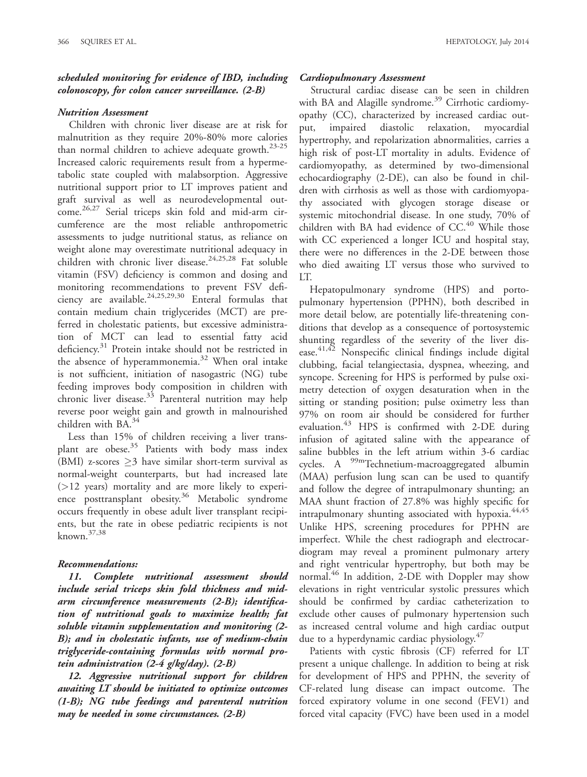# scheduled monitoring for evidence of IBD, including colonoscopy, for colon cancer surveillance. (2-B)

## Nutrition Assessment

Children with chronic liver disease are at risk for malnutrition as they require 20%-80% more calories than normal children to achieve adequate growth. $23-25$ Increased caloric requirements result from a hypermetabolic state coupled with malabsorption. Aggressive nutritional support prior to LT improves patient and graft survival as well as neurodevelopmental outcome.26,27 Serial triceps skin fold and mid-arm circumference are the most reliable anthropometric assessments to judge nutritional status, as reliance on weight alone may overestimate nutritional adequacy in children with chronic liver disease.<sup>24,25,28</sup> Fat soluble vitamin (FSV) deficiency is common and dosing and monitoring recommendations to prevent FSV deficiency are available.24,25,29,30 Enteral formulas that contain medium chain triglycerides (MCT) are preferred in cholestatic patients, but excessive administration of MCT can lead to essential fatty acid deficiency.<sup>31</sup> Protein intake should not be restricted in the absence of hyperammonemia.<sup>32</sup> When oral intake is not sufficient, initiation of nasogastric (NG) tube feeding improves body composition in children with chronic liver disease.<sup>33</sup> Parenteral nutrition may help reverse poor weight gain and growth in malnourished children with BA.<sup>34</sup>

Less than 15% of children receiving a liver transplant are obese.<sup>35</sup> Patients with body mass index (BMI) z-scores  $\geq$ 3 have similar short-term survival as normal-weight counterparts, but had increased late (>12 years) mortality and are more likely to experience posttransplant obesity.<sup>36</sup> Metabolic syndrome occurs frequently in obese adult liver transplant recipients, but the rate in obese pediatric recipients is not known. $37,38$ 

## Recommendations:

11. Complete nutritional assessment should include serial triceps skin fold thickness and midarm circumference measurements (2-B); identification of nutritional goals to maximize health; fat soluble vitamin supplementation and monitoring (2- B); and in cholestatic infants, use of medium-chain triglyceride-containing formulas with normal protein administration  $(2-4)$  g/kg/day).  $(2-B)$ 

12. Aggressive nutritional support for children awaiting LT should be initiated to optimize outcomes (1-B); NG tube feedings and parenteral nutrition may be needed in some circumstances. (2-B)

#### Cardiopulmonary Assessment

Structural cardiac disease can be seen in children with BA and Alagille syndrome.<sup>39</sup> Cirrhotic cardiomyopathy (CC), characterized by increased cardiac output, impaired diastolic relaxation, myocardial hypertrophy, and repolarization abnormalities, carries a high risk of post-LT mortality in adults. Evidence of cardiomyopathy, as determined by two-dimensional echocardiography (2-DE), can also be found in children with cirrhosis as well as those with cardiomyopathy associated with glycogen storage disease or systemic mitochondrial disease. In one study, 70% of children with BA had evidence of CC.<sup>40</sup> While those with CC experienced a longer ICU and hospital stay, there were no differences in the 2-DE between those who died awaiting LT versus those who survived to LT.

Hepatopulmonary syndrome (HPS) and portopulmonary hypertension (PPHN), both described in more detail below, are potentially life-threatening conditions that develop as a consequence of portosystemic shunting regardless of the severity of the liver disease. $41,42$  Nonspecific clinical findings include digital clubbing, facial telangiectasia, dyspnea, wheezing, and syncope. Screening for HPS is performed by pulse oximetry detection of oxygen desaturation when in the sitting or standing position; pulse oximetry less than 97% on room air should be considered for further evaluation. $43$  HPS is confirmed with 2-DE during infusion of agitated saline with the appearance of saline bubbles in the left atrium within 3-6 cardiac cycles. A <sup>99m</sup>Technetium-macroaggregated albumin (MAA) perfusion lung scan can be used to quantify and follow the degree of intrapulmonary shunting; an MAA shunt fraction of 27.8% was highly specific for intrapulmonary shunting associated with hypoxia.<sup>44,45</sup> Unlike HPS, screening procedures for PPHN are imperfect. While the chest radiograph and electrocardiogram may reveal a prominent pulmonary artery and right ventricular hypertrophy, but both may be normal.<sup>46</sup> In addition, 2-DE with Doppler may show elevations in right ventricular systolic pressures which should be confirmed by cardiac catheterization to exclude other causes of pulmonary hypertension such as increased central volume and high cardiac output due to a hyperdynamic cardiac physiology.<sup>47</sup>

Patients with cystic fibrosis (CF) referred for LT present a unique challenge. In addition to being at risk for development of HPS and PPHN, the severity of CF-related lung disease can impact outcome. The forced expiratory volume in one second (FEV1) and forced vital capacity (FVC) have been used in a model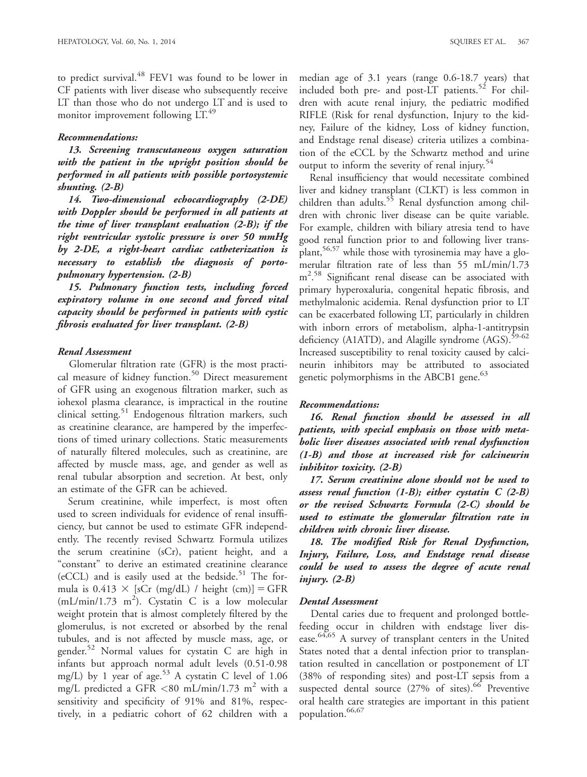to predict survival.<sup>48</sup> FEV1 was found to be lower in CF patients with liver disease who subsequently receive LT than those who do not undergo LT and is used to monitor improvement following LT.<sup>49</sup>

#### Recommendations:

13. Screening transcutaneous oxygen saturation with the patient in the upright position should be performed in all patients with possible portosystemic shunting. (2-B)

14. Two-dimensional echocardiography (2-DE) with Doppler should be performed in all patients at the time of liver transplant evaluation (2-B); if the right ventricular systolic pressure is over 50 mmHg by 2-DE, a right-heart cardiac catheterization is necessary to establish the diagnosis of portopulmonary hypertension. (2-B)

15. Pulmonary function tests, including forced expiratory volume in one second and forced vital capacity should be performed in patients with cystic fibrosis evaluated for liver transplant. (2-B)

#### Renal Assessment

Glomerular filtration rate (GFR) is the most practical measure of kidney function.<sup>50</sup> Direct measurement of GFR using an exogenous filtration marker, such as iohexol plasma clearance, is impractical in the routine clinical setting.<sup>51</sup> Endogenous filtration markers, such as creatinine clearance, are hampered by the imperfections of timed urinary collections. Static measurements of naturally filtered molecules, such as creatinine, are affected by muscle mass, age, and gender as well as renal tubular absorption and secretion. At best, only an estimate of the GFR can be achieved.

Serum creatinine, while imperfect, is most often used to screen individuals for evidence of renal insufficiency, but cannot be used to estimate GFR independently. The recently revised Schwartz Formula utilizes the serum creatinine (sCr), patient height, and a "constant" to derive an estimated creatinine clearance (eCCL) and is easily used at the bedside.<sup>51</sup> The formula is  $0.413 \times$  [sCr (mg/dL) / height (cm)] = GFR (mL/min/1.73 m<sup>2</sup>). Cystatin C is a low molecular weight protein that is almost completely filtered by the glomerulus, is not excreted or absorbed by the renal tubules, and is not affected by muscle mass, age, or gender.<sup>52</sup> Normal values for cystatin C are high in infants but approach normal adult levels (0.51-0.98 mg/L) by 1 year of age.<sup>53</sup> A cystatin C level of  $1.06$ mg/L predicted a GFR  $\langle 80 \text{ mL/min}/1.73 \text{ m}^2 \text{ with a}$ sensitivity and specificity of 91% and 81%, respectively, in a pediatric cohort of 62 children with a median age of 3.1 years (range 0.6-18.7 years) that included both pre- and post-LT patients.<sup>52</sup> For children with acute renal injury, the pediatric modified RIFLE (Risk for renal dysfunction, Injury to the kidney, Failure of the kidney, Loss of kidney function, and Endstage renal disease) criteria utilizes a combination of the eCCL by the Schwartz method and urine output to inform the severity of renal injury. $54$ 

Renal insufficiency that would necessitate combined liver and kidney transplant (CLKT) is less common in children than adults.<sup>55</sup> Renal dysfunction among children with chronic liver disease can be quite variable. For example, children with biliary atresia tend to have good renal function prior to and following liver transplant,56,57 while those with tyrosinemia may have a glomerular filtration rate of less than 55 mL/min/1.73 m<sup>2</sup>.<sup>58</sup> Significant renal disease can be associated with primary hyperoxaluria, congenital hepatic fibrosis, and methylmalonic acidemia. Renal dysfunction prior to LT can be exacerbated following LT, particularly in children with inborn errors of metabolism, alpha-1-antitrypsin deficiency (A1ATD), and Alagille syndrome (AGS).<sup>59-62</sup> Increased susceptibility to renal toxicity caused by calcineurin inhibitors may be attributed to associated genetic polymorphisms in the ABCB1 gene.<sup>63</sup>

#### Recommendations:

16. Renal function should be assessed in all patients, with special emphasis on those with metabolic liver diseases associated with renal dysfunction (1-B) and those at increased risk for calcineurin inhibitor toxicity. (2-B)

17. Serum creatinine alone should not be used to assess renal function (1-B); either cystatin C (2-B) or the revised Schwartz Formula (2-C) should be used to estimate the glomerular filtration rate in children with chronic liver disease.

18. The modified Risk for Renal Dysfunction, Injury, Failure, Loss, and Endstage renal disease could be used to assess the degree of acute renal injury. (2-B)

## Dental Assessment

Dental caries due to frequent and prolonged bottlefeeding occur in children with endstage liver disease.<sup>64,65</sup> A survey of transplant centers in the United States noted that a dental infection prior to transplantation resulted in cancellation or postponement of LT (38% of responding sites) and post-LT sepsis from a suspected dental source  $(27\% \text{ of sites})$ .<sup>66</sup> Preventive oral health care strategies are important in this patient population.<sup>66,67</sup>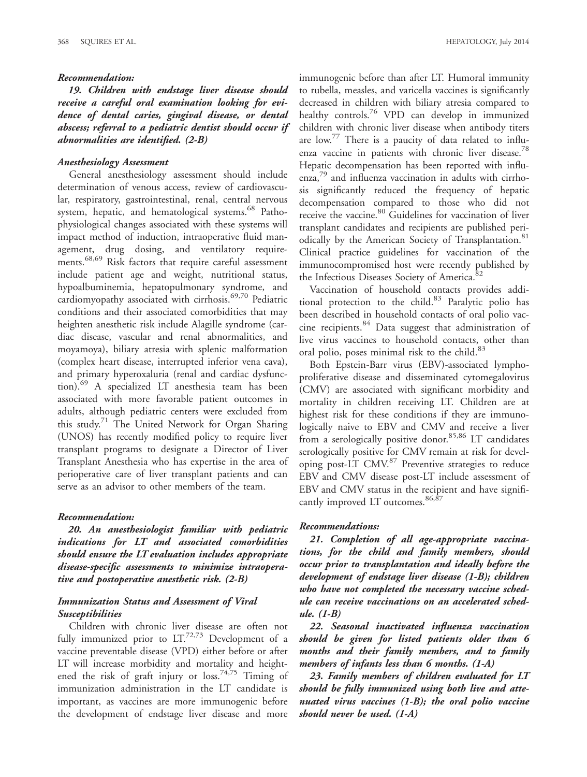#### Recommendation:

19. Children with endstage liver disease should receive a careful oral examination looking for evidence of dental caries, gingival disease, or dental abscess; referral to a pediatric dentist should occur if abnormalities are identified. (2-B)

## Anesthesiology Assessment

General anesthesiology assessment should include determination of venous access, review of cardiovascular, respiratory, gastrointestinal, renal, central nervous system, hepatic, and hematological systems.<sup>68</sup> Pathophysiological changes associated with these systems will impact method of induction, intraoperative fluid management, drug dosing, and ventilatory requirements.<sup>68,69</sup> Risk factors that require careful assessment include patient age and weight, nutritional status, hypoalbuminemia, hepatopulmonary syndrome, and cardiomyopathy associated with cirrhosis.<sup>69,70</sup> Pediatric conditions and their associated comorbidities that may heighten anesthetic risk include Alagille syndrome (cardiac disease, vascular and renal abnormalities, and moyamoya), biliary atresia with splenic malformation (complex heart disease, interrupted inferior vena cava), and primary hyperoxaluria (renal and cardiac dysfunction).<sup>69</sup> A specialized LT anesthesia team has been associated with more favorable patient outcomes in adults, although pediatric centers were excluded from this study.<sup>71</sup> The United Network for Organ Sharing (UNOS) has recently modified policy to require liver transplant programs to designate a Director of Liver Transplant Anesthesia who has expertise in the area of perioperative care of liver transplant patients and can serve as an advisor to other members of the team.

#### Recommendation:

20. An anesthesiologist familiar with pediatric indications for LT and associated comorbidities should ensure the LT evaluation includes appropriate disease-specific assessments to minimize intraoperative and postoperative anesthetic risk. (2-B)

## Immunization Status and Assessment of Viral Susceptibilities

Children with chronic liver disease are often not fully immunized prior to  $LT^{72,73}$  Development of a vaccine preventable disease (VPD) either before or after LT will increase morbidity and mortality and heightened the risk of graft injury or loss.74,75 Timing of immunization administration in the LT candidate is important, as vaccines are more immunogenic before the development of endstage liver disease and more

immunogenic before than after LT. Humoral immunity to rubella, measles, and varicella vaccines is significantly decreased in children with biliary atresia compared to healthy controls.<sup>76</sup> VPD can develop in immunized children with chronic liver disease when antibody titers are low.<sup>77</sup> There is a paucity of data related to influenza vaccine in patients with chronic liver disease.<sup>78</sup> Hepatic decompensation has been reported with influ $enza<sub>1</sub><sup>79</sup>$  and influenza vaccination in adults with cirrhosis significantly reduced the frequency of hepatic decompensation compared to those who did not receive the vaccine.<sup>80</sup> Guidelines for vaccination of liver transplant candidates and recipients are published periodically by the American Society of Transplantation.<sup>81</sup> Clinical practice guidelines for vaccination of the immunocompromised host were recently published by the Infectious Diseases Society of America.<sup>82</sup>

Vaccination of household contacts provides additional protection to the child.<sup>83</sup> Paralytic polio has been described in household contacts of oral polio vaccine recipients. $84$  Data suggest that administration of live virus vaccines to household contacts, other than oral polio, poses minimal risk to the child.<sup>85</sup>

Both Epstein-Barr virus (EBV)-associated lymphoproliferative disease and disseminated cytomegalovirus (CMV) are associated with significant morbidity and mortality in children receiving LT. Children are at highest risk for these conditions if they are immunologically naive to EBV and CMV and receive a liver from a serologically positive donor.<sup>85,86</sup> LT candidates serologically positive for CMV remain at risk for developing post-LT CMV.<sup>87</sup> Preventive strategies to reduce EBV and CMV disease post-LT include assessment of EBV and CMV status in the recipient and have significantly improved LT outcomes.<sup>86,87</sup>

#### Recommendations:

21. Completion of all age-appropriate vaccinations, for the child and family members, should occur prior to transplantation and ideally before the development of endstage liver disease (1-B); children who have not completed the necessary vaccine schedule can receive vaccinations on an accelerated schedule. (1-B)

22. Seasonal inactivated influenza vaccination should be given for listed patients older than 6 months and their family members, and to family members of infants less than 6 months. (1-A)

23. Family members of children evaluated for LT should be fully immunized using both live and attenuated virus vaccines (1-B); the oral polio vaccine should never be used. (1-A)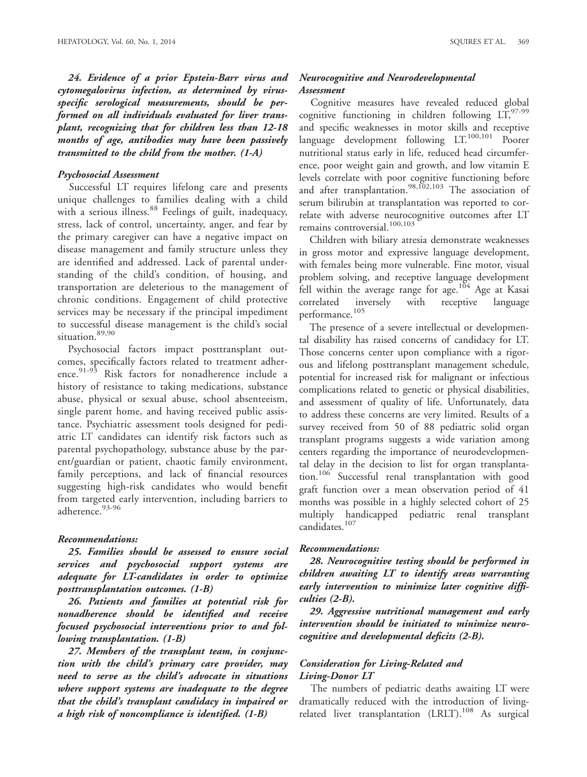24. Evidence of a prior Epstein-Barr virus and cytomegalovirus infection, as determined by virusspecific serological measurements, should be performed on all individuals evaluated for liver transplant, recognizing that for children less than 12-18 months of age, antibodies may have been passively transmitted to the child from the mother. (1-A)

# Psychosocial Assessment

Successful LT requires lifelong care and presents unique challenges to families dealing with a child with a serious illness.<sup>88</sup> Feelings of guilt, inadequacy, stress, lack of control, uncertainty, anger, and fear by the primary caregiver can have a negative impact on disease management and family structure unless they are identified and addressed. Lack of parental understanding of the child's condition, of housing, and transportation are deleterious to the management of chronic conditions. Engagement of child protective services may be necessary if the principal impediment to successful disease management is the child's social situation.<sup>89,90</sup>

Psychosocial factors impact posttransplant outcomes, specifically factors related to treatment adherence.<sup>91-93</sup> Risk factors for nonadherence include a history of resistance to taking medications, substance abuse, physical or sexual abuse, school absenteeism, single parent home, and having received public assistance. Psychiatric assessment tools designed for pediatric LT candidates can identify risk factors such as parental psychopathology, substance abuse by the parent/guardian or patient, chaotic family environment, family perceptions, and lack of financial resources suggesting high-risk candidates who would benefit from targeted early intervention, including barriers to adherence.93-96

## Recommendations:

25. Families should be assessed to ensure social services and psychosocial support systems are adequate for LT-candidates in order to optimize posttransplantation outcomes. (1-B)

26. Patients and families at potential risk for nonadherence should be identified and receive focused psychosocial interventions prior to and following transplantation. (1-B)

27. Members of the transplant team, in conjunction with the child's primary care provider, may need to serve as the child's advocate in situations where support systems are inadequate to the degree that the child's transplant candidacy in impaired or a high risk of noncompliance is identified. (1-B)

# Neurocognitive and Neurodevelopmental Assessment

Cognitive measures have revealed reduced global cognitive functioning in children following  $LT$ ,  $97-99$ and specific weaknesses in motor skills and receptive language development following  $LT^{100,101}$  Poorer nutritional status early in life, reduced head circumference, poor weight gain and growth, and low vitamin E levels correlate with poor cognitive functioning before and after transplantation.<sup>98,102,103</sup> The association of serum bilirubin at transplantation was reported to correlate with adverse neurocognitive outcomes after LT remains controversial.<sup>100,103</sup>

Children with biliary atresia demonstrate weaknesses in gross motor and expressive language development, with females being more vulnerable. Fine motor, visual problem solving, and receptive language development fell within the average range for age.<sup>104</sup> Age at Kasai correlated inversely with receptive language performance.<sup>105</sup>

The presence of a severe intellectual or developmental disability has raised concerns of candidacy for LT. Those concerns center upon compliance with a rigorous and lifelong posttransplant management schedule, potential for increased risk for malignant or infectious complications related to genetic or physical disabilities, and assessment of quality of life. Unfortunately, data to address these concerns are very limited. Results of a survey received from 50 of 88 pediatric solid organ transplant programs suggests a wide variation among centers regarding the importance of neurodevelopmental delay in the decision to list for organ transplantation.<sup>106</sup> Successful renal transplantation with good graft function over a mean observation period of 41 months was possible in a highly selected cohort of 25 multiply handicapped pediatric renal transplant candidates.<sup>107</sup>

#### Recommendations:

28. Neurocognitive testing should be performed in children awaiting LT to identify areas warranting early intervention to minimize later cognitive difficulties (2-B).

29. Aggressive nutritional management and early intervention should be initiated to minimize neurocognitive and developmental deficits (2-B).

# Consideration for Living-Related and Living-Donor LT

The numbers of pediatric deaths awaiting LT were dramatically reduced with the introduction of livingrelated liver transplantation  $(LRLT).^{108}$  As surgical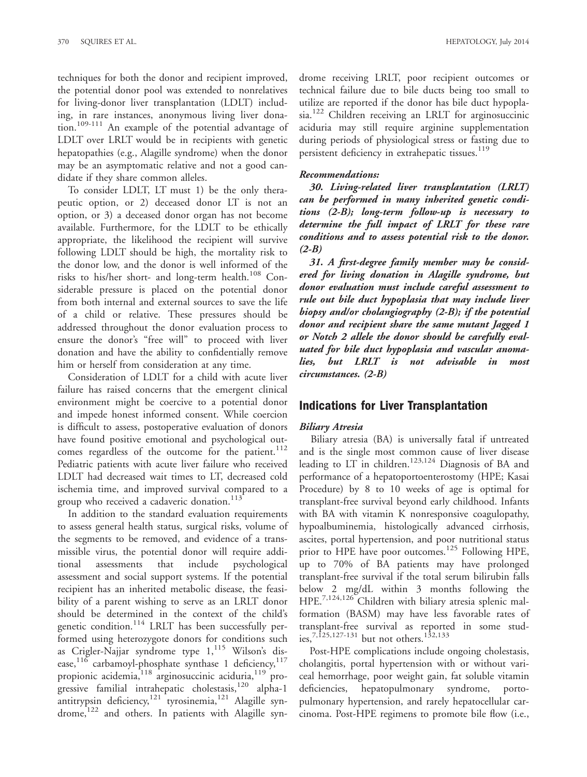370 SQUIRES ET AL. HEPATOLOGY, July 2014

techniques for both the donor and recipient improved, the potential donor pool was extended to nonrelatives for living-donor liver transplantation (LDLT) including, in rare instances, anonymous living liver donation.109-111 An example of the potential advantage of LDLT over LRLT would be in recipients with genetic hepatopathies (e.g., Alagille syndrome) when the donor may be an asymptomatic relative and not a good candidate if they share common alleles.

To consider LDLT, LT must 1) be the only therapeutic option, or 2) deceased donor LT is not an option, or 3) a deceased donor organ has not become available. Furthermore, for the LDLT to be ethically appropriate, the likelihood the recipient will survive following LDLT should be high, the mortality risk to the donor low, and the donor is well informed of the risks to his/her short- and long-term health.<sup>108</sup> Considerable pressure is placed on the potential donor from both internal and external sources to save the life of a child or relative. These pressures should be addressed throughout the donor evaluation process to ensure the donor's "free will" to proceed with liver donation and have the ability to confidentially remove him or herself from consideration at any time.

Consideration of LDLT for a child with acute liver failure has raised concerns that the emergent clinical environment might be coercive to a potential donor and impede honest informed consent. While coercion is difficult to assess, postoperative evaluation of donors have found positive emotional and psychological outcomes regardless of the outcome for the patient.<sup>112</sup> Pediatric patients with acute liver failure who received LDLT had decreased wait times to LT, decreased cold ischemia time, and improved survival compared to a group who received a cadaveric donation.<sup>113</sup>

In addition to the standard evaluation requirements to assess general health status, surgical risks, volume of the segments to be removed, and evidence of a transmissible virus, the potential donor will require additional assessments that include psychological assessment and social support systems. If the potential recipient has an inherited metabolic disease, the feasibility of a parent wishing to serve as an LRLT donor should be determined in the context of the child's genetic condition.<sup>114</sup> LRLT has been successfully performed using heterozygote donors for conditions such as Crigler-Najjar syndrome type  $1,^{115}$  Wilson's disease, <sup>116</sup> carbamoyl-phosphate synthase 1 deficiency, <sup>117</sup> propionic acidemia,<sup>118</sup> arginosuccinic aciduria,<sup>119</sup> progressive familial intrahepatic cholestasis,<sup>120</sup> alpha-1 antitrypsin deficiency,<sup>121</sup> tyrosinemia,<sup>121</sup> Alagille syndrome, $122$  and others. In patients with Alagille syndrome receiving LRLT, poor recipient outcomes or technical failure due to bile ducts being too small to utilize are reported if the donor has bile duct hypoplasia.<sup>122</sup> Children receiving an LRLT for arginosuccinic aciduria may still require arginine supplementation during periods of physiological stress or fasting due to persistent deficiency in extrahepatic tissues.<sup>119</sup>

## Recommendations:

30. Living-related liver transplantation (LRLT) can be performed in many inherited genetic conditions (2-B); long-term follow-up is necessary to determine the full impact of LRLT for these rare conditions and to assess potential risk to the donor.  $(2-B)$ 

31. A first-degree family member may be considered for living donation in Alagille syndrome, but donor evaluation must include careful assessment to rule out bile duct hypoplasia that may include liver biopsy and/or cholangiography (2-B); if the potential donor and recipient share the same mutant Jagged 1 or Notch 2 allele the donor should be carefully evaluated for bile duct hypoplasia and vascular anomalies, but LRLT is not advisable in most circumstances. (2-B)

# Indications for Liver Transplantation

## Biliary Atresia

Biliary atresia (BA) is universally fatal if untreated and is the single most common cause of liver disease leading to LT in children.<sup>123,124</sup> Diagnosis of BA and performance of a hepatoportoenterostomy (HPE; Kasai Procedure) by 8 to 10 weeks of age is optimal for transplant-free survival beyond early childhood. Infants with BA with vitamin K nonresponsive coagulopathy, hypoalbuminemia, histologically advanced cirrhosis, ascites, portal hypertension, and poor nutritional status prior to HPE have poor outcomes.<sup>125</sup> Following HPE, up to 70% of BA patients may have prolonged transplant-free survival if the total serum bilirubin falls below 2 mg/dL within 3 months following the HPE.<sup>7,124,126</sup> Children with biliary atresia splenic malformation (BASM) may have less favorable rates of transplant-free survival as reported in some studies,<sup>7,125,127-131</sup> but not others.<sup>132,133</sup>

Post-HPE complications include ongoing cholestasis, cholangitis, portal hypertension with or without variceal hemorrhage, poor weight gain, fat soluble vitamin deficiencies, hepatopulmonary syndrome, portopulmonary hypertension, and rarely hepatocellular carcinoma. Post-HPE regimens to promote bile flow (i.e.,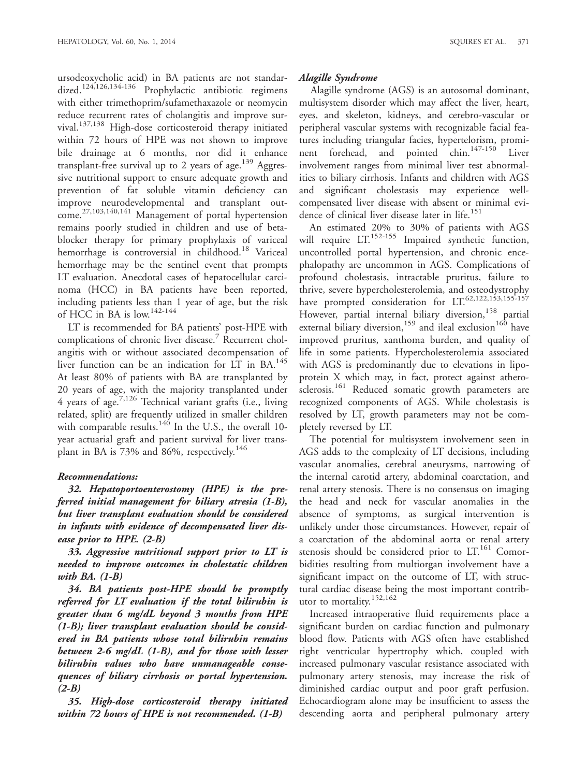ursodeoxycholic acid) in BA patients are not standardized.124,126,134-136 Prophylactic antibiotic regimens with either trimethoprim/sufamethaxazole or neomycin reduce recurrent rates of cholangitis and improve survival.<sup>137,138</sup> High-dose corticosteroid therapy initiated within 72 hours of HPE was not shown to improve bile drainage at 6 months, nor did it enhance transplant-free survival up to 2 years of age. $139$  Aggressive nutritional support to ensure adequate growth and prevention of fat soluble vitamin deficiency can improve neurodevelopmental and transplant outcome.27,103,140,141 Management of portal hypertension remains poorly studied in children and use of betablocker therapy for primary prophylaxis of variceal hemorrhage is controversial in childhood.<sup>18</sup> Variceal hemorrhage may be the sentinel event that prompts LT evaluation. Anecdotal cases of hepatocellular carcinoma (HCC) in BA patients have been reported, including patients less than 1 year of age, but the risk of HCC in BA is low.<sup>142-144</sup>

LT is recommended for BA patients' post-HPE with complications of chronic liver disease.<sup>7</sup> Recurrent cholangitis with or without associated decompensation of liver function can be an indication for LT in  $BA.^{145}$ At least 80% of patients with BA are transplanted by 20 years of age, with the majority transplanted under 4 years of age.7,126 Technical variant grafts (i.e., living related, split) are frequently utilized in smaller children with comparable results.<sup>140</sup> In the U.S., the overall 10year actuarial graft and patient survival for liver transplant in BA is  $73\%$  and 86%, respectively.<sup>146</sup>

# Recommendations:

32. Hepatoportoenterostomy (HPE) is the preferred initial management for biliary atresia (1-B), but liver transplant evaluation should be considered in infants with evidence of decompensated liver disease prior to HPE. (2-B)

33. Aggressive nutritional support prior to LT is needed to improve outcomes in cholestatic children with BA.  $(1-B)$ 

34. BA patients post-HPE should be promptly referred for LT evaluation if the total bilirubin is greater than 6 mg/dL beyond 3 months from HPE (1-B); liver transplant evaluation should be considered in BA patients whose total bilirubin remains between 2-6 mg/dL (1-B), and for those with lesser bilirubin values who have unmanageable consequences of biliary cirrhosis or portal hypertension.  $(2-B)$ 

35. High-dose corticosteroid therapy initiated within 72 hours of HPE is not recommended. (1-B)

# Alagille Syndrome

Alagille syndrome (AGS) is an autosomal dominant, multisystem disorder which may affect the liver, heart, eyes, and skeleton, kidneys, and cerebro-vascular or peripheral vascular systems with recognizable facial features including triangular facies, hypertelorism, prominent forehead, and pointed chin.<sup>147-150</sup> Liver involvement ranges from minimal liver test abnormalities to biliary cirrhosis. Infants and children with AGS and significant cholestasis may experience wellcompensated liver disease with absent or minimal evidence of clinical liver disease later in life.<sup>151</sup>

An estimated 20% to 30% of patients with AGS will require  $LT^{152-155}$  Impaired synthetic function, uncontrolled portal hypertension, and chronic encephalopathy are uncommon in AGS. Complications of profound cholestasis, intractable pruritus, failure to thrive, severe hypercholesterolemia, and osteodystrophy have prompted consideration for LT.<sup>62,122,153,155-157</sup> However, partial internal biliary diversion,<sup>158</sup> partial external biliary diversion,<sup>159</sup> and ileal exclusion<sup>160</sup> have improved pruritus, xanthoma burden, and quality of life in some patients. Hypercholesterolemia associated with AGS is predominantly due to elevations in lipoprotein X which may, in fact, protect against atherosclerosis.<sup>161</sup> Reduced somatic growth parameters are recognized components of AGS. While cholestasis is resolved by LT, growth parameters may not be completely reversed by LT.

The potential for multisystem involvement seen in AGS adds to the complexity of LT decisions, including vascular anomalies, cerebral aneurysms, narrowing of the internal carotid artery, abdominal coarctation, and renal artery stenosis. There is no consensus on imaging the head and neck for vascular anomalies in the absence of symptoms, as surgical intervention is unlikely under those circumstances. However, repair of a coarctation of the abdominal aorta or renal artery stenosis should be considered prior to LT.<sup>161</sup> Comorbidities resulting from multiorgan involvement have a significant impact on the outcome of LT, with structural cardiac disease being the most important contributor to mortality.152,162

Increased intraoperative fluid requirements place a significant burden on cardiac function and pulmonary blood flow. Patients with AGS often have established right ventricular hypertrophy which, coupled with increased pulmonary vascular resistance associated with pulmonary artery stenosis, may increase the risk of diminished cardiac output and poor graft perfusion. Echocardiogram alone may be insufficient to assess the descending aorta and peripheral pulmonary artery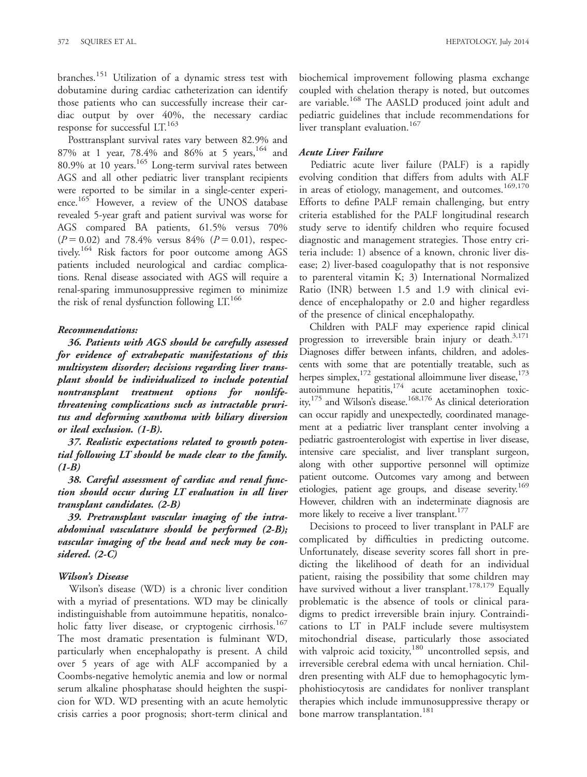branches.<sup>151</sup> Utilization of a dynamic stress test with dobutamine during cardiac catheterization can identify those patients who can successfully increase their cardiac output by over 40%, the necessary cardiac response for successful LT.<sup>163</sup>

Posttransplant survival rates vary between 82.9% and 87% at 1 year, 78.4% and 86% at 5 years, <sup>164</sup> and 80.9% at 10 years.<sup>165</sup> Long-term survival rates between AGS and all other pediatric liver transplant recipients were reported to be similar in a single-center experience.165 However, a review of the UNOS database revealed 5-year graft and patient survival was worse for AGS compared BA patients, 61.5% versus 70%  $(P = 0.02)$  and 78.4% versus 84%  $(P = 0.01)$ , respectively.164 Risk factors for poor outcome among AGS patients included neurological and cardiac complications. Renal disease associated with AGS will require a renal-sparing immunosuppressive regimen to minimize the risk of renal dysfunction following  $LT$ .<sup>166</sup>

## Recommendations:

36. Patients with AGS should be carefully assessed for evidence of extrahepatic manifestations of this multisystem disorder; decisions regarding liver transplant should be individualized to include potential nontransplant treatment options for nonlifethreatening complications such as intractable pruritus and deforming xanthoma with biliary diversion or ileal exclusion. (1-B).

37. Realistic expectations related to growth potential following LT should be made clear to the family.  $(I-B)$ 

38. Careful assessment of cardiac and renal function should occur during LT evaluation in all liver transplant candidates. (2-B)

39. Pretransplant vascular imaging of the intraabdominal vasculature should be performed (2-B); vascular imaging of the head and neck may be considered. (2-C)

# Wilson's Disease

Wilson's disease (WD) is a chronic liver condition with a myriad of presentations. WD may be clinically indistinguishable from autoimmune hepatitis, nonalcoholic fatty liver disease, or cryptogenic cirrhosis.<sup>167</sup> The most dramatic presentation is fulminant WD, particularly when encephalopathy is present. A child over 5 years of age with ALF accompanied by a Coombs-negative hemolytic anemia and low or normal serum alkaline phosphatase should heighten the suspicion for WD. WD presenting with an acute hemolytic crisis carries a poor prognosis; short-term clinical and

biochemical improvement following plasma exchange coupled with chelation therapy is noted, but outcomes are variable.<sup>168</sup> The AASLD produced joint adult and pediatric guidelines that include recommendations for liver transplant evaluation.<sup>167</sup>

# Acute Liver Failure

Pediatric acute liver failure (PALF) is a rapidly evolving condition that differs from adults with ALF in areas of etiology, management, and outcomes.<sup>169,170</sup> Efforts to define PALF remain challenging, but entry criteria established for the PALF longitudinal research study serve to identify children who require focused diagnostic and management strategies. Those entry criteria include: 1) absence of a known, chronic liver disease; 2) liver-based coagulopathy that is not responsive to parenteral vitamin K; 3) International Normalized Ratio (INR) between 1.5 and 1.9 with clinical evidence of encephalopathy or 2.0 and higher regardless of the presence of clinical encephalopathy.

Children with PALF may experience rapid clinical progression to irreversible brain injury or death. $3,171$ Diagnoses differ between infants, children, and adolescents with some that are potentially treatable, such as herpes simplex,<sup>172</sup> gestational alloimmune liver disease,<sup>173</sup> autoimmune hepatitis, $174$  acute acetaminophen toxicity,<sup>175</sup> and Wilson's disease.<sup>168,176</sup> As clinical deterioration can occur rapidly and unexpectedly, coordinated management at a pediatric liver transplant center involving a pediatric gastroenterologist with expertise in liver disease, intensive care specialist, and liver transplant surgeon, along with other supportive personnel will optimize patient outcome. Outcomes vary among and between etiologies, patient age groups, and disease severity.<sup>169</sup> However, children with an indeterminate diagnosis are more likely to receive a liver transplant.<sup>177</sup>

Decisions to proceed to liver transplant in PALF are complicated by difficulties in predicting outcome. Unfortunately, disease severity scores fall short in predicting the likelihood of death for an individual patient, raising the possibility that some children may have survived without a liver transplant.<sup>178,179</sup> Equally problematic is the absence of tools or clinical paradigms to predict irreversible brain injury. Contraindications to LT in PALF include severe multisystem mitochondrial disease, particularly those associated with valproic acid toxicity,<sup>180</sup> uncontrolled sepsis, and irreversible cerebral edema with uncal herniation. Children presenting with ALF due to hemophagocytic lymphohistiocytosis are candidates for nonliver transplant therapies which include immunosuppressive therapy or bone marrow transplantation.<sup>181</sup>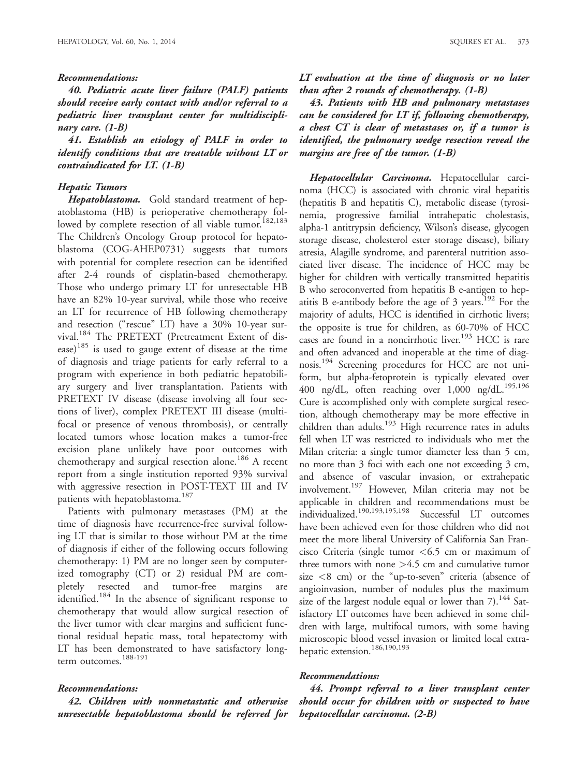40. Pediatric acute liver failure (PALF) patients should receive early contact with and/or referral to a pediatric liver transplant center for multidisciplinary care. (1-B)

41. Establish an etiology of PALF in order to identify conditions that are treatable without LT or contraindicated for LT. (1-B)

## Hepatic Tumors

Hepatoblastoma. Gold standard treatment of hepatoblastoma (HB) is perioperative chemotherapy followed by complete resection of all viable tumor.<sup>182,183</sup> The Children's Oncology Group protocol for hepatoblastoma (COG-AHEP0731) suggests that tumors with potential for complete resection can be identified after 2-4 rounds of cisplatin-based chemotherapy. Those who undergo primary LT for unresectable HB have an 82% 10-year survival, while those who receive an LT for recurrence of HB following chemotherapy and resection ("rescue" LT) have a 30% 10-year survival.<sup>184</sup> The PRETEXT (Pretreatment Extent of disease)<sup>185</sup> is used to gauge extent of disease at the time of diagnosis and triage patients for early referral to a program with experience in both pediatric hepatobiliary surgery and liver transplantation. Patients with PRETEXT IV disease (disease involving all four sections of liver), complex PRETEXT III disease (multifocal or presence of venous thrombosis), or centrally located tumors whose location makes a tumor-free excision plane unlikely have poor outcomes with chemotherapy and surgical resection alone.<sup>186</sup> A recent report from a single institution reported 93% survival with aggressive resection in POST-TEXT III and IV patients with hepatoblastoma.<sup>187</sup>

Patients with pulmonary metastases (PM) at the time of diagnosis have recurrence-free survival following LT that is similar to those without PM at the time of diagnosis if either of the following occurs following chemotherapy: 1) PM are no longer seen by computerized tomography (CT) or 2) residual PM are completely resected and tumor-free margins are identified.<sup>184</sup> In the absence of significant response to chemotherapy that would allow surgical resection of the liver tumor with clear margins and sufficient functional residual hepatic mass, total hepatectomy with LT has been demonstrated to have satisfactory longterm outcomes.<sup>188-191</sup>

#### Recommendations:

42. Children with nonmetastatic and otherwise unresectable hepatoblastoma should be referred for LT evaluation at the time of diagnosis or no later than after 2 rounds of chemotherapy. (1-B)

43. Patients with HB and pulmonary metastases can be considered for LT if, following chemotherapy, a chest CT is clear of metastases or, if a tumor is identified, the pulmonary wedge resection reveal the margins are free of the tumor. (1-B)

Hepatocellular Carcinoma. Hepatocellular carcinoma (HCC) is associated with chronic viral hepatitis (hepatitis B and hepatitis C), metabolic disease (tyrosinemia, progressive familial intrahepatic cholestasis, alpha-1 antitrypsin deficiency, Wilson's disease, glycogen storage disease, cholesterol ester storage disease), biliary atresia, Alagille syndrome, and parenteral nutrition associated liver disease. The incidence of HCC may be higher for children with vertically transmitted hepatitis B who seroconverted from hepatitis B e-antigen to hepatitis B e-antibody before the age of 3 years.<sup>192</sup> For the majority of adults, HCC is identified in cirrhotic livers; the opposite is true for children, as 60-70% of HCC cases are found in a noncirrhotic liver.<sup>193</sup> HCC is rare and often advanced and inoperable at the time of diagnosis.194 Screening procedures for HCC are not uniform, but alpha-fetoprotein is typically elevated over 400 ng/dL, often reaching over  $1,000$  ng/dL.<sup>195,196</sup> Cure is accomplished only with complete surgical resection, although chemotherapy may be more effective in children than adults.<sup>193</sup> High recurrence rates in adults fell when LT was restricted to individuals who met the Milan criteria: a single tumor diameter less than 5 cm, no more than 3 foci with each one not exceeding 3 cm, and absence of vascular invasion, or extrahepatic involvement.197 However, Milan criteria may not be applicable in children and recommendations must be individualized.<sup>190,193,195,198</sup> Successful LT outcomes have been achieved even for those children who did not meet the more liberal University of California San Francisco Criteria (single tumor <6.5 cm or maximum of three tumors with none >4.5 cm and cumulative tumor size  $\langle 8 \text{ cm} \rangle$  or the "up-to-seven" criteria (absence of angioinvasion, number of nodules plus the maximum size of the largest nodule equal or lower than  $7$ ).<sup>144</sup> Satisfactory LT outcomes have been achieved in some children with large, multifocal tumors, with some having microscopic blood vessel invasion or limited local extrahepatic extension.<sup>186,190,193</sup>

#### Recommendations:

44. Prompt referral to a liver transplant center should occur for children with or suspected to have hepatocellular carcinoma. (2-B)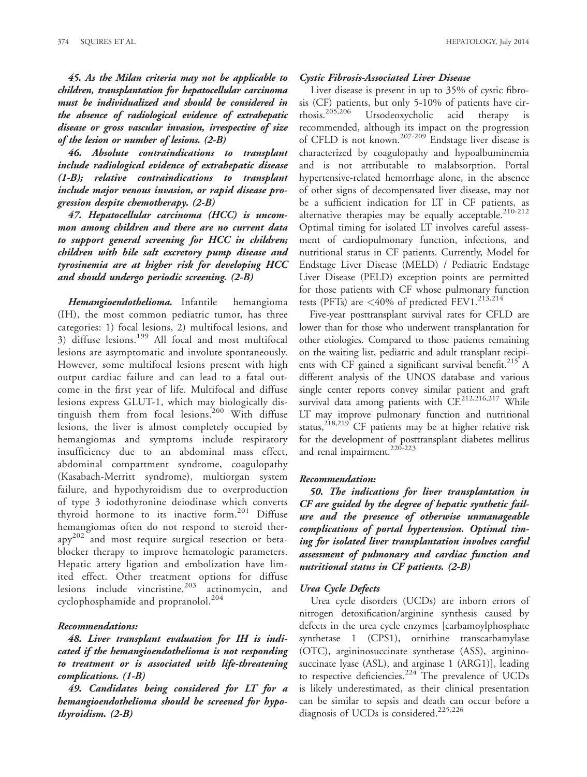45. As the Milan criteria may not be applicable to children, transplantation for hepatocellular carcinoma must be individualized and should be considered in the absence of radiological evidence of extrahepatic disease or gross vascular invasion, irrespective of size of the lesion or number of lesions. (2-B)

46. Absolute contraindications to transplant include radiological evidence of extrahepatic disease (1-B); relative contraindications to transplant include major venous invasion, or rapid disease progression despite chemotherapy. (2-B)

47. Hepatocellular carcinoma (HCC) is uncommon among children and there are no current data to support general screening for HCC in children; children with bile salt excretory pump disease and tyrosinemia are at higher risk for developing HCC and should undergo periodic screening. (2-B)

Hemangioendothelioma. Infantile hemangioma (IH), the most common pediatric tumor, has three categories: 1) focal lesions, 2) multifocal lesions, and 3) diffuse lesions.<sup>199</sup> All focal and most multifocal lesions are asymptomatic and involute spontaneously. However, some multifocal lesions present with high output cardiac failure and can lead to a fatal outcome in the first year of life. Multifocal and diffuse lesions express GLUT-1, which may biologically distinguish them from focal lesions.<sup>200</sup> With diffuse lesions, the liver is almost completely occupied by hemangiomas and symptoms include respiratory insufficiency due to an abdominal mass effect, abdominal compartment syndrome, coagulopathy (Kasabach-Merritt syndrome), multiorgan system failure, and hypothyroidism due to overproduction of type 3 iodothyronine deiodinase which converts thyroid hormone to its inactive form.<sup>201</sup> Diffuse hemangiomas often do not respond to steroid therapy<sup>202</sup> and most require surgical resection or betablocker therapy to improve hematologic parameters. Hepatic artery ligation and embolization have limited effect. Other treatment options for diffuse lesions include vincristine,<sup>203</sup> actinomycin, and cyclophosphamide and propranolol.<sup>204</sup>

#### Recommendations:

48. Liver transplant evaluation for IH is indicated if the hemangioendothelioma is not responding to treatment or is associated with life-threatening complications. (1-B)

49. Candidates being considered for LT for a hemangioendothelioma should be screened for hypothyroidism. (2-B)

#### Cystic Fibrosis-Associated Liver Disease

Liver disease is present in up to 35% of cystic fibrosis (CF) patients, but only 5-10% of patients have cir-<br>rhosis.<sup>205,206</sup> Ursodeoxycholic acid therapy is Ursodeoxycholic acid therapy recommended, although its impact on the progression of CFLD is not known.207-209 Endstage liver disease is characterized by coagulopathy and hypoalbuminemia and is not attributable to malabsorption. Portal hypertensive-related hemorrhage alone, in the absence of other signs of decompensated liver disease, may not be a sufficient indication for LT in CF patients, as alternative therapies may be equally acceptable.<sup>210-212</sup> Optimal timing for isolated LT involves careful assessment of cardiopulmonary function, infections, and nutritional status in CF patients. Currently, Model for Endstage Liver Disease (MELD) / Pediatric Endstage Liver Disease (PELD) exception points are permitted for those patients with CF whose pulmonary function tests (PFTs) are <40% of predicted FEV1.<sup>213,214</sup>

Five-year posttransplant survival rates for CFLD are lower than for those who underwent transplantation for other etiologies. Compared to those patients remaining on the waiting list, pediatric and adult transplant recipients with CF gained a significant survival benefit.<sup>215</sup> A different analysis of the UNOS database and various single center reports convey similar patient and graft survival data among patients with CF.<sup>212,216,217</sup> While LT may improve pulmonary function and nutritional status,<sup>218,219</sup> CF patients may be at higher relative risk for the development of posttransplant diabetes mellitus and renal impairment.<sup>220-223</sup>

#### Recommendation:

50. The indications for liver transplantation in CF are guided by the degree of hepatic synthetic failure and the presence of otherwise unmanageable complications of portal hypertension. Optimal timing for isolated liver transplantation involves careful assessment of pulmonary and cardiac function and nutritional status in CF patients. (2-B)

#### Urea Cycle Defects

Urea cycle disorders (UCDs) are inborn errors of nitrogen detoxification/arginine synthesis caused by defects in the urea cycle enzymes [carbamoylphosphate synthetase 1 (CPS1), ornithine transcarbamylase (OTC), argininosuccinate synthetase (ASS), argininosuccinate lyase (ASL), and arginase 1 (ARG1)], leading to respective deficiencies.<sup>224</sup> The prevalence of UCDs is likely underestimated, as their clinical presentation can be similar to sepsis and death can occur before a diagnosis of UCDs is considered.<sup>225,226</sup>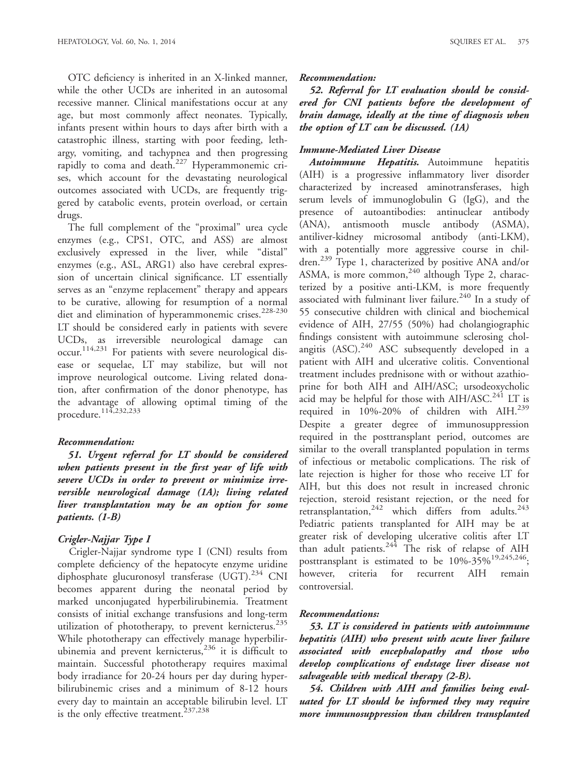OTC deficiency is inherited in an X-linked manner, while the other UCDs are inherited in an autosomal recessive manner. Clinical manifestations occur at any age, but most commonly affect neonates. Typically, infants present within hours to days after birth with a catastrophic illness, starting with poor feeding, lethargy, vomiting, and tachypnea and then progressing rapidly to coma and death.<sup>227</sup> Hyperammonemic crises, which account for the devastating neurological outcomes associated with UCDs, are frequently triggered by catabolic events, protein overload, or certain drugs.

The full complement of the "proximal" urea cycle enzymes (e.g., CPS1, OTC, and ASS) are almost exclusively expressed in the liver, while "distal" enzymes (e.g., ASL, ARG1) also have cerebral expression of uncertain clinical significance. LT essentially serves as an "enzyme replacement" therapy and appears to be curative, allowing for resumption of a normal diet and elimination of hyperammonemic crises.<sup>228-230</sup> LT should be considered early in patients with severe UCDs, as irreversible neurological damage can occur.<sup>114,231</sup> For patients with severe neurological disease or sequelae, LT may stabilize, but will not improve neurological outcome. Living related donation, after confirmation of the donor phenotype, has the advantage of allowing optimal timing of the procedure.114,232,233

#### Recommendation:

51. Urgent referral for LT should be considered when patients present in the first year of life with severe UCDs in order to prevent or minimize irreversible neurological damage (1A); living related liver transplantation may be an option for some patients. (1-B)

## Crigler-Najjar Type I

Crigler-Najjar syndrome type I (CNI) results from complete deficiency of the hepatocyte enzyme uridine diphosphate glucuronosyl transferase (UGT).<sup>234</sup> CNI becomes apparent during the neonatal period by marked unconjugated hyperbilirubinemia. Treatment consists of initial exchange transfusions and long-term utilization of phototherapy, to prevent kernicterus.<sup>235</sup> While phototherapy can effectively manage hyperbilirubinemia and prevent kernicterus,<sup>236</sup> it is difficult to maintain. Successful phototherapy requires maximal body irradiance for 20-24 hours per day during hyperbilirubinemic crises and a minimum of 8-12 hours every day to maintain an acceptable bilirubin level. LT is the only effective treatment.<sup>237,238</sup>

#### Recommendation:

52. Referral for LT evaluation should be considered for CNI patients before the development of brain damage, ideally at the time of diagnosis when the option of LT can be discussed. (1A)

## Immune-Mediated Liver Disease

Autoimmune Hepatitis. Autoimmune hepatitis (AIH) is a progressive inflammatory liver disorder characterized by increased aminotransferases, high serum levels of immunoglobulin G (IgG), and the presence of autoantibodies: antinuclear antibody (ANA), antismooth muscle antibody (ASMA), antiliver-kidney microsomal antibody (anti-LKM), with a potentially more aggressive course in children.<sup>239</sup> Type 1, characterized by positive ANA and/or ASMA, is more common,<sup>240</sup> although Type 2, characterized by a positive anti-LKM, is more frequently associated with fulminant liver failure.<sup>240</sup> In a study of 55 consecutive children with clinical and biochemical evidence of AIH, 27/55 (50%) had cholangiographic findings consistent with autoimmune sclerosing cholangitis  $(ASC).^{240}$  ASC subsequently developed in a patient with AIH and ulcerative colitis. Conventional treatment includes prednisone with or without azathioprine for both AIH and AIH/ASC; ursodeoxycholic acid may be helpful for those with  $AHI/ASC.<sup>241</sup> LT$  is required in 10%-20% of children with AIH.<sup>239</sup> Despite a greater degree of immunosuppression required in the posttransplant period, outcomes are similar to the overall transplanted population in terms of infectious or metabolic complications. The risk of late rejection is higher for those who receive LT for AIH, but this does not result in increased chronic rejection, steroid resistant rejection, or the need for retransplantation,  $242$  which differs from adults.  $243$ Pediatric patients transplanted for AIH may be at greater risk of developing ulcerative colitis after LT than adult patients.<sup>244</sup> The risk of relapse of AIH posttransplant is estimated to be  $10\% - 35\%^{19,245,246}$ ; however, criteria for recurrent AIH remain controversial.

#### Recommendations:

53. LT is considered in patients with autoimmune hepatitis (AIH) who present with acute liver failure associated with encephalopathy and those who develop complications of endstage liver disease not salvageable with medical therapy (2-B).

54. Children with AIH and families being evaluated for LT should be informed they may require more immunosuppression than children transplanted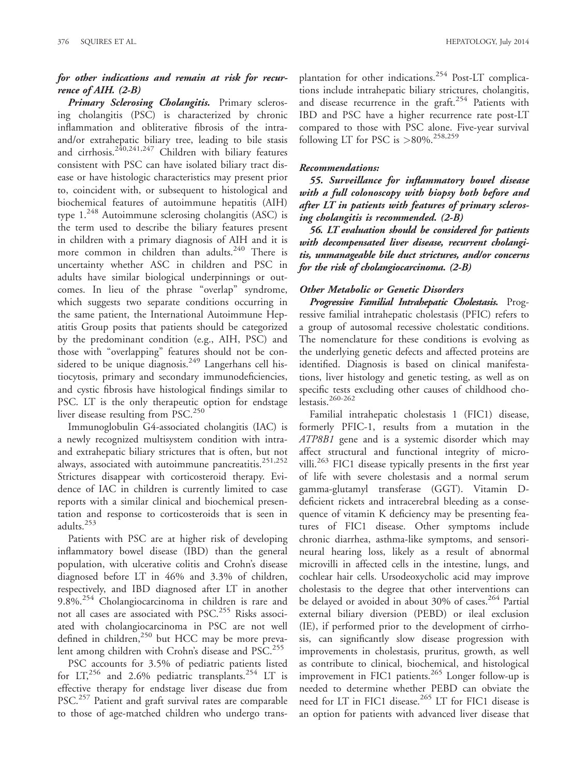# for other indications and remain at risk for recurrence of AIH. (2-B)

Primary Sclerosing Cholangitis. Primary sclerosing cholangitis (PSC) is characterized by chronic inflammation and obliterative fibrosis of the intraand/or extrahepatic biliary tree, leading to bile stasis and cirrhosis.<sup>240,241,247</sup> Children with biliary features consistent with PSC can have isolated biliary tract disease or have histologic characteristics may present prior to, coincident with, or subsequent to histological and biochemical features of autoimmune hepatitis (AIH) type 1.248 Autoimmune sclerosing cholangitis (ASC) is the term used to describe the biliary features present in children with a primary diagnosis of AIH and it is more common in children than adults.<sup>240</sup> There is uncertainty whether ASC in children and PSC in adults have similar biological underpinnings or outcomes. In lieu of the phrase "overlap" syndrome, which suggests two separate conditions occurring in the same patient, the International Autoimmune Hepatitis Group posits that patients should be categorized by the predominant condition (e.g., AIH, PSC) and those with "overlapping" features should not be considered to be unique diagnosis.<sup>249</sup> Langerhans cell histiocytosis, primary and secondary immunodeficiencies, and cystic fibrosis have histological findings similar to PSC. LT is the only therapeutic option for endstage liver disease resulting from PSC.<sup>250</sup>

Immunoglobulin G4-associated cholangitis (IAC) is a newly recognized multisystem condition with intraand extrahepatic biliary strictures that is often, but not always, associated with autoimmune pancreatitis.<sup>251,252</sup> Strictures disappear with corticosteroid therapy. Evidence of IAC in children is currently limited to case reports with a similar clinical and biochemical presentation and response to corticosteroids that is seen in adults.<sup>253</sup>

Patients with PSC are at higher risk of developing inflammatory bowel disease (IBD) than the general population, with ulcerative colitis and Crohn's disease diagnosed before LT in 46% and 3.3% of children, respectively, and IBD diagnosed after LT in another 9.8%.<sup>254</sup> Cholangiocarcinoma in children is rare and not all cases are associated with PSC.<sup>255</sup> Risks associated with cholangiocarcinoma in PSC are not well defined in children, $^{250}$  but HCC may be more prevalent among children with Crohn's disease and PSC.<sup>255</sup>

PSC accounts for 3.5% of pediatric patients listed for  $LT^{256}$ , and 2.6% pediatric transplants.<sup>254</sup> LT is effective therapy for endstage liver disease due from PSC.<sup>257</sup> Patient and graft survival rates are comparable to those of age-matched children who undergo transplantation for other indications.<sup>254</sup> Post-LT complications include intrahepatic biliary strictures, cholangitis, and disease recurrence in the graft.<sup>254</sup> Patients with IBD and PSC have a higher recurrence rate post-LT compared to those with PSC alone. Five-year survival following LT for PSC is  $>80\%$ .<sup>258,259</sup>

# Recommendations:

55. Surveillance for inflammatory bowel disease with a full colonoscopy with biopsy both before and after LT in patients with features of primary sclerosing cholangitis is recommended. (2-B)

56. LT evaluation should be considered for patients with decompensated liver disease, recurrent cholangitis, unmanageable bile duct strictures, and/or concerns for the risk of cholangiocarcinoma. (2-B)

## Other Metabolic or Genetic Disorders

Progressive Familial Intrahepatic Cholestasis. Progressive familial intrahepatic cholestasis (PFIC) refers to a group of autosomal recessive cholestatic conditions. The nomenclature for these conditions is evolving as the underlying genetic defects and affected proteins are identified. Diagnosis is based on clinical manifestations, liver histology and genetic testing, as well as on specific tests excluding other causes of childhood cholestasis.<sup>260-262</sup>

Familial intrahepatic cholestasis 1 (FIC1) disease, formerly PFIC-1, results from a mutation in the ATP8B1 gene and is a systemic disorder which may affect structural and functional integrity of microvilli.<sup>263</sup> FIC1 disease typically presents in the first year of life with severe cholestasis and a normal serum gamma-glutamyl transferase (GGT). Vitamin Ddeficient rickets and intracerebral bleeding as a consequence of vitamin K deficiency may be presenting features of FIC1 disease. Other symptoms include chronic diarrhea, asthma-like symptoms, and sensorineural hearing loss, likely as a result of abnormal microvilli in affected cells in the intestine, lungs, and cochlear hair cells. Ursodeoxycholic acid may improve cholestasis to the degree that other interventions can be delayed or avoided in about 30% of cases.<sup>264</sup> Partial external biliary diversion (PEBD) or ileal exclusion (IE), if performed prior to the development of cirrhosis, can significantly slow disease progression with improvements in cholestasis, pruritus, growth, as well as contribute to clinical, biochemical, and histological improvement in FIC1 patients.<sup>265</sup> Longer follow-up is needed to determine whether PEBD can obviate the need for LT in FIC1 disease.<sup>265</sup> LT for FIC1 disease is an option for patients with advanced liver disease that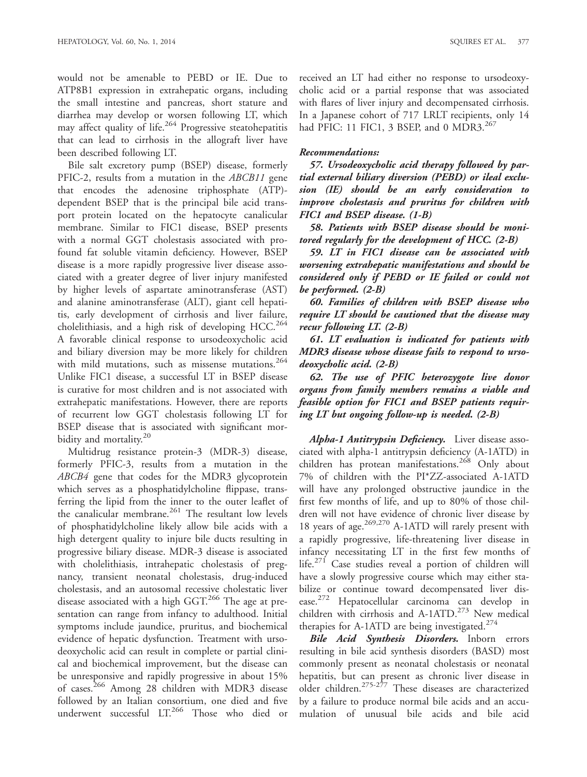would not be amenable to PEBD or IE. Due to ATP8B1 expression in extrahepatic organs, including the small intestine and pancreas, short stature and diarrhea may develop or worsen following LT, which may affect quality of life.<sup>264</sup> Progressive steatohepatitis that can lead to cirrhosis in the allograft liver have been described following LT.

Bile salt excretory pump (BSEP) disease, formerly PFIC-2, results from a mutation in the *ABCB11* gene that encodes the adenosine triphosphate (ATP) dependent BSEP that is the principal bile acid transport protein located on the hepatocyte canalicular membrane. Similar to FIC1 disease, BSEP presents with a normal GGT cholestasis associated with profound fat soluble vitamin deficiency. However, BSEP disease is a more rapidly progressive liver disease associated with a greater degree of liver injury manifested by higher levels of aspartate aminotransferase (AST) and alanine aminotransferase (ALT), giant cell hepatitis, early development of cirrhosis and liver failure, cholelithiasis, and a high risk of developing  $HCC.<sup>264</sup>$ A favorable clinical response to ursodeoxycholic acid and biliary diversion may be more likely for children with mild mutations, such as missense mutations.<sup>264</sup> Unlike FIC1 disease, a successful LT in BSEP disease is curative for most children and is not associated with extrahepatic manifestations. However, there are reports of recurrent low GGT cholestasis following LT for BSEP disease that is associated with significant morbidity and mortality.<sup>20</sup>

Multidrug resistance protein-3 (MDR-3) disease, formerly PFIC-3, results from a mutation in the ABCB4 gene that codes for the MDR3 glycoprotein which serves as a phosphatidylcholine flippase, transferring the lipid from the inner to the outer leaflet of the canalicular membrane. $261$  The resultant low levels of phosphatidylcholine likely allow bile acids with a high detergent quality to injure bile ducts resulting in progressive biliary disease. MDR-3 disease is associated with cholelithiasis, intrahepatic cholestasis of pregnancy, transient neonatal cholestasis, drug-induced cholestasis, and an autosomal recessive cholestatic liver disease associated with a high  $GGT<sup>266</sup>$ . The age at presentation can range from infancy to adulthood. Initial symptoms include jaundice, pruritus, and biochemical evidence of hepatic dysfunction. Treatment with ursodeoxycholic acid can result in complete or partial clinical and biochemical improvement, but the disease can be unresponsive and rapidly progressive in about 15% of cases.<sup>266</sup> Among 28 children with MDR3 disease followed by an Italian consortium, one died and five underwent successful LT.<sup>266</sup> Those who died or

received an LT had either no response to ursodeoxycholic acid or a partial response that was associated with flares of liver injury and decompensated cirrhosis. In a Japanese cohort of 717 LRLT recipients, only 14 had PFIC: 11 FIC1, 3 BSEP, and 0 MDR3. $^{267}$ 

## Recommendations:

57. Ursodeoxycholic acid therapy followed by partial external biliary diversion (PEBD) or ileal exclusion (IE) should be an early consideration to improve cholestasis and pruritus for children with FIC1 and BSEP disease. (1-B)

58. Patients with BSEP disease should be monitored regularly for the development of HCC. (2-B)

59. LT in FIC1 disease can be associated with worsening extrahepatic manifestations and should be considered only if PEBD or IE failed or could not be performed. (2-B)

60. Families of children with BSEP disease who require LT should be cautioned that the disease may recur following LT. (2-B)

61. LT evaluation is indicated for patients with MDR3 disease whose disease fails to respond to ursodeoxycholic acid. (2-B)

62. The use of PFIC heterozygote live donor organs from family members remains a viable and feasible option for FIC1 and BSEP patients requiring LT but ongoing follow-up is needed. (2-B)

Alpha-1 Antitrypsin Deficiency. Liver disease associated with alpha-1 antitrypsin deficiency (A-1ATD) in children has protean manifestations.<sup>268</sup> Only about 7% of children with the PI\*ZZ-associated A-1ATD will have any prolonged obstructive jaundice in the first few months of life, and up to 80% of those children will not have evidence of chronic liver disease by 18 years of age.269,270 A-1ATD will rarely present with a rapidly progressive, life-threatening liver disease in infancy necessitating LT in the first few months of life.<sup>271</sup> Case studies reveal a portion of children will have a slowly progressive course which may either stabilize or continue toward decompensated liver disease.<sup>272</sup> Hepatocellular carcinoma can develop in children with cirrhosis and A-1ATD.<sup>273</sup> New medical therapies for A-1ATD are being investigated.<sup>274</sup>

Bile Acid Synthesis Disorders. Inborn errors resulting in bile acid synthesis disorders (BASD) most commonly present as neonatal cholestasis or neonatal hepatitis, but can present as chronic liver disease in older children.<sup>275-277</sup> These diseases are characterized by a failure to produce normal bile acids and an accumulation of unusual bile acids and bile acid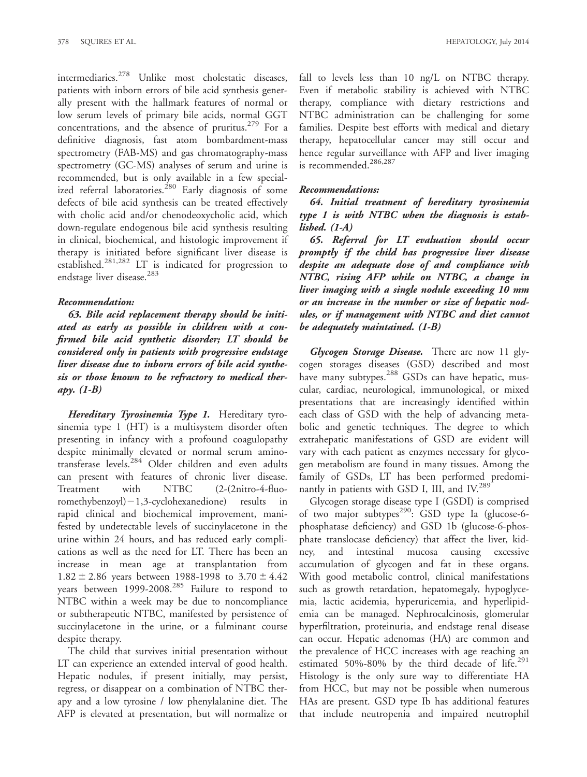intermediaries.<sup>278</sup> Unlike most cholestatic diseases, patients with inborn errors of bile acid synthesis generally present with the hallmark features of normal or low serum levels of primary bile acids, normal GGT concentrations, and the absence of pruritus.<sup> $279$ </sup> For a definitive diagnosis, fast atom bombardment-mass spectrometry (FAB-MS) and gas chromatography-mass spectrometry (GC-MS) analyses of serum and urine is recommended, but is only available in a few specialized referral laboratories.<sup>280</sup> Early diagnosis of some defects of bile acid synthesis can be treated effectively with cholic acid and/or chenodeoxycholic acid, which down-regulate endogenous bile acid synthesis resulting in clinical, biochemical, and histologic improvement if therapy is initiated before significant liver disease is established.<sup>281,282</sup> LT is indicated for progression to endstage liver disease.<sup>283</sup>

#### Recommendation:

63. Bile acid replacement therapy should be initiated as early as possible in children with a confirmed bile acid synthetic disorder; LT should be considered only in patients with progressive endstage liver disease due to inborn errors of bile acid synthesis or those known to be refractory to medical therapy. (1-B)

Hereditary Tyrosinemia Type 1. Hereditary tyrosinemia type 1 (HT) is a multisystem disorder often presenting in infancy with a profound coagulopathy despite minimally elevated or normal serum aminotransferase levels.284 Older children and even adults can present with features of chronic liver disease. Treatment with NTBC (2-(2nitro-4-fluoromethybenzoyl $)-1,3$ -cyclohexanedione) results in rapid clinical and biochemical improvement, manifested by undetectable levels of succinylacetone in the urine within 24 hours, and has reduced early complications as well as the need for LT. There has been an increase in mean age at transplantation from 1.82  $\pm$  2.86 years between 1988-1998 to 3.70  $\pm$  4.42 years between 1999-2008.<sup>285</sup> Failure to respond to NTBC within a week may be due to noncompliance or subtherapeutic NTBC, manifested by persistence of succinylacetone in the urine, or a fulminant course despite therapy.

The child that survives initial presentation without LT can experience an extended interval of good health. Hepatic nodules, if present initially, may persist, regress, or disappear on a combination of NTBC therapy and a low tyrosine / low phenylalanine diet. The AFP is elevated at presentation, but will normalize or

fall to levels less than 10 ng/L on NTBC therapy. Even if metabolic stability is achieved with NTBC therapy, compliance with dietary restrictions and NTBC administration can be challenging for some families. Despite best efforts with medical and dietary therapy, hepatocellular cancer may still occur and hence regular surveillance with AFP and liver imaging is recommended.<sup>286,287</sup>

#### Recommendations:

64. Initial treatment of hereditary tyrosinemia type 1 is with NTBC when the diagnosis is established. (1-A)

65. Referral for LT evaluation should occur promptly if the child has progressive liver disease despite an adequate dose of and compliance with NTBC, rising AFP while on NTBC, a change in liver imaging with a single nodule exceeding 10 mm or an increase in the number or size of hepatic nodules, or if management with NTBC and diet cannot be adequately maintained. (1-B)

Glycogen Storage Disease. There are now 11 glycogen storages diseases (GSD) described and most have many subtypes.<sup>288</sup> GSDs can have hepatic, muscular, cardiac, neurological, immunological, or mixed presentations that are increasingly identified within each class of GSD with the help of advancing metabolic and genetic techniques. The degree to which extrahepatic manifestations of GSD are evident will vary with each patient as enzymes necessary for glycogen metabolism are found in many tissues. Among the family of GSDs, LT has been performed predominantly in patients with GSD I, III, and IV.<sup>289</sup>

Glycogen storage disease type I (GSDI) is comprised of two major subtypes<sup>290</sup>: GSD type Ia (glucose-6phosphatase deficiency) and GSD 1b (glucose-6-phosphate translocase deficiency) that affect the liver, kidney, and intestinal mucosa causing excessive accumulation of glycogen and fat in these organs. With good metabolic control, clinical manifestations such as growth retardation, hepatomegaly, hypoglycemia, lactic acidemia, hyperuricemia, and hyperlipidemia can be managed. Nephrocalcinosis, glomerular hyperfiltration, proteinuria, and endstage renal disease can occur. Hepatic adenomas (HA) are common and the prevalence of HCC increases with age reaching an estimated 50%-80% by the third decade of life. $291$ Histology is the only sure way to differentiate HA from HCC, but may not be possible when numerous HAs are present. GSD type Ib has additional features that include neutropenia and impaired neutrophil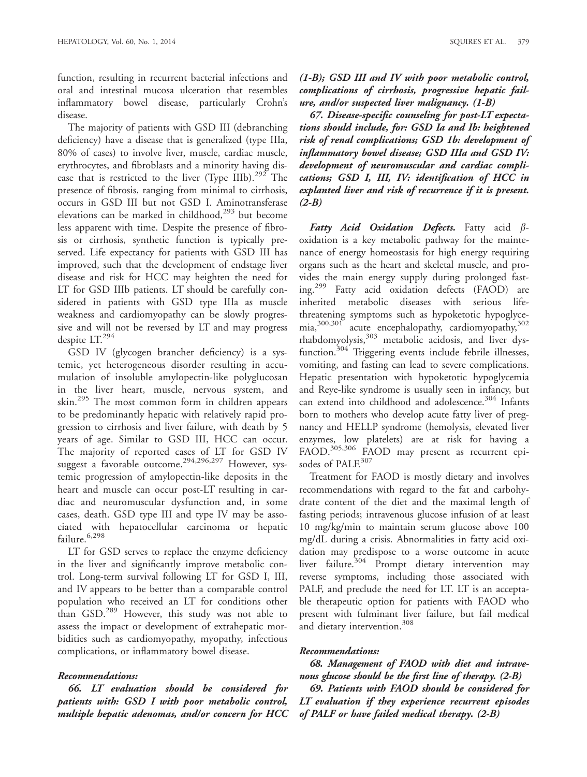function, resulting in recurrent bacterial infections and oral and intestinal mucosa ulceration that resembles inflammatory bowel disease, particularly Crohn's disease.

The majority of patients with GSD III (debranching deficiency) have a disease that is generalized (type IIIa, 80% of cases) to involve liver, muscle, cardiac muscle, erythrocytes, and fibroblasts and a minority having disease that is restricted to the liver (Type IIIb). $^{292}$  The presence of fibrosis, ranging from minimal to cirrhosis, occurs in GSD III but not GSD I. Aminotransferase elevations can be marked in childhood,<sup>293</sup> but become less apparent with time. Despite the presence of fibrosis or cirrhosis, synthetic function is typically preserved. Life expectancy for patients with GSD III has improved, such that the development of endstage liver disease and risk for HCC may heighten the need for LT for GSD IIIb patients. LT should be carefully considered in patients with GSD type IIIa as muscle weakness and cardiomyopathy can be slowly progressive and will not be reversed by LT and may progress despite LT.294

GSD IV (glycogen brancher deficiency) is a systemic, yet heterogeneous disorder resulting in accumulation of insoluble amylopectin-like polyglucosan in the liver heart, muscle, nervous system, and skin.<sup>295</sup> The most common form in children appears to be predominantly hepatic with relatively rapid progression to cirrhosis and liver failure, with death by 5 years of age. Similar to GSD III, HCC can occur. The majority of reported cases of LT for GSD IV suggest a favorable outcome.<sup>294,296,297</sup> However, systemic progression of amylopectin-like deposits in the heart and muscle can occur post-LT resulting in cardiac and neuromuscular dysfunction and, in some cases, death. GSD type III and type IV may be associated with hepatocellular carcinoma or hepatic failure.<sup>6,298</sup>

LT for GSD serves to replace the enzyme deficiency in the liver and significantly improve metabolic control. Long-term survival following LT for GSD I, III, and IV appears to be better than a comparable control population who received an LT for conditions other than GSD.<sup>289</sup> However, this study was not able to assess the impact or development of extrahepatic morbidities such as cardiomyopathy, myopathy, infectious complications, or inflammatory bowel disease.

#### Recommendations:

66. LT evaluation should be considered for patients with: GSD I with poor metabolic control, multiple hepatic adenomas, and/or concern for HCC

(1-B); GSD III and IV with poor metabolic control, complications of cirrhosis, progressive hepatic failure, and/or suspected liver malignancy. (1-B)

67. Disease-specific counseling for post-LT expectations should include, for: GSD Ia and Ib: heightened risk of renal complications; GSD 1b: development of inflammatory bowel disease; GSD IIIa and GSD IV: development of neuromuscular and cardiac complications; GSD I, III, IV: identification of HCC in explanted liver and risk of recurrence if it is present.  $(2-B)$ 

Fatty Acid Oxidation Defects. Fatty acid  $\beta$ oxidation is a key metabolic pathway for the maintenance of energy homeostasis for high energy requiring organs such as the heart and skeletal muscle, and provides the main energy supply during prolonged fasting.<sup>299</sup> Fatty acid oxidation defects (FAOD) are inherited metabolic diseases with serious lifethreatening symptoms such as hypoketotic hypoglycemia,300,301 acute encephalopathy, cardiomyopathy,302 rhabdomyolysis,<sup>303</sup> metabolic acidosis, and liver dysfunction.<sup>304</sup> Triggering events include febrile illnesses, vomiting, and fasting can lead to severe complications. Hepatic presentation with hypoketotic hypoglycemia and Reye-like syndrome is usually seen in infancy, but can extend into childhood and adolescence.<sup>304</sup> Infants born to mothers who develop acute fatty liver of pregnancy and HELLP syndrome (hemolysis, elevated liver enzymes, low platelets) are at risk for having a FAOD.<sup>305,306</sup> FAOD may present as recurrent episodes of PALF.<sup>307</sup>

Treatment for FAOD is mostly dietary and involves recommendations with regard to the fat and carbohydrate content of the diet and the maximal length of fasting periods; intravenous glucose infusion of at least 10 mg/kg/min to maintain serum glucose above 100 mg/dL during a crisis. Abnormalities in fatty acid oxidation may predispose to a worse outcome in acute liver failure.<sup>304</sup> Prompt dietary intervention may reverse symptoms, including those associated with PALF, and preclude the need for LT. LT is an acceptable therapeutic option for patients with FAOD who present with fulminant liver failure, but fail medical and dietary intervention.<sup>308</sup>

#### Recommendations:

68. Management of FAOD with diet and intravenous glucose should be the first line of therapy. (2-B)

69. Patients with FAOD should be considered for LT evaluation if they experience recurrent episodes of PALF or have failed medical therapy. (2-B)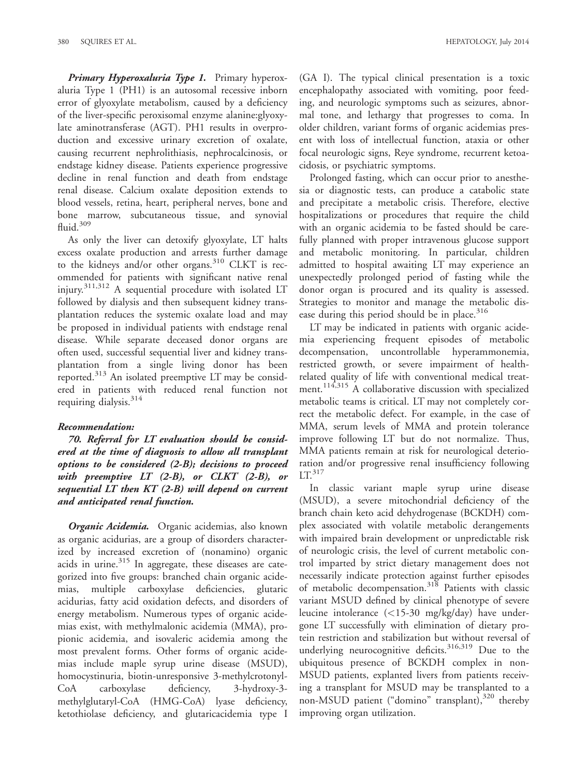Primary Hyperoxaluria Type 1. Primary hyperoxaluria Type 1 (PH1) is an autosomal recessive inborn error of glyoxylate metabolism, caused by a deficiency of the liver-specific peroxisomal enzyme alanine:glyoxylate aminotransferase (AGT). PH1 results in overproduction and excessive urinary excretion of oxalate, causing recurrent nephrolithiasis, nephrocalcinosis, or endstage kidney disease. Patients experience progressive decline in renal function and death from endstage renal disease. Calcium oxalate deposition extends to blood vessels, retina, heart, peripheral nerves, bone and bone marrow, subcutaneous tissue, and synovial fluid.<sup>309</sup>

As only the liver can detoxify glyoxylate, LT halts excess oxalate production and arrests further damage to the kidneys and/or other organs.<sup>310</sup> CLKT is recommended for patients with significant native renal injury.311,312 A sequential procedure with isolated LT followed by dialysis and then subsequent kidney transplantation reduces the systemic oxalate load and may be proposed in individual patients with endstage renal disease. While separate deceased donor organs are often used, successful sequential liver and kidney transplantation from a single living donor has been reported.<sup>313</sup> An isolated preemptive LT may be considered in patients with reduced renal function not requiring dialysis. $314$ 

#### Recommendation:

70. Referral for LT evaluation should be considered at the time of diagnosis to allow all transplant options to be considered (2-B); decisions to proceed with preemptive LT (2-B), or CLKT (2-B), or sequential LT then KT (2-B) will depend on current and anticipated renal function.

Organic Acidemia. Organic acidemias, also known as organic acidurias, are a group of disorders characterized by increased excretion of (nonamino) organic acids in urine.<sup>315</sup> In aggregate, these diseases are categorized into five groups: branched chain organic acidemias, multiple carboxylase deficiencies, glutaric acidurias, fatty acid oxidation defects, and disorders of energy metabolism. Numerous types of organic acidemias exist, with methylmalonic acidemia (MMA), propionic acidemia, and isovaleric acidemia among the most prevalent forms. Other forms of organic acidemias include maple syrup urine disease (MSUD), homocystinuria, biotin-unresponsive 3-methylcrotonyl-CoA carboxylase deficiency, 3-hydroxy-3 methylglutaryl-CoA (HMG-CoA) lyase deficiency, ketothiolase deficiency, and glutaricacidemia type I

(GA I). The typical clinical presentation is a toxic encephalopathy associated with vomiting, poor feeding, and neurologic symptoms such as seizures, abnormal tone, and lethargy that progresses to coma. In older children, variant forms of organic acidemias present with loss of intellectual function, ataxia or other focal neurologic signs, Reye syndrome, recurrent ketoacidosis, or psychiatric symptoms.

Prolonged fasting, which can occur prior to anesthesia or diagnostic tests, can produce a catabolic state and precipitate a metabolic crisis. Therefore, elective hospitalizations or procedures that require the child with an organic acidemia to be fasted should be carefully planned with proper intravenous glucose support and metabolic monitoring. In particular, children admitted to hospital awaiting LT may experience an unexpectedly prolonged period of fasting while the donor organ is procured and its quality is assessed. Strategies to monitor and manage the metabolic disease during this period should be in place.<sup>316</sup>

LT may be indicated in patients with organic acidemia experiencing frequent episodes of metabolic decompensation, uncontrollable hyperammonemia, restricted growth, or severe impairment of healthrelated quality of life with conventional medical treatment.<sup>114,315</sup> A collaborative discussion with specialized metabolic teams is critical. LT may not completely correct the metabolic defect. For example, in the case of MMA, serum levels of MMA and protein tolerance improve following LT but do not normalize. Thus, MMA patients remain at risk for neurological deterioration and/or progressive renal insufficiency following  $LT<sup>317</sup>$ 

In classic variant maple syrup urine disease (MSUD), a severe mitochondrial deficiency of the branch chain keto acid dehydrogenase (BCKDH) complex associated with volatile metabolic derangements with impaired brain development or unpredictable risk of neurologic crisis, the level of current metabolic control imparted by strict dietary management does not necessarily indicate protection against further episodes of metabolic decompensation.<sup>318</sup> Patients with classic variant MSUD defined by clinical phenotype of severe leucine intolerance (<15-30 mg/kg/day) have undergone LT successfully with elimination of dietary protein restriction and stabilization but without reversal of underlying neurocognitive deficits.<sup>316,319</sup> Due to the ubiquitous presence of BCKDH complex in non-MSUD patients, explanted livers from patients receiving a transplant for MSUD may be transplanted to a non-MSUD patient ("domino" transplant),<sup>320</sup> thereby improving organ utilization.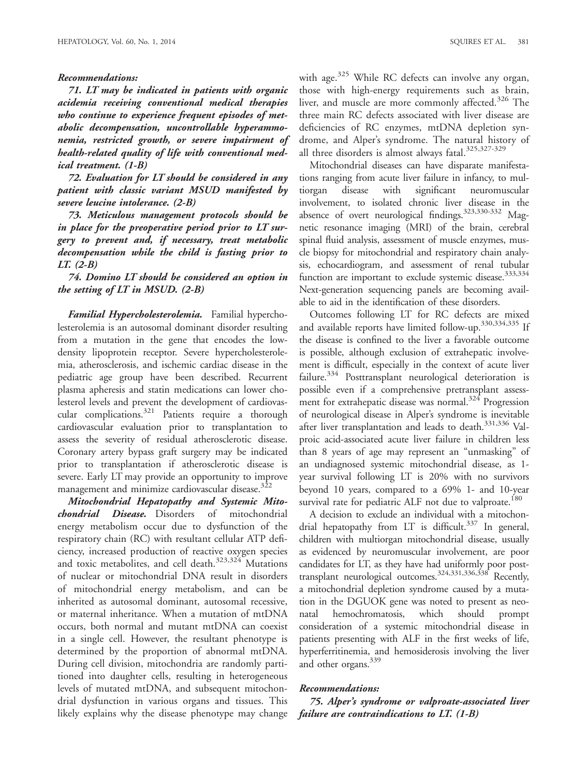#### Recommendations:

71. LT may be indicated in patients with organic acidemia receiving conventional medical therapies who continue to experience frequent episodes of metabolic decompensation, uncontrollable hyperammonemia, restricted growth, or severe impairment of health-related quality of life with conventional medical treatment. (1-B)

72. Evaluation for LT should be considered in any patient with classic variant MSUD manifested by severe leucine intolerance. (2-B)

73. Meticulous management protocols should be in place for the preoperative period prior to LT surgery to prevent and, if necessary, treat metabolic decompensation while the child is fasting prior to LT. (2-B)

# 74. Domino LT should be considered an option in the setting of LT in MSUD. (2-B)

Familial Hypercholesterolemia. Familial hypercholesterolemia is an autosomal dominant disorder resulting from a mutation in the gene that encodes the lowdensity lipoprotein receptor. Severe hypercholesterolemia, atherosclerosis, and ischemic cardiac disease in the pediatric age group have been described. Recurrent plasma apheresis and statin medications can lower cholesterol levels and prevent the development of cardiovascular complications.<sup>321</sup> Patients require a thorough cardiovascular evaluation prior to transplantation to assess the severity of residual atherosclerotic disease. Coronary artery bypass graft surgery may be indicated prior to transplantation if atherosclerotic disease is severe. Early LT may provide an opportunity to improve management and minimize cardiovascular disease.<sup>322</sup>

Mitochondrial Hepatopathy and Systemic Mitochondrial Disease. Disorders of mitochondrial energy metabolism occur due to dysfunction of the respiratory chain (RC) with resultant cellular ATP deficiency, increased production of reactive oxygen species and toxic metabolites, and cell death.<sup>323,324</sup> Mutations of nuclear or mitochondrial DNA result in disorders of mitochondrial energy metabolism, and can be inherited as autosomal dominant, autosomal recessive, or maternal inheritance. When a mutation of mtDNA occurs, both normal and mutant mtDNA can coexist in a single cell. However, the resultant phenotype is determined by the proportion of abnormal mtDNA. During cell division, mitochondria are randomly partitioned into daughter cells, resulting in heterogeneous levels of mutated mtDNA, and subsequent mitochondrial dysfunction in various organs and tissues. This likely explains why the disease phenotype may change

with age.<sup>325</sup> While RC defects can involve any organ, those with high-energy requirements such as brain, liver, and muscle are more commonly affected.<sup>326</sup> The three main RC defects associated with liver disease are deficiencies of RC enzymes, mtDNA depletion syndrome, and Alper's syndrome. The natural history of all three disorders is almost always fatal.<sup>325,327-329</sup>

Mitochondrial diseases can have disparate manifestations ranging from acute liver failure in infancy, to multiorgan disease with significant neuromuscular involvement, to isolated chronic liver disease in the absence of overt neurological findings.<sup>323,330-332</sup> Magnetic resonance imaging (MRI) of the brain, cerebral spinal fluid analysis, assessment of muscle enzymes, muscle biopsy for mitochondrial and respiratory chain analysis, echocardiogram, and assessment of renal tubular function are important to exclude systemic disease.<sup>333,334</sup> Next-generation sequencing panels are becoming available to aid in the identification of these disorders.

Outcomes following LT for RC defects are mixed and available reports have limited follow-up.<sup>330,334,335</sup> If the disease is confined to the liver a favorable outcome is possible, although exclusion of extrahepatic involvement is difficult, especially in the context of acute liver failure.<sup>334</sup> Posttransplant neurological deterioration is possible even if a comprehensive pretransplant assessment for extrahepatic disease was normal.<sup>324</sup> Progression of neurological disease in Alper's syndrome is inevitable after liver transplantation and leads to death.<sup>331,336</sup> Valproic acid-associated acute liver failure in children less than 8 years of age may represent an "unmasking" of an undiagnosed systemic mitochondrial disease, as 1 year survival following LT is 20% with no survivors beyond 10 years, compared to a 69% 1- and 10-year survival rate for pediatric ALF not due to valproate.<sup>180</sup>

A decision to exclude an individual with a mitochondrial hepatopathy from LT is difficult.<sup>337</sup> In general, children with multiorgan mitochondrial disease, usually as evidenced by neuromuscular involvement, are poor candidates for LT, as they have had uniformly poor posttransplant neurological outcomes.324,331,336,338 Recently, a mitochondrial depletion syndrome caused by a mutation in the DGUOK gene was noted to present as neonatal hemochromatosis, which should prompt consideration of a systemic mitochondrial disease in patients presenting with ALF in the first weeks of life, hyperferritinemia, and hemosiderosis involving the liver and other organs.<sup>339</sup>

## Recommendations:

75. Alper's syndrome or valproate-associated liver failure are contraindications to LT. (1-B)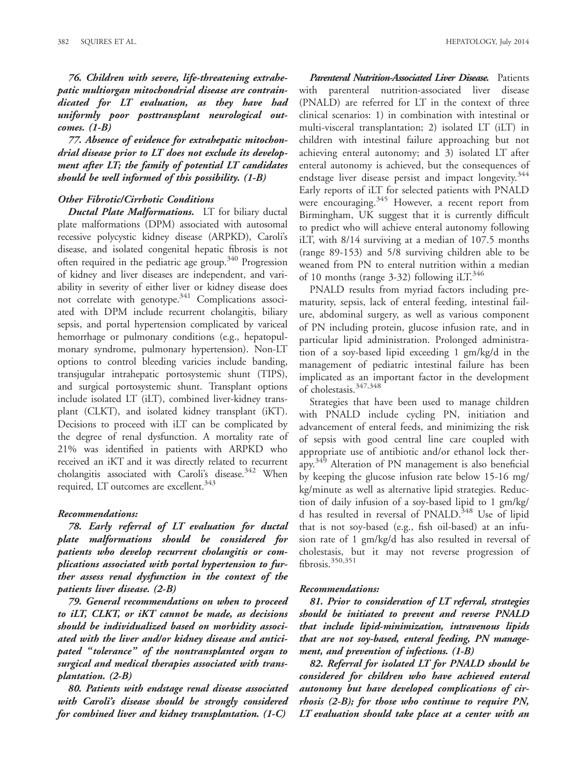76. Children with severe, life-threatening extrahepatic multiorgan mitochondrial disease are contraindicated for LT evaluation, as they have had uniformly poor posttransplant neurological outcomes. (1-B)

77. Absence of evidence for extrahepatic mitochondrial disease prior to LT does not exclude its development after LT; the family of potential LT candidates should be well informed of this possibility. (1-B)

# Other Fibrotic/Cirrhotic Conditions

Ductal Plate Malformations. LT for biliary ductal plate malformations (DPM) associated with autosomal recessive polycystic kidney disease (ARPKD), Caroli's disease, and isolated congenital hepatic fibrosis is not often required in the pediatric age group.340 Progression of kidney and liver diseases are independent, and variability in severity of either liver or kidney disease does not correlate with genotype.<sup>341</sup> Complications associated with DPM include recurrent cholangitis, biliary sepsis, and portal hypertension complicated by variceal hemorrhage or pulmonary conditions (e.g., hepatopulmonary syndrome, pulmonary hypertension). Non-LT options to control bleeding varicies include banding, transjugular intrahepatic portosystemic shunt (TIPS), and surgical portosystemic shunt. Transplant options include isolated LT (iLT), combined liver-kidney transplant (CLKT), and isolated kidney transplant (iKT). Decisions to proceed with iLT can be complicated by the degree of renal dysfunction. A mortality rate of 21% was identified in patients with ARPKD who received an iKT and it was directly related to recurrent cholangitis associated with Caroli's disease.<sup>342</sup> When required, LT outcomes are excellent.<sup>343</sup>

# Recommendations:

78. Early referral of LT evaluation for ductal plate malformations should be considered for patients who develop recurrent cholangitis or complications associated with portal hypertension to further assess renal dysfunction in the context of the patients liver disease. (2-B)

79. General recommendations on when to proceed to iLT, CLKT, or iKT cannot be made, as decisions should be individualized based on morbidity associated with the liver and/or kidney disease and anticipated " tolerance" of the nontransplanted organ to surgical and medical therapies associated with transplantation. (2-B)

80. Patients with endstage renal disease associated with Caroli's disease should be strongly considered for combined liver and kidney transplantation. (1-C)

Parenteral Nutrition-Associated Liver Disease. Patients with parenteral nutrition-associated liver disease (PNALD) are referred for LT in the context of three clinical scenarios: 1) in combination with intestinal or multi-visceral transplantation; 2) isolated LT (iLT) in children with intestinal failure approaching but not achieving enteral autonomy; and 3) isolated LT after enteral autonomy is achieved, but the consequences of endstage liver disease persist and impact longevity.<sup>344</sup> Early reports of iLT for selected patients with PNALD were encouraging.<sup>345</sup> However, a recent report from Birmingham, UK suggest that it is currently difficult to predict who will achieve enteral autonomy following iLT, with 8/14 surviving at a median of 107.5 months (range 89-153) and 5/8 surviving children able to be weaned from PN to enteral nutrition within a median of 10 months (range 3-32) following  $iLT^{346}$ 

PNALD results from myriad factors including prematurity, sepsis, lack of enteral feeding, intestinal failure, abdominal surgery, as well as various component of PN including protein, glucose infusion rate, and in particular lipid administration. Prolonged administration of a soy-based lipid exceeding 1 gm/kg/d in the management of pediatric intestinal failure has been implicated as an important factor in the development of cholestasis.347,348

Strategies that have been used to manage children with PNALD include cycling PN, initiation and advancement of enteral feeds, and minimizing the risk of sepsis with good central line care coupled with appropriate use of antibiotic and/or ethanol lock therapy.<sup>349</sup> Alteration of PN management is also beneficial by keeping the glucose infusion rate below 15-16 mg/ kg/minute as well as alternative lipid strategies. Reduction of daily infusion of a soy-based lipid to 1 gm/kg/ d has resulted in reversal of PNALD.<sup>348</sup> Use of lipid that is not soy-based (e.g., fish oil-based) at an infusion rate of 1 gm/kg/d has also resulted in reversal of cholestasis, but it may not reverse progression of fibrosis.350,351

# Recommendations:

81. Prior to consideration of LT referral, strategies should be initiated to prevent and reverse PNALD that include lipid-minimization, intravenous lipids that are not soy-based, enteral feeding, PN management, and prevention of infections. (1-B)

82. Referral for isolated LT for PNALD should be considered for children who have achieved enteral autonomy but have developed complications of cirrhosis (2-B); for those who continue to require PN, LT evaluation should take place at a center with an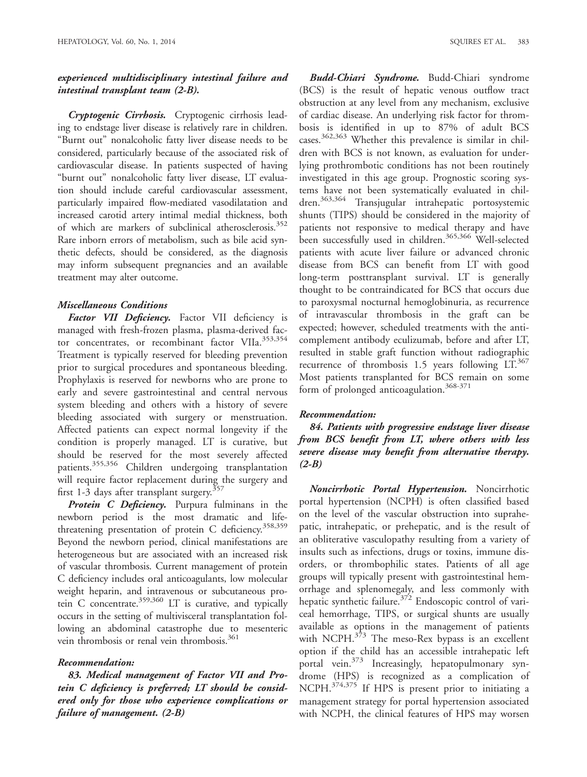# experienced multidisciplinary intestinal failure and intestinal transplant team (2-B).

Cryptogenic Cirrhosis. Cryptogenic cirrhosis leading to endstage liver disease is relatively rare in children. "Burnt out" nonalcoholic fatty liver disease needs to be considered, particularly because of the associated risk of cardiovascular disease. In patients suspected of having "burnt out" nonalcoholic fatty liver disease, LT evaluation should include careful cardiovascular assessment, particularly impaired flow-mediated vasodilatation and increased carotid artery intimal medial thickness, both of which are markers of subclinical atherosclerosis.<sup>352</sup> Rare inborn errors of metabolism, such as bile acid synthetic defects, should be considered, as the diagnosis may inform subsequent pregnancies and an available treatment may alter outcome.

## Miscellaneous Conditions

Factor VII Deficiency. Factor VII deficiency is managed with fresh-frozen plasma, plasma-derived factor concentrates, or recombinant factor VIIa.<sup>353,354</sup> Treatment is typically reserved for bleeding prevention prior to surgical procedures and spontaneous bleeding. Prophylaxis is reserved for newborns who are prone to early and severe gastrointestinal and central nervous system bleeding and others with a history of severe bleeding associated with surgery or menstruation. Affected patients can expect normal longevity if the condition is properly managed. LT is curative, but should be reserved for the most severely affected patients.355,356 Children undergoing transplantation will require factor replacement during the surgery and first 1-3 days after transplant surgery.<sup>357</sup>

Protein C Deficiency. Purpura fulminans in the newborn period is the most dramatic and lifethreatening presentation of protein C deficiency.<sup>358,359</sup> Beyond the newborn period, clinical manifestations are heterogeneous but are associated with an increased risk of vascular thrombosis. Current management of protein C deficiency includes oral anticoagulants, low molecular weight heparin, and intravenous or subcutaneous protein C concentrate.359,360 LT is curative, and typically occurs in the setting of multivisceral transplantation following an abdominal catastrophe due to mesenteric vein thrombosis or renal vein thrombosis.<sup>361</sup>

#### Recommendation:

83. Medical management of Factor VII and Protein C deficiency is preferred; LT should be considered only for those who experience complications or failure of management. (2-B)

Budd-Chiari Syndrome. Budd-Chiari syndrome (BCS) is the result of hepatic venous outflow tract obstruction at any level from any mechanism, exclusive of cardiac disease. An underlying risk factor for thrombosis is identified in up to 87% of adult BCS cases.362,363 Whether this prevalence is similar in children with BCS is not known, as evaluation for underlying prothrombotic conditions has not been routinely investigated in this age group. Prognostic scoring systems have not been systematically evaluated in children.363,364 Transjugular intrahepatic portosystemic shunts (TIPS) should be considered in the majority of patients not responsive to medical therapy and have been successfully used in children.<sup>365,366</sup> Well-selected patients with acute liver failure or advanced chronic disease from BCS can benefit from LT with good long-term posttransplant survival. LT is generally thought to be contraindicated for BCS that occurs due to paroxysmal nocturnal hemoglobinuria, as recurrence of intravascular thrombosis in the graft can be expected; however, scheduled treatments with the anticomplement antibody eculizumab, before and after LT, resulted in stable graft function without radiographic recurrence of thrombosis 1.5 years following  $LT^{367}$ Most patients transplanted for BCS remain on some form of prolonged anticoagulation.<sup>368-371</sup>

## Recommendation:

84. Patients with progressive endstage liver disease from BCS benefit from LT, where others with less severe disease may benefit from alternative therapy.  $(2-B)$ 

Noncirrhotic Portal Hypertension. Noncirrhotic portal hypertension (NCPH) is often classified based on the level of the vascular obstruction into suprahepatic, intrahepatic, or prehepatic, and is the result of an obliterative vasculopathy resulting from a variety of insults such as infections, drugs or toxins, immune disorders, or thrombophilic states. Patients of all age groups will typically present with gastrointestinal hemorrhage and splenomegaly, and less commonly with hepatic synthetic failure.<sup>372</sup> Endoscopic control of variceal hemorrhage, TIPS, or surgical shunts are usually available as options in the management of patients with NCPH.<sup>373</sup> The meso-Rex bypass is an excellent option if the child has an accessible intrahepatic left portal vein.<sup>373</sup> Increasingly, hepatopulmonary syndrome (HPS) is recognized as a complication of NCPH. $^{374,375}$  If HPS is present prior to initiating a management strategy for portal hypertension associated with NCPH, the clinical features of HPS may worsen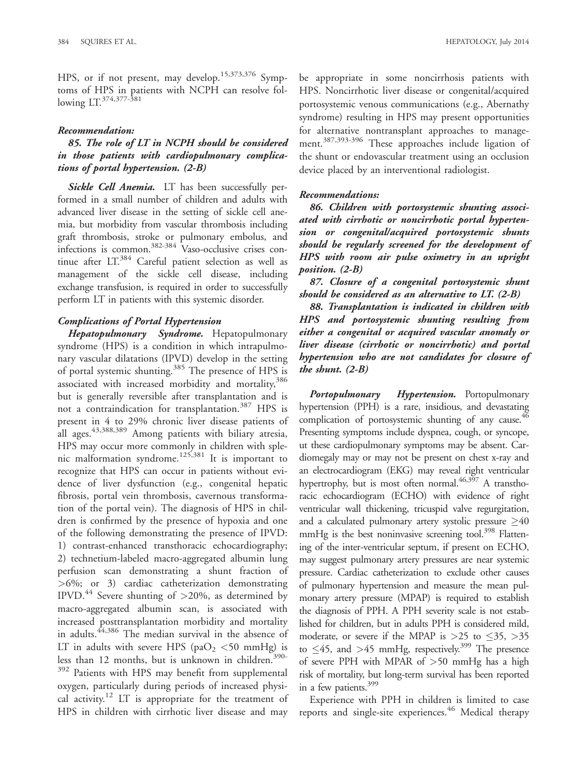HPS, or if not present, may develop.<sup>15,373,376</sup> Symptoms of HPS in patients with NCPH can resolve following LT.<sup>374,377-381</sup>

#### Recommendation:

# 85. The role of LT in NCPH should be considered in those patients with cardiopulmonary complications of portal hypertension. (2-B)

Sickle Cell Anemia. LT has been successfully performed in a small number of children and adults with advanced liver disease in the setting of sickle cell anemia, but morbidity from vascular thrombosis including graft thrombosis, stroke or pulmonary embolus, and infections is common.<sup>382-384</sup> Vaso-occlusive crises continue after LT.384 Careful patient selection as well as management of the sickle cell disease, including exchange transfusion, is required in order to successfully perform LT in patients with this systemic disorder.

## Complications of Portal Hypertension

Hepatopulmonary Syndrome. Hepatopulmonary syndrome (HPS) is a condition in which intrapulmonary vascular dilatations (IPVD) develop in the setting of portal systemic shunting.<sup>385</sup> The presence of HPS is associated with increased morbidity and mortality, 386 but is generally reversible after transplantation and is not a contraindication for transplantation.<sup>387</sup> HPS is present in 4 to 29% chronic liver disease patients of all ages.<sup>43,388,389</sup> Among patients with biliary atresia, HPS may occur more commonly in children with splenic malformation syndrome.125,381 It is important to recognize that HPS can occur in patients without evidence of liver dysfunction (e.g., congenital hepatic fibrosis, portal vein thrombosis, cavernous transformation of the portal vein). The diagnosis of HPS in children is confirmed by the presence of hypoxia and one of the following demonstrating the presence of IPVD: 1) contrast-enhanced transthoracic echocardiography; 2) technetium-labeled macro-aggregated albumin lung perfusion scan demonstrating a shunt fraction of >6%; or 3) cardiac catheterization demonstrating IPVD.<sup>44</sup> Severe shunting of  $>$ 20%, as determined by macro-aggregated albumin scan, is associated with increased posttransplantation morbidity and mortality in adults.<sup>44,386</sup> The median survival in the absence of LT in adults with severe HPS (pa $O_2$  <50 mmHg) is less than 12 months, but is unknown in children.<sup>390-</sup> <sup>392</sup> Patients with HPS may benefit from supplemental oxygen, particularly during periods of increased physical activity.<sup>12</sup> LT is appropriate for the treatment of HPS in children with cirrhotic liver disease and may

be appropriate in some noncirrhosis patients with HPS. Noncirrhotic liver disease or congenital/acquired portosystemic venous communications (e.g., Abernathy syndrome) resulting in HPS may present opportunities for alternative nontransplant approaches to management.387,393-396 These approaches include ligation of the shunt or endovascular treatment using an occlusion device placed by an interventional radiologist.

#### Recommendations:

86. Children with portosystemic shunting associated with cirrhotic or noncirrhotic portal hypertension or congenital/acquired portosystemic shunts should be regularly screened for the development of HPS with room air pulse oximetry in an upright position. (2-B)

87. Closure of a congenital portosystemic shunt should be considered as an alternative to LT. (2-B)

88. Transplantation is indicated in children with HPS and portosystemic shunting resulting from either a congenital or acquired vascular anomaly or liver disease (cirrhotic or noncirrhotic) and portal hypertension who are not candidates for closure of the shunt. (2-B)

Portopulmonary Hypertension. Portopulmonary hypertension (PPH) is a rare, insidious, and devastating complication of portosystemic shunting of any cause.<sup>46</sup> Presenting symptoms include dyspnea, cough, or syncope, ut these cardiopulmonary symptoms may be absent. Cardiomegaly may or may not be present on chest x-ray and an electrocardiogram (EKG) may reveal right ventricular hypertrophy, but is most often normal.<sup>46,397</sup> A transthoracic echocardiogram (ECHO) with evidence of right ventricular wall thickening, tricuspid valve regurgitation, and a calculated pulmonary artery systolic pressure  $\geq 40$ mmHg is the best noninvasive screening tool.<sup>398</sup> Flattening of the inter-ventricular septum, if present on ECHO, may suggest pulmonary artery pressures are near systemic pressure. Cardiac catheterization to exclude other causes of pulmonary hypertension and measure the mean pulmonary artery pressure (MPAP) is required to establish the diagnosis of PPH. A PPH severity scale is not established for children, but in adults PPH is considered mild, moderate, or severe if the MPAP is  $>25$  to  $\leq 35$ ,  $>35$ to  $\leq$ 45, and >45 mmHg, respectively.<sup>399</sup> The presence of severe PPH with MPAR of >50 mmHg has a high risk of mortality, but long-term survival has been reported in a few patients.<sup>399</sup>

Experience with PPH in children is limited to case reports and single-site experiences.<sup>46</sup> Medical therapy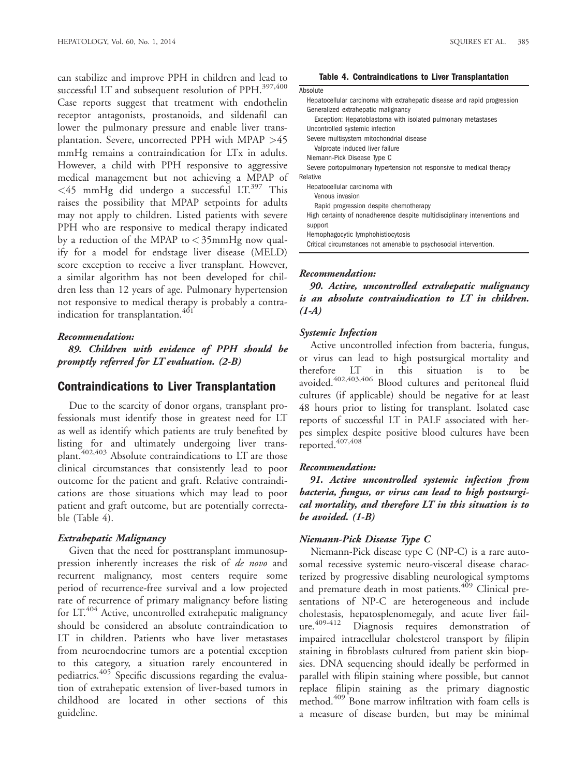can stabilize and improve PPH in children and lead to successful LT and subsequent resolution of PPH.<sup>397,400</sup> Case reports suggest that treatment with endothelin receptor antagonists, prostanoids, and sildenafil can lower the pulmonary pressure and enable liver transplantation. Severe, uncorrected PPH with MPAP >45 mmHg remains a contraindication for LTx in adults. However, a child with PPH responsive to aggressive medical management but not achieving a MPAP of  $\leq$  45 mmHg did undergo a successful LT.<sup>397</sup> This raises the possibility that MPAP setpoints for adults may not apply to children. Listed patients with severe PPH who are responsive to medical therapy indicated by a reduction of the MPAP to < 35mmHg now qualify for a model for endstage liver disease (MELD) score exception to receive a liver transplant. However, a similar algorithm has not been developed for children less than 12 years of age. Pulmonary hypertension not responsive to medical therapy is probably a contraindication for transplantation.<sup>401</sup>

## Recommendation:

89. Children with evidence of PPH should be promptly referred for LT evaluation. (2-B)

## Contraindications to Liver Transplantation

Due to the scarcity of donor organs, transplant professionals must identify those in greatest need for LT as well as identify which patients are truly benefited by listing for and ultimately undergoing liver transplant.<sup>402,403</sup> Absolute contraindications to LT are those clinical circumstances that consistently lead to poor outcome for the patient and graft. Relative contraindications are those situations which may lead to poor patient and graft outcome, but are potentially correctable (Table 4).

#### Extrahepatic Malignancy

Given that the need for posttransplant immunosuppression inherently increases the risk of de novo and recurrent malignancy, most centers require some period of recurrence-free survival and a low projected rate of recurrence of primary malignancy before listing for LT.<sup>404</sup> Active, uncontrolled extrahepatic malignancy should be considered an absolute contraindication to LT in children. Patients who have liver metastases from neuroendocrine tumors are a potential exception to this category, a situation rarely encountered in pediatrics.<sup>405</sup> Specific discussions regarding the evaluation of extrahepatic extension of liver-based tumors in childhood are located in other sections of this guideline.

#### Table 4. Contraindications to Liver Transplantation

| Absolute                                                                   |  |
|----------------------------------------------------------------------------|--|
| Hepatocellular carcinoma with extrahepatic disease and rapid progression   |  |
| Generalized extrahepatic malignancy                                        |  |
| Exception: Hepatoblastoma with isolated pulmonary metastases               |  |
| Uncontrolled systemic infection                                            |  |
| Severe multisystem mitochondrial disease                                   |  |
| Valproate induced liver failure                                            |  |
| Niemann-Pick Disease Type C                                                |  |
| Severe portopulmonary hypertension not responsive to medical therapy       |  |
| Relative                                                                   |  |
| Hepatocellular carcinoma with                                              |  |
| Venous invasion                                                            |  |
| Rapid progression despite chemotherapy                                     |  |
| High certainty of nonadherence despite multidisciplinary interventions and |  |
| support                                                                    |  |
| Hemophagocytic lymphohistiocytosis                                         |  |
| Critical circumstances not amenable to psychosocial intervention.          |  |
|                                                                            |  |

#### Recommendation:

90. Active, uncontrolled extrahepatic malignancy is an absolute contraindication to LT in children.  $(I-A)$ 

#### Systemic Infection

Active uncontrolled infection from bacteria, fungus, or virus can lead to high postsurgical mortality and therefore LT in this situation is to be avoided.402,403,406 Blood cultures and peritoneal fluid cultures (if applicable) should be negative for at least 48 hours prior to listing for transplant. Isolated case reports of successful LT in PALF associated with herpes simplex despite positive blood cultures have been reported. $407,408$ 

#### Recommendation:

91. Active uncontrolled systemic infection from bacteria, fungus, or virus can lead to high postsurgical mortality, and therefore LT in this situation is to be avoided. (1-B)

#### Niemann-Pick Disease Type C

Niemann-Pick disease type C (NP-C) is a rare autosomal recessive systemic neuro-visceral disease characterized by progressive disabling neurological symptoms and premature death in most patients.<sup>409</sup> Clinical presentations of NP-C are heterogeneous and include cholestasis, hepatosplenomegaly, and acute liver failure.409-412 Diagnosis requires demonstration of impaired intracellular cholesterol transport by filipin staining in fibroblasts cultured from patient skin biopsies. DNA sequencing should ideally be performed in parallel with filipin staining where possible, but cannot replace filipin staining as the primary diagnostic method.<sup>409</sup> Bone marrow infiltration with foam cells is a measure of disease burden, but may be minimal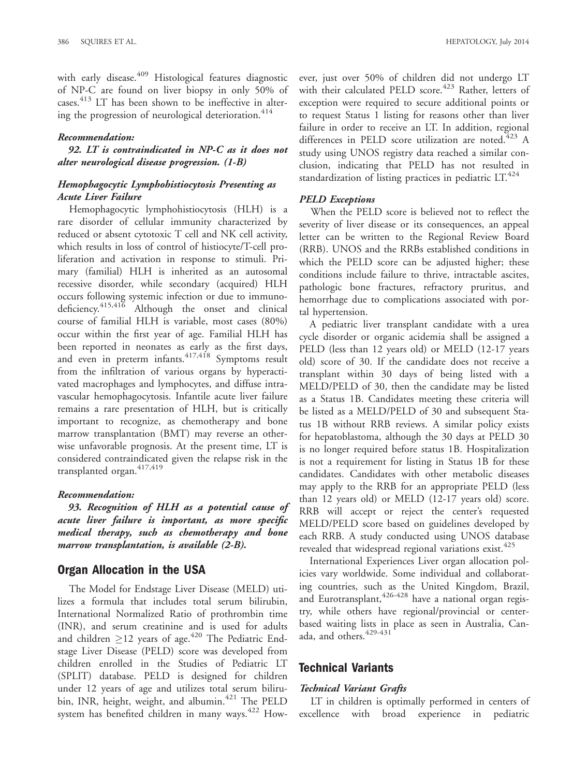with early disease.<sup>409</sup> Histological features diagnostic of NP-C are found on liver biopsy in only 50% of cases. <sup>413</sup> LT has been shown to be ineffective in altering the progression of neurological deterioration. $414$ 

#### Recommendation:

92. LT is contraindicated in NP-C as it does not alter neurological disease progression. (1-B)

# Hemophagocytic Lymphohistiocytosis Presenting as Acute Liver Failure

Hemophagocytic lymphohistiocytosis (HLH) is a rare disorder of cellular immunity characterized by reduced or absent cytotoxic T cell and NK cell activity, which results in loss of control of histiocyte/T-cell proliferation and activation in response to stimuli. Primary (familial) HLH is inherited as an autosomal recessive disorder, while secondary (acquired) HLH occurs following systemic infection or due to immunodeficiency.415,416 Although the onset and clinical course of familial HLH is variable, most cases (80%) occur within the first year of age. Familial HLH has been reported in neonates as early as the first days, and even in preterm infants.  $417,418$  Symptoms result from the infiltration of various organs by hyperactivated macrophages and lymphocytes, and diffuse intravascular hemophagocytosis. Infantile acute liver failure remains a rare presentation of HLH, but is critically important to recognize, as chemotherapy and bone marrow transplantation (BMT) may reverse an otherwise unfavorable prognosis. At the present time, LT is considered contraindicated given the relapse risk in the transplanted organ.<sup>417,419</sup>

#### Recommendation:

93. Recognition of HLH as a potential cause of acute liver failure is important, as more specific medical therapy, such as chemotherapy and bone marrow transplantation, is available (2-B).

# Organ Allocation in the USA

The Model for Endstage Liver Disease (MELD) utilizes a formula that includes total serum bilirubin, International Normalized Ratio of prothrombin time (INR), and serum creatinine and is used for adults and children  $\geq$ 12 years of age.<sup>420</sup> The Pediatric Endstage Liver Disease (PELD) score was developed from children enrolled in the Studies of Pediatric LT (SPLIT) database. PELD is designed for children under 12 years of age and utilizes total serum bilirubin, INR, height, weight, and albumin.<sup>421</sup> The PELD system has benefited children in many ways.<sup>422</sup> However, just over 50% of children did not undergo LT with their calculated PELD score.<sup>423</sup> Rather, letters of exception were required to secure additional points or to request Status 1 listing for reasons other than liver failure in order to receive an LT. In addition, regional differences in PELD score utilization are noted.<sup>423</sup> A study using UNOS registry data reached a similar conclusion, indicating that PELD has not resulted in standardization of listing practices in pediatric  $LT^{424}$ 

## PELD Exceptions

When the PELD score is believed not to reflect the severity of liver disease or its consequences, an appeal letter can be written to the Regional Review Board (RRB). UNOS and the RRBs established conditions in which the PELD score can be adjusted higher; these conditions include failure to thrive, intractable ascites, pathologic bone fractures, refractory pruritus, and hemorrhage due to complications associated with portal hypertension.

A pediatric liver transplant candidate with a urea cycle disorder or organic acidemia shall be assigned a PELD (less than 12 years old) or MELD (12-17 years old) score of 30. If the candidate does not receive a transplant within 30 days of being listed with a MELD/PELD of 30, then the candidate may be listed as a Status 1B. Candidates meeting these criteria will be listed as a MELD/PELD of 30 and subsequent Status 1B without RRB reviews. A similar policy exists for hepatoblastoma, although the 30 days at PELD 30 is no longer required before status 1B. Hospitalization is not a requirement for listing in Status 1B for these candidates. Candidates with other metabolic diseases may apply to the RRB for an appropriate PELD (less than 12 years old) or MELD (12-17 years old) score. RRB will accept or reject the center's requested MELD/PELD score based on guidelines developed by each RRB. A study conducted using UNOS database revealed that widespread regional variations exist.<sup>425</sup>

International Experiences Liver organ allocation policies vary worldwide. Some individual and collaborating countries, such as the United Kingdom, Brazil, and Eurotransplant, <sup>426-428</sup> have a national organ registry, while others have regional/provincial or centerbased waiting lists in place as seen in Australia, Canada, and others.  $429-431$ 

# Technical Variants

#### Technical Variant Grafts

LT in children is optimally performed in centers of excellence with broad experience in pediatric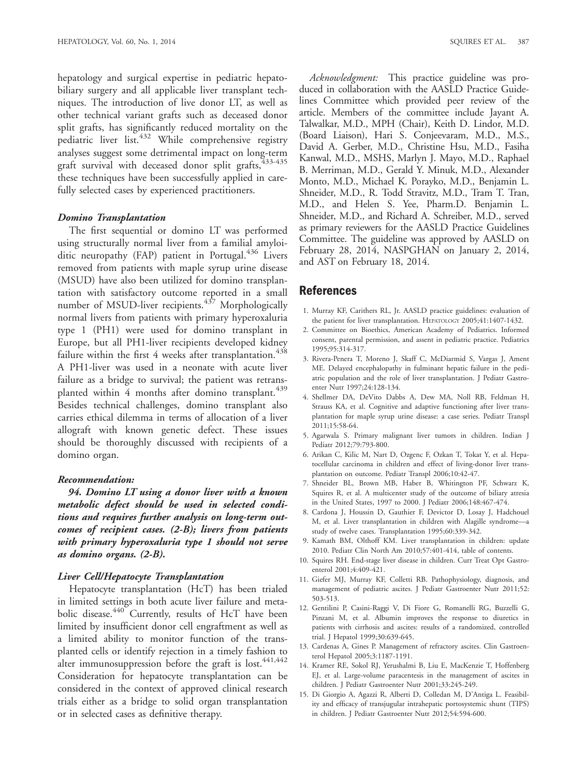hepatology and surgical expertise in pediatric hepatobiliary surgery and all applicable liver transplant techniques. The introduction of live donor LT, as well as other technical variant grafts such as deceased donor split grafts, has significantly reduced mortality on the pediatric liver list.<sup>432</sup> While comprehensive registry analyses suggest some detrimental impact on long-term graft survival with deceased donor split grafts,  $433-435$ these techniques have been successfully applied in carefully selected cases by experienced practitioners.

#### Domino Transplantation

The first sequential or domino LT was performed using structurally normal liver from a familial amyloiditic neuropathy (FAP) patient in Portugal. $436$  Livers removed from patients with maple syrup urine disease (MSUD) have also been utilized for domino transplantation with satisfactory outcome reported in a small number of MSUD-liver recipients.<sup>437</sup> Morphologically normal livers from patients with primary hyperoxaluria type 1 (PH1) were used for domino transplant in Europe, but all PH1-liver recipients developed kidney failure within the first 4 weeks after transplantation.<sup>438</sup> A PH1-liver was used in a neonate with acute liver failure as a bridge to survival; the patient was retransplanted within  $4$  months after domino transplant.<sup>439</sup> Besides technical challenges, domino transplant also carries ethical dilemma in terms of allocation of a liver allograft with known genetic defect. These issues should be thoroughly discussed with recipients of a domino organ.

#### Recommendation:

94. Domino LT using a donor liver with a known metabolic defect should be used in selected conditions and requires further analysis on long-term outcomes of recipient cases. (2-B); livers from patients with primary hyperoxaluria type 1 should not serve as domino organs. (2-B).

#### Liver Cell/Hepatocyte Transplantation

Hepatocyte transplantation (HcT) has been trialed in limited settings in both acute liver failure and metabolic disease.<sup>440</sup> Currently, results of HcT have been limited by insufficient donor cell engraftment as well as a limited ability to monitor function of the transplanted cells or identify rejection in a timely fashion to alter immunosuppression before the graft is lost.<sup>441,442</sup> Consideration for hepatocyte transplantation can be considered in the context of approved clinical research trials either as a bridge to solid organ transplantation or in selected cases as definitive therapy.

Acknowledgment: This practice guideline was produced in collaboration with the AASLD Practice Guidelines Committee which provided peer review of the article. Members of the committee include Jayant A. Talwalkar, M.D., MPH (Chair), Keith D. Lindor, M.D. (Board Liaison), Hari S. Conjeevaram, M.D., M.S., David A. Gerber, M.D., Christine Hsu, M.D., Fasiha Kanwal, M.D., MSHS, Marlyn J. Mayo, M.D., Raphael B. Merriman, M.D., Gerald Y. Minuk, M.D., Alexander Monto, M.D., Michael K. Porayko, M.D., Benjamin L. Shneider, M.D., R. Todd Stravitz, M.D., Tram T. Tran, M.D., and Helen S. Yee, Pharm.D. Benjamin L. Shneider, M.D., and Richard A. Schreiber, M.D., served as primary reviewers for the AASLD Practice Guidelines Committee. The guideline was approved by AASLD on February 28, 2014, NASPGHAN on January 2, 2014, and AST on February 18, 2014.

# References

- 1. Murray KF, Carithers RL, Jr. AASLD practice guidelines: evaluation of the patient for liver transplantation. HEPATOLOGY 2005;41:1407-1432.
- 2. Committee on Bioethics, American Academy of Pediatrics. Informed consent, parental permission, and assent in pediatric practice. Pediatrics 1995;95:314-317.
- 3. Rivera-Penera T, Moreno J, Skaff C, McDiarmid S, Vargas J, Ament ME. Delayed encephalopathy in fulminant hepatic failure in the pediatric population and the role of liver transplantation. J Pediatr Gastroenter Nutr 1997;24:128-134.
- 4. Shellmer DA, DeVito Dabbs A, Dew MA, Noll RB, Feldman H, Strauss KA, et al. Cognitive and adaptive functioning after liver transplantation for maple syrup urine disease: a case series. Pediatr Transpl 2011;15:58-64.
- 5. Agarwala S. Primary malignant liver tumors in children. Indian J Pediatr 2012;79:793-800.
- 6. Arikan C, Kilic M, Nart D, Ozgenc F, Ozkan T, Tokat Y, et al. Hepatocellular carcinoma in children and effect of living-donor liver transplantation on outcome. Pediatr Transpl 2006;10:42-47.
- 7. Shneider BL, Brown MB, Haber B, Whitington PF, Schwarz K, Squires R, et al. A multicenter study of the outcome of biliary atresia in the United States, 1997 to 2000. J Pediatr 2006;148:467-474.
- 8. Cardona J, Houssin D, Gauthier F, Devictor D, Losay J, Hadchouel M, et al. Liver transplantation in children with Alagille syndrome—a study of twelve cases. Transplantation 1995;60:339-342.
- 9. Kamath BM, Olthoff KM. Liver transplantation in children: update 2010. Pediatr Clin North Am 2010;57:401-414, table of contents.
- 10. Squires RH. End-stage liver disease in children. Curr Treat Opt Gastroenterol 2001;4:409-421.
- 11. Giefer MJ, Murray KF, Colletti RB. Pathophysiology, diagnosis, and management of pediatric ascites. J Pediatr Gastroenter Nutr 2011;52: 503-513.
- 12. Gentilini P, Casini-Raggi V, Di Fiore G, Romanelli RG, Buzzelli G, Pinzani M, et al. Albumin improves the response to diuretics in patients with cirrhosis and ascites: results of a randomized, controlled trial. J Hepatol 1999;30:639-645.
- 13. Cardenas A, Gines P. Management of refractory ascites. Clin Gastroenterol Hepatol 2005;3:1187-1191.
- 14. Kramer RE, Sokol RJ, Yerushalmi B, Liu E, MacKenzie T, Hoffenberg EJ, et al. Large-volume paracentesis in the management of ascites in children. J Pediatr Gastroenter Nutr 2001;33:245-249.
- 15. Di Giorgio A, Agazzi R, Alberti D, Colledan M, D'Antiga L. Feasibility and efficacy of transjugular intrahepatic portosystemic shunt (TIPS) in children. J Pediatr Gastroenter Nutr 2012;54:594-600.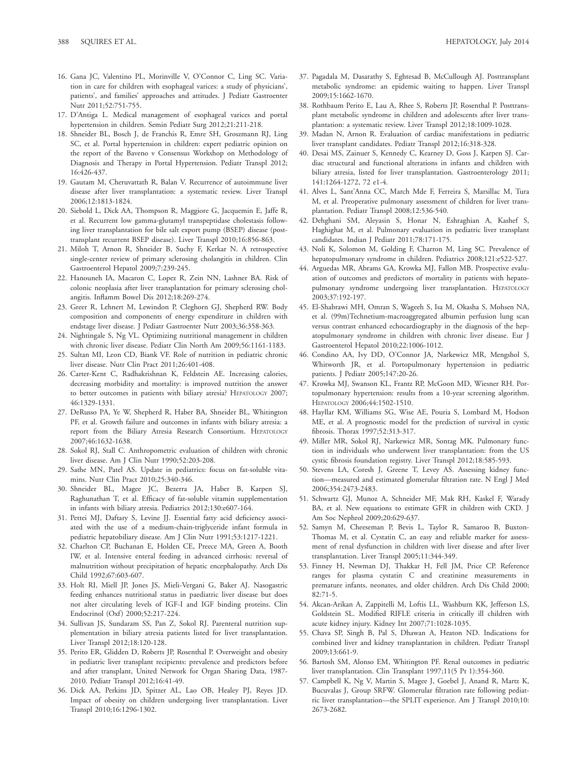- 16. Gana JC, Valentino PL, Morinville V, O'Connor C, Ling SC. Variation in care for children with esophageal varices: a study of physicians', patients', and families' approaches and attitudes. J Pediatr Gastroenter Nutr 2011;52:751-755.
- 17. D'Antiga L. Medical management of esophageal varices and portal hypertension in children. Semin Pediatr Surg 2012;21:211-218.
- 18. Shneider BL, Bosch J, de Franchis R, Emre SH, Groszmann RJ, Ling SC, et al. Portal hypertension in children: expert pediatric opinion on the report of the Baveno v Consensus Workshop on Methodology of Diagnosis and Therapy in Portal Hypertension. Pediatr Transpl 2012; 16:426-437.
- 19. Gautam M, Cheruvattath R, Balan V. Recurrence of autoimmune liver disease after liver transplantation: a systematic review. Liver Transpl 2006;12:1813-1824.
- 20. Siebold L, Dick AA, Thompson R, Maggiore G, Jacquemin E, Jaffe R, et al. Recurrent low gamma-glutamyl transpeptidase cholestasis following liver transplantation for bile salt export pump (BSEP) disease (posttransplant recurrent BSEP disease). Liver Transpl 2010;16:856-863.
- 21. Miloh T, Arnon R, Shneider B, Suchy F, Kerkar N. A retrospective single-center review of primary sclerosing cholangitis in children. Clin Gastroenterol Hepatol 2009;7:239-245.
- 22. Hanouneh IA, Macaron C, Lopez R, Zein NN, Lashner BA. Risk of colonic neoplasia after liver transplantation for primary sclerosing cholangitis. Inflamm Bowel Dis 2012;18:269-274.
- 23. Greer R, Lehnert M, Lewindon P, Cleghorn GJ, Shepherd RW. Body composition and components of energy expenditure in children with endstage liver disease. J Pediatr Gastroenter Nutr 2003;36:358-363.
- 24. Nightingale S, Ng VL. Optimizing nutritional management in children with chronic liver disease. Pediatr Clin North Am 2009;56:1161-1183.
- 25. Sultan MI, Leon CD, Biank VF. Role of nutrition in pediatric chronic liver disease. Nutr Clin Pract 2011;26:401-408.
- 26. Carter-Kent C, Radhakrishnan K, Feldstein AE. Increasing calories, decreasing morbidity and mortality: is improved nutrition the answer to better outcomes in patients with biliary atresia? HEPATOLOGY 2007; 46:1329-1331.
- 27. DeRusso PA, Ye W, Shepherd R, Haber BA, Shneider BL, Whitington PF, et al. Growth failure and outcomes in infants with biliary atresia: a report from the Biliary Atresia Research Consortium. HEPATOLOGY 2007;46:1632-1638.
- Sokol RJ, Stall C. Anthropometric evaluation of children with chronic liver disease. Am J Clin Nutr 1990;52:203-208.
- 29. Sathe MN, Patel AS. Update in pediatrics: focus on fat-soluble vitamins. Nutr Clin Pract 2010;25:340-346.
- 30. Shneider BL, Magee JC, Bezerra JA, Haber B, Karpen SJ, Raghunathan T, et al. Efficacy of fat-soluble vitamin supplementation in infants with biliary atresia. Pediatrics 2012;130:e607-164.
- 31. Pettei MJ, Daftary S, Levine JJ. Essential fatty acid deficiency associated with the use of a medium-chain-triglyceride infant formula in pediatric hepatobiliary disease. Am J Clin Nutr 1991;53:1217-1221.
- 32. Charlton CP, Buchanan E, Holden CE, Preece MA, Green A, Booth IW, et al. Intensive enteral feeding in advanced cirrhosis: reversal of malnutrition without precipitation of hepatic encephalopathy. Arch Dis Child 1992;67:603-607.
- 33. Holt RI, Miell JP, Jones JS, Mieli-Vergani G, Baker AJ. Nasogastric feeding enhances nutritional status in paediatric liver disease but does not alter circulating levels of IGF-I and IGF binding proteins. Clin Endocrinol (Oxf) 2000;52:217-224.
- 34. Sullivan JS, Sundaram SS, Pan Z, Sokol RJ. Parenteral nutrition supplementation in biliary atresia patients listed for liver transplantation. Liver Transpl 2012;18:120-128.
- 35. Perito ER, Glidden D, Roberts JP, Rosenthal P. Overweight and obesity in pediatric liver transplant recipients: prevalence and predictors before and after transplant, United Network for Organ Sharing Data, 1987- 2010. Pediatr Transpl 2012;16:41-49.
- 36. Dick AA, Perkins JD, Spitzer AL, Lao OB, Healey PJ, Reyes JD. Impact of obesity on children undergoing liver transplantation. Liver Transpl 2010;16:1296-1302.
- 37. Pagadala M, Dasarathy S, Eghtesad B, McCullough AJ. Posttransplant metabolic syndrome: an epidemic waiting to happen. Liver Transpl 2009;15:1662-1670.
- 38. Rothbaum Perito E, Lau A, Rhee S, Roberts JP, Rosenthal P. Posttransplant metabolic syndrome in children and adolescents after liver transplantation: a systematic review. Liver Transpl 2012;18:1009-1028.
- 39. Madan N, Arnon R. Evaluation of cardiac manifestations in pediatric liver transplant candidates. Pediatr Transpl 2012;16:318-328.
- 40. Desai MS, Zainuer S, Kennedy C, Kearney D, Goss J, Karpen SJ. Cardiac structural and functional alterations in infants and children with biliary atresia, listed for liver transplantation. Gastroenterology 2011; 141:1264-1272, 72 e1-4.
- 41. Alves L, Sant'Anna CC, March Mde F, Ferreira S, Marsillac M, Tura M, et al. Preoperative pulmonary assessment of children for liver transplantation. Pediatr Transpl 2008;12:536-540.
- 42. Dehghani SM, Aleyasin S, Honar N, Eshraghian A, Kashef S, Haghighat M, et al. Pulmonary evaluation in pediatric liver transplant candidates. Indian J Pediatr 2011;78:171-175.
- 43. Noli K, Solomon M, Golding F, Charron M, Ling SC. Prevalence of hepatopulmonary syndrome in children. Pediatrics 2008;121:e522-527.
- 44. Arguedas MR, Abrams GA, Krowka MJ, Fallon MB. Prospective evaluation of outcomes and predictors of mortality in patients with hepatopulmonary syndrome undergoing liver transplantation. HEPATOLOGY 2003;37:192-197.
- 45. El-Shabrawi MH, Omran S, Wageeh S, Isa M, Okasha S, Mohsen NA, et al. (99m)Technetium-macroaggregated albumin perfusion lung scan versus contrast enhanced echocardiography in the diagnosis of the hepatopulmonary syndrome in children with chronic liver disease. Eur J Gastroenterol Hepatol 2010;22:1006-1012.
- 46. Condino AA, Ivy DD, O'Connor JA, Narkewicz MR, Mengshol S, Whitworth JR, et al. Portopulmonary hypertension in pediatric patients. J Pediatr 2005;147:20-26.
- 47. Krowka MJ, Swanson KL, Frantz RP, McGoon MD, Wiesner RH. Portopulmonary hypertension: results from a 10-year screening algorithm. HEPATOLOGY 2006;44:1502-1510.
- 48. Hayllar KM, Williams SG, Wise AE, Pouria S, Lombard M, Hodson ME, et al. A prognostic model for the prediction of survival in cystic fibrosis. Thorax 1997;52:313-317.
- 49. Miller MR, Sokol RJ, Narkewicz MR, Sontag MK. Pulmonary function in individuals who underwent liver transplantation: from the US cystic fibrosis foundation registry. Liver Transpl 2012;18:585-593.
- 50. Stevens LA, Coresh J, Greene T, Levey AS. Assessing kidney function—measured and estimated glomerular filtration rate. N Engl J Med 2006;354:2473-2483.
- 51. Schwartz GJ, Munoz A, Schneider MF, Mak RH, Kaskel F, Warady BA, et al. New equations to estimate GFR in children with CKD. J Am Soc Nephrol 2009;20:629-637.
- 52. Samyn M, Cheeseman P, Bevis L, Taylor R, Samaroo B, Buxton-Thomas M, et al. Cystatin C, an easy and reliable marker for assessment of renal dysfunction in children with liver disease and after liver transplantation. Liver Transpl 2005;11:344-349.
- 53. Finney H, Newman DJ, Thakkar H, Fell JM, Price CP. Reference ranges for plasma cystatin C and creatinine measurements in premature infants, neonates, and older children. Arch Dis Child 2000; 82:71-5.
- 54. Akcan-Arikan A, Zappitelli M, Loftis LL, Washburn KK, Jefferson LS, Goldstein SL. Modified RIFLE criteria in critically ill children with acute kidney injury. Kidney Int 2007;71:1028-1035.
- 55. Chava SP, Singh B, Pal S, Dhawan A, Heaton ND. Indications for combined liver and kidney transplantation in children. Pediatr Transpl 2009;13:661-9.
- 56. Bartosh SM, Alonso EM, Whitington PF. Renal outcomes in pediatric liver transplantation. Clin Transplant 1997;11(5 Pt 1):354-360.
- 57. Campbell K, Ng V, Martin S, Magee J, Goebel J, Anand R, Martz K, Bucuvalas J, Group SRFW. Glomerular filtration rate following pediatric liver transplantation—the SPLIT experience. Am J Transpl 2010;10: 2673-2682.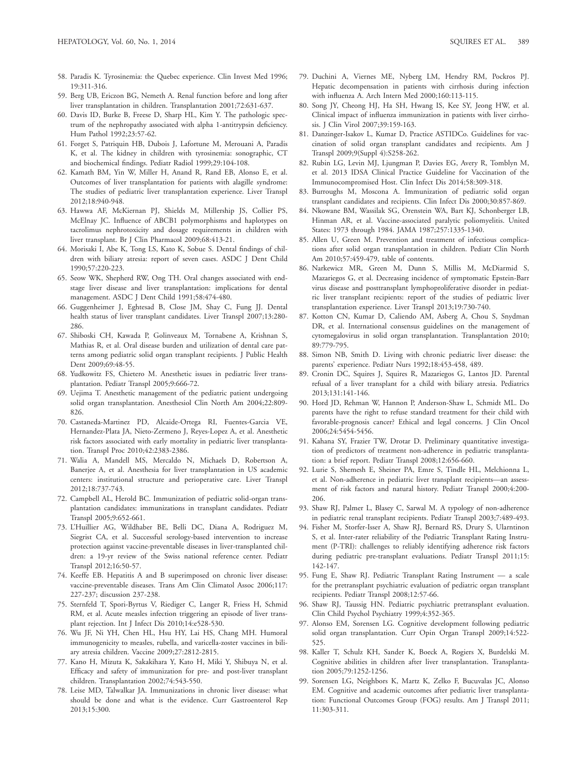- 58. Paradis K. Tyrosinemia: the Quebec experience. Clin Invest Med 1996; 19:311-316.
- 59. Berg UB, Ericzon BG, Nemeth A. Renal function before and long after liver transplantation in children. Transplantation 2001;72:631-637.
- 60. Davis ID, Burke B, Freese D, Sharp HL, Kim Y. The pathologic spectrum of the nephropathy associated with alpha 1-antitrypsin deficiency. Hum Pathol 1992;23:57-62.
- 61. Forget S, Patriquin HB, Dubois J, Lafortune M, Merouani A, Paradis K, et al. The kidney in children with tyrosinemia: sonographic, CT and biochemical findings. Pediatr Radiol 1999;29:104-108.
- 62. Kamath BM, Yin W, Miller H, Anand R, Rand EB, Alonso E, et al. Outcomes of liver transplantation for patients with alagille syndrome: The studies of pediatric liver transplantation experience. Liver Transpl 2012;18:940-948.
- 63. Hawwa AF, McKiernan PJ, Shields M, Millership JS, Collier PS, McElnay JC. Influence of ABCB1 polymorphisms and haplotypes on tacrolimus nephrotoxicity and dosage requirements in children with liver transplant. Br J Clin Pharmacol 2009;68:413-21.
- 64. Morisaki I, Abe K, Tong LS, Kato K, Sobue S. Dental findings of children with biliary atresia: report of seven cases. ASDC J Dent Child 1990;57:220-223.
- 65. Seow WK, Shepherd RW, Ong TH. Oral changes associated with endstage liver disease and liver transplantation: implications for dental management. ASDC J Dent Child 1991;58:474-480.
- 66. Guggenheimer J, Eghtesad B, Close JM, Shay C, Fung JJ. Dental health status of liver transplant candidates. Liver Transpl 2007;13:280- 286.
- 67. Shiboski CH, Kawada P, Golinveaux M, Tornabene A, Krishnan S, Mathias R, et al. Oral disease burden and utilization of dental care patterns among pediatric solid organ transplant recipients. J Public Health Dent 2009;69:48-55.
- 68. Yudkowitz FS, Chietero M. Anesthetic issues in pediatric liver transplantation. Pediatr Transpl 2005;9:666-72.
- 69. Uejima T. Anesthetic management of the pediatric patient undergoing solid organ transplantation. Anesthesiol Clin North Am 2004;22:809- 826.
- 70. Castaneda-Martinez PD, Alcaide-Ortega RI, Fuentes-Garcia VE, Hernandez-Plata JA, Nieto-Zermeno J, Reyes-Lopez A, et al. Anesthetic risk factors associated with early mortality in pediatric liver transplantation. Transpl Proc 2010;42:2383-2386.
- 71. Walia A, Mandell MS, Mercaldo N, Michaels D, Robertson A, Banerjee A, et al. Anesthesia for liver transplantation in US academic centers: institutional structure and perioperative care. Liver Transpl 2012;18:737-743.
- 72. Campbell AL, Herold BC. Immunization of pediatric solid-organ transplantation candidates: immunizations in transplant candidates. Pediatr Transpl 2005;9:652-661.
- 73. L'Huillier AG, Wildhaber BE, Belli DC, Diana A, Rodriguez M, Siegrist CA, et al. Successful serology-based intervention to increase protection against vaccine-preventable diseases in liver-transplanted children: a 19-yr review of the Swiss national reference center. Pediatr Transpl 2012;16:50-57.
- 74. Keeffe EB. Hepatitis A and B superimposed on chronic liver disease: vaccine-preventable diseases. Trans Am Clin Climatol Assoc 2006;117: 227-237; discussion 237-238.
- 75. Sternfeld T, Spori-Byrtus V, Riediger C, Langer R, Friess H, Schmid RM, et al. Acute measles infection triggering an episode of liver transplant rejection. Int J Infect Dis 2010;14:e528-530.
- 76. Wu JF, Ni YH, Chen HL, Hsu HY, Lai HS, Chang MH. Humoral immunogenicity to measles, rubella, and varicella-zoster vaccines in biliary atresia children. Vaccine 2009;27:2812-2815.
- 77. Kano H, Mizuta K, Sakakihara Y, Kato H, Miki Y, Shibuya N, et al. Efficacy and safety of immunization for pre- and post-liver transplant children. Transplantation 2002;74:543-550.
- 78. Leise MD, Talwalkar JA. Immunizations in chronic liver disease: what should be done and what is the evidence. Curr Gastroenterol Rep 2013;15:300.
- 79. Duchini A, Viernes ME, Nyberg LM, Hendry RM, Pockros PJ. Hepatic decompensation in patients with cirrhosis during infection with influenza A. Arch Intern Med 2000;160:113-115.
- 80. Song JY, Cheong HJ, Ha SH, Hwang IS, Kee SY, Jeong HW, et al. Clinical impact of influenza immunization in patients with liver cirrhosis. J Clin Virol 2007;39:159-163.
- 81. Danzinger-Isakov L, Kumar D, Practice ASTIDCo. Guidelines for vaccination of solid organ transplant candidates and recipients. Am J Transpl 2009;9(Suppl 4):S258-262.
- 82. Rubin LG, Levin MJ, Ljungman P, Davies EG, Avery R, Tomblyn M, et al. 2013 IDSA Clinical Practice Guideline for Vaccination of the Immunocompromised Host. Clin Infect Dis 2014;58:309-318.
- 83. Burroughs M, Moscona A. Immunization of pediatric solid organ transplant candidates and recipients. Clin Infect Dis 2000;30:857-869.
- 84. Nkowane BM, Wassilak SG, Orenstein WA, Bart KJ, Schonberger LB, Hinman AR, et al. Vaccine-associated paralytic poliomyelitis. United States: 1973 through 1984. JAMA 1987;257:1335-1340.
- 85. Allen U, Green M. Prevention and treatment of infectious complications after solid organ transplantation in children. Pediatr Clin North Am 2010;57:459-479, table of contents.
- 86. Narkewicz MR, Green M, Dunn S, Millis M, McDiarmid S, Mazariegos G, et al. Decreasing incidence of symptomatic Epstein-Barr virus disease and posttransplant lymphoproliferative disorder in pediatric liver transplant recipients: report of the studies of pediatric liver transplantation experience. Liver Transpl 2013;19:730-740.
- 87. Kotton CN, Kumar D, Caliendo AM, Asberg A, Chou S, Snydman DR, et al. International consensus guidelines on the management of cytomegalovirus in solid organ transplantation. Transplantation 2010; 89:779-795.
- 88. Simon NB, Smith D. Living with chronic pediatric liver disease: the parents' experience. Pediatr Nurs 1992;18:453-458, 489.
- 89. Cronin DC, Squires J, Squires R, Mazariegos G, Lantos JD. Parental refusal of a liver transplant for a child with biliary atresia. Pediatrics 2013;131:141-146.
- 90. Hord JD, Rehman W, Hannon P, Anderson-Shaw L, Schmidt ML. Do parents have the right to refuse standard treatment for their child with favorable-prognosis cancer? Ethical and legal concerns. J Clin Oncol 2006;24:5454-5456.
- 91. Kahana SY, Frazier TW, Drotar D. Preliminary quantitative investigation of predictors of treatment non-adherence in pediatric transplantation: a brief report. Pediatr Transpl 2008;12:656-660.
- 92. Lurie S, Shemesh E, Sheiner PA, Emre S, Tindle HL, Melchionna L, et al. Non-adherence in pediatric liver transplant recipients—an assessment of risk factors and natural history. Pediatr Transpl 2000;4:200- 206.
- 93. Shaw RJ, Palmer L, Blasey C, Sarwal M. A typology of non-adherence in pediatric renal transplant recipients. Pediatr Transpl 2003;7:489-493.
- 94. Fisher M, Storfer-Isser A, Shaw RJ, Bernard RS, Drury S, Ularntinon S, et al. Inter-rater reliability of the Pediatric Transplant Rating Instrument (P-TRI): challenges to reliably identifying adherence risk factors during pediatric pre-transplant evaluations. Pediatr Transpl 2011;15: 142-147.
- 95. Fung E, Shaw RJ. Pediatric Transplant Rating Instrument a scale for the pretransplant psychiatric evaluation of pediatric organ transplant recipients. Pediatr Transpl 2008;12:57-66.
- 96. Shaw RJ, Taussig HN. Pediatric psychiatric pretransplant evaluation. Clin Child Psychol Psychiatry 1999;4:352-365.
- 97. Alonso EM, Sorensen LG. Cognitive development following pediatric solid organ transplantation. Curr Opin Organ Transpl 2009;14:522- 525.
- 98. Kaller T, Schulz KH, Sander K, Boeck A, Rogiers X, Burdelski M. Cognitive abilities in children after liver transplantation. Transplantation 2005;79:1252-1256.
- 99. Sorensen LG, Neighbors K, Martz K, Zelko F, Bucuvalas JC, Alonso EM. Cognitive and academic outcomes after pediatric liver transplantation: Functional Outcomes Group (FOG) results. Am J Transpl 2011; 11:303-311.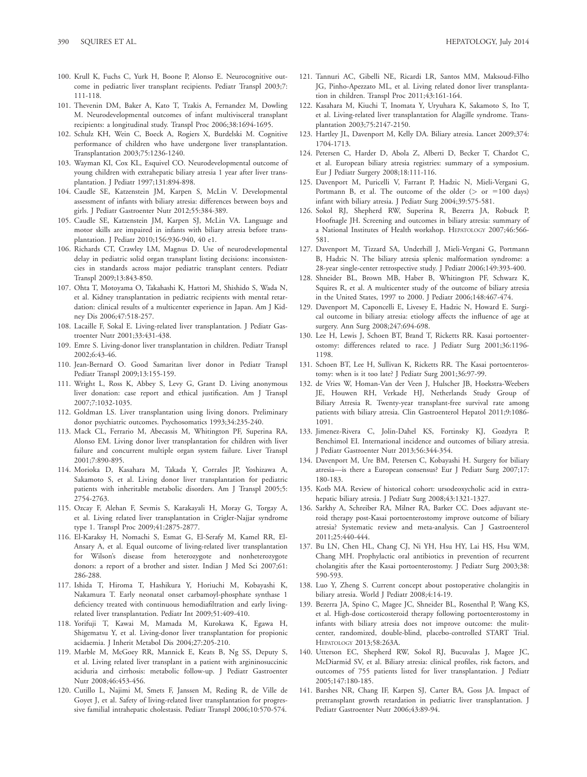- 100. Krull K, Fuchs C, Yurk H, Boone P, Alonso E. Neurocognitive outcome in pediatric liver transplant recipients. Pediatr Transpl 2003;7: 111-118.
- 101. Thevenin DM, Baker A, Kato T, Tzakis A, Fernandez M, Dowling M. Neurodevelopmental outcomes of infant multivisceral transplant recipients: a longitudinal study. Transpl Proc 2006;38:1694-1695.
- 102. Schulz KH, Wein C, Boeck A, Rogiers X, Burdelski M. Cognitive performance of children who have undergone liver transplantation. Transplantation 2003;75:1236-1240.
- 103. Wayman KI, Cox KL, Esquivel CO. Neurodevelopmental outcome of young children with extrahepatic biliary atresia 1 year after liver transplantation. J Pediatr 1997;131:894-898.
- 104. Caudle SE, Katzenstein JM, Karpen S, McLin V. Developmental assessment of infants with biliary atresia: differences between boys and girls. J Pediatr Gastroenter Nutr 2012;55:384-389.
- 105. Caudle SE, Katzenstein JM, Karpen SJ, McLin VA. Language and motor skills are impaired in infants with biliary atresia before transplantation. J Pediatr 2010;156:936-940, 40 e1.
- 106. Richards CT, Crawley LM, Magnus D. Use of neurodevelopmental delay in pediatric solid organ transplant listing decisions: inconsistencies in standards across major pediatric transplant centers. Pediatr Transpl 2009;13:843-850.
- 107. Ohta T, Motoyama O, Takahashi K, Hattori M, Shishido S, Wada N, et al. Kidney transplantation in pediatric recipients with mental retardation: clinical results of a multicenter experience in Japan. Am J Kidney Dis 2006;47:518-257.
- 108. Lacaille F, Sokal E. Living-related liver transplantation. J Pediatr Gastroenter Nutr 2001;33:431-438.
- 109. Emre S. Living-donor liver transplantation in children. Pediatr Transpl 2002;6:43-46.
- 110. Jean-Bernard O. Good Samaritan liver donor in Pediatr Transpl Pediatr Transpl 2009;13:155-159.
- 111. Wright L, Ross K, Abbey S, Levy G, Grant D. Living anonymous liver donation: case report and ethical justification. Am J Transpl 2007;7:1032-1035.
- 112. Goldman LS. Liver transplantation using living donors. Preliminary donor psychiatric outcomes. Psychosomatics 1993;34:235-240.
- 113. Mack CL, Ferrario M, Abecassis M, Whitington PF, Superina RA, Alonso EM. Living donor liver transplantation for children with liver failure and concurrent multiple organ system failure. Liver Transpl 2001;7:890-895.
- 114. Morioka D, Kasahara M, Takada Y, Corrales JP, Yoshizawa A, Sakamoto S, et al. Living donor liver transplantation for pediatric patients with inheritable metabolic disorders. Am J Transpl 2005;5: 2754-2763.
- 115. Ozcay F, Alehan F, Sevmis S, Karakayali H, Moray G, Torgay A, et al. Living related liver transplantation in Crigler-Najjar syndrome type 1. Transpl Proc 2009;41:2875-2877.
- 116. El-Karaksy H, Nomachi S, Esmat G, El-Serafy M, Kamel RR, El-Ansary A, et al. Equal outcome of living-related liver transplantation for Wilson's disease from heterozygote and nonheterozygote donors: a report of a brother and sister. Indian J Med Sci 2007;61: 286-288.
- 117. Ishida T, Hiroma T, Hashikura Y, Horiuchi M, Kobayashi K, Nakamura T. Early neonatal onset carbamoyl-phosphate synthase 1 deficiency treated with continuous hemodiafiltration and early livingrelated liver transplantation. Pediatr Int 2009;51:409-410.
- 118. Yorifuji T, Kawai M, Mamada M, Kurokawa K, Egawa H, Shigematsu Y, et al. Living-donor liver transplantation for propionic acidaemia. J Inherit Metabol Dis 2004;27:205-210.
- 119. Marble M, McGoey RR, Mannick E, Keats B, Ng SS, Deputy S, et al. Living related liver transplant in a patient with argininosuccinic aciduria and cirrhosis: metabolic follow-up. J Pediatr Gastroenter Nutr 2008;46:453-456.
- 120. Cutillo L, Najimi M, Smets F, Janssen M, Reding R, de Ville de Goyet J, et al. Safety of living-related liver transplantation for progressive familial intrahepatic cholestasis. Pediatr Transpl 2006;10:570-574.
- 121. Tannuri AC, Gibelli NE, Ricardi LR, Santos MM, Maksoud-Filho JG, Pinho-Apezzato ML, et al. Living related donor liver transplantation in children. Transpl Proc 2011;43:161-164.
- 122. Kasahara M, Kiuchi T, Inomata Y, Uryuhara K, Sakamoto S, Ito T, et al. Living-related liver transplantation for Alagille syndrome. Transplantation 2003;75:2147-2150.
- 123. Hartley JL, Davenport M, Kelly DA. Biliary atresia. Lancet 2009;374: 1704-1713.
- 124. Petersen C, Harder D, Abola Z, Alberti D, Becker T, Chardot C, et al. European biliary atresia registries: summary of a symposium. Eur J Pediatr Surgery 2008;18:111-116.
- 125. Davenport M, Puricelli V, Farrant P, Hadzic N, Mieli-Vergani G, Portmann B, et al. The outcome of the older ( $>$  or  $=100$  days) infant with biliary atresia. J Pediatr Surg 2004;39:575-581.
- 126. Sokol RJ, Shepherd RW, Superina R, Bezerra JA, Robuck P, Hoofnagle JH. Screening and outcomes in biliary atresia: summary of a National Institutes of Health workshop. HEPATOLOGY 2007;46:566- 581.
- 127. Davenport M, Tizzard SA, Underhill J, Mieli-Vergani G, Portmann B, Hadzic N. The biliary atresia splenic malformation syndrome: a 28-year single-center retrospective study. J Pediatr 2006;149:393-400.
- 128. Shneider BL, Brown MB, Haber B, Whitington PF, Schwarz K, Squires R, et al. A multicenter study of the outcome of biliary atresia in the United States, 1997 to 2000. J Pediatr 2006;148:467-474.
- 129. Davenport M, Caponcelli E, Livesey E, Hadzic N, Howard E. Surgical outcome in biliary atresia: etiology affects the influence of age at surgery. Ann Surg 2008;247:694-698.
- 130. Lee H, Lewis J, Schoen BT, Brand T, Ricketts RR. Kasai portoenterostomy: differences related to race. J Pediatr Surg 2001;36:1196- 1198.
- 131. Schoen BT, Lee H, Sullivan K, Ricketts RR. The Kasai portoenterostomy: when is it too late? J Pediatr Surg 2001;36:97-99.
- 132. de Vries W, Homan-Van der Veen J, Hulscher JB, Hoekstra-Weebers JE, Houwen RH, Verkade HJ, Netherlands Study Group of Biliary Atresia R. Twenty-year transplant-free survival rate among patients with biliary atresia. Clin Gastroenterol Hepatol 2011;9:1086- 1091.
- 133. Jimenez-Rivera C, Jolin-Dahel KS, Fortinsky KJ, Gozdyra P, Benchimol EI. International incidence and outcomes of biliary atresia. J Pediatr Gastroenter Nutr 2013;56:344-354.
- 134. Davenport M, Ure BM, Petersen C, Kobayashi H. Surgery for biliary atresia—is there a European consensus? Eur J Pediatr Surg 2007;17: 180-183.
- 135. Kotb MA. Review of historical cohort: ursodeoxycholic acid in extrahepatic biliary atresia. J Pediatr Surg 2008;43:1321-1327.
- 136. Sarkhy A, Schreiber RA, Milner RA, Barker CC. Does adjuvant steroid therapy post-Kasai portoenterostomy improve outcome of biliary atresia? Systematic review and meta-analysis. Can J Gastroenterol 2011;25:440-444.
- 137. Bu LN, Chen HL, Chang CJ, Ni YH, Hsu HY, Lai HS, Hsu WM, Chang MH. Prophylactic oral antibiotics in prevention of recurrent cholangitis after the Kasai portoenterostomy. J Pediatr Surg 2003;38: 590-593.
- 138. Luo Y, Zheng S. Current concept about postoperative cholangitis in biliary atresia. World J Pediatr 2008;4:14-19.
- 139. Bezerra JA, Spino C, Magee JC, Shneider BL, Rosenthal P, Wang KS, et al. High-dose corticosteroid therapy following portoenterostomy in infants with biliary atresia does not improve outcome: the mulitcenter, randomized, double-blind, placebo-controlled START Trial. HEPATOLOGY 2013;58:263A.
- 140. Utterson EC, Shepherd RW, Sokol RJ, Bucuvalas J, Magee JC, McDiarmid SV, et al. Biliary atresia: clinical profiles, risk factors, and outcomes of 755 patients listed for liver transplantation. J Pediatr 2005;147:180-185.
- 141. Barshes NR, Chang IF, Karpen SJ, Carter BA, Goss JA. Impact of pretransplant growth retardation in pediatric liver transplantation. J Pediatr Gastroenter Nutr 2006;43:89-94.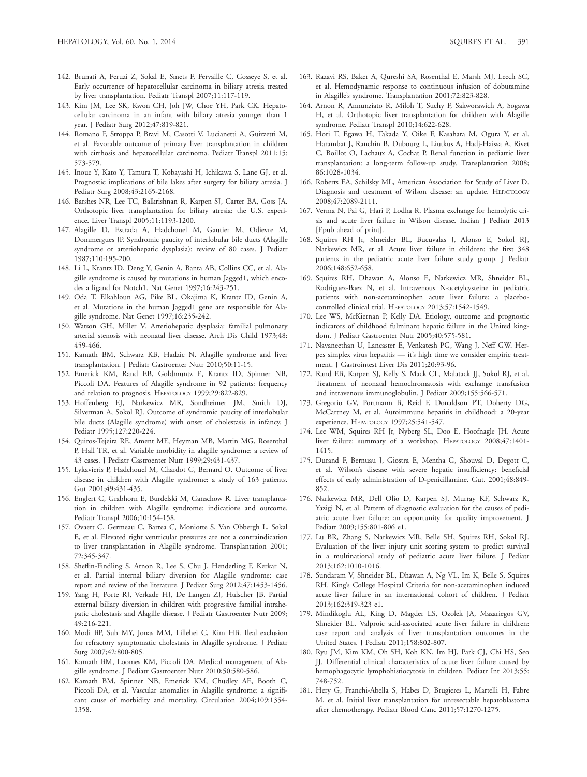- 142. Brunati A, Feruzi Z, Sokal E, Smets F, Fervaille C, Gosseye S, et al. Early occurrence of hepatocellular carcinoma in biliary atresia treated by liver transplantation. Pediatr Transpl 2007;11:117-119.
- 143. Kim JM, Lee SK, Kwon CH, Joh JW, Choe YH, Park CK. Hepatocellular carcinoma in an infant with biliary atresia younger than 1 year. J Pediatr Surg 2012;47:819-821.
- 144. Romano F, Stroppa P, Bravi M, Casotti V, Lucianetti A, Guizzetti M, et al. Favorable outcome of primary liver transplantation in children with cirrhosis and hepatocellular carcinoma. Pediatr Transpl 2011;15: 573-579.
- 145. Inoue Y, Kato Y, Tamura T, Kobayashi H, Ichikawa S, Lane GJ, et al. Prognostic implications of bile lakes after surgery for biliary atresia. J Pediatr Surg 2008;43:2165-2168.
- 146. Barshes NR, Lee TC, Balkrishnan R, Karpen SJ, Carter BA, Goss JA. Orthotopic liver transplantation for biliary atresia: the U.S. experience. Liver Transpl 2005;11:1193-1200.
- 147. Alagille D, Estrada A, Hadchouel M, Gautier M, Odievre M, Dommergues JP. Syndromic paucity of interlobular bile ducts (Alagille syndrome or arteriohepatic dysplasia): review of 80 cases. J Pediatr 1987;110:195-200.
- 148. Li L, Krantz ID, Deng Y, Genin A, Banta AB, Collins CC, et al. Alagille syndrome is caused by mutations in human Jagged1, which encodes a ligand for Notch1. Nat Genet 1997;16:243-251.
- 149. Oda T, Elkahloun AG, Pike BL, Okajima K, Krantz ID, Genin A, et al. Mutations in the human Jagged1 gene are responsible for Alagille syndrome. Nat Genet 1997;16:235-242.
- 150. Watson GH, Miller V. Arteriohepatic dysplasia: familial pulmonary arterial stenosis with neonatal liver disease. Arch Dis Child 1973;48: 459-466.
- 151. Kamath BM, Schwarz KB, Hadzic N. Alagille syndrome and liver transplantation. J Pediatr Gastroenter Nutr 2010;50:11-15.
- 152. Emerick KM, Rand EB, Goldmuntz E, Krantz ID, Spinner NB, Piccoli DA. Features of Alagille syndrome in 92 patients: frequency and relation to prognosis. HEPATOLOGY 1999;29:822-829.
- 153. Hoffenberg EJ, Narkewicz MR, Sondheimer JM, Smith DJ, Silverman A, Sokol RJ. Outcome of syndromic paucity of interlobular bile ducts (Alagille syndrome) with onset of cholestasis in infancy. J Pediatr 1995;127:220-224.
- 154. Quiros-Tejeira RE, Ament ME, Heyman MB, Martin MG, Rosenthal P, Hall TR, et al. Variable morbidity in alagille syndrome: a review of 43 cases. J Pediatr Gastroenter Nutr 1999;29:431-437.
- 155. Lykavieris P, Hadchouel M, Chardot C, Bernard O. Outcome of liver disease in children with Alagille syndrome: a study of 163 patients. Gut 2001;49:431-435.
- 156. Englert C, Grabhorn E, Burdelski M, Ganschow R. Liver transplantation in children with Alagille syndrome: indications and outcome. Pediatr Transpl 2006;10:154-158.
- 157. Ovaert C, Germeau C, Barrea C, Moniotte S, Van Obbergh L, Sokal E, et al. Elevated right ventricular pressures are not a contraindication to liver transplantation in Alagille syndrome. Transplantation 2001; 72:345-347.
- 158. Sheflin-Findling S, Arnon R, Lee S, Chu J, Henderling F, Kerkar N, et al. Partial internal biliary diversion for Alagille syndrome: case report and review of the literature. J Pediatr Surg 2012;47:1453-1456.
- 159. Yang H, Porte RJ, Verkade HJ, De Langen ZJ, Hulscher JB. Partial external biliary diversion in children with progressive familial intrahepatic cholestasis and Alagille disease. J Pediatr Gastroenter Nutr 2009; 49:216-221.
- 160. Modi BP, Suh MY, Jonas MM, Lillehei C, Kim HB. Ileal exclusion for refractory symptomatic cholestasis in Alagille syndrome. J Pediatr Surg 2007;42:800-805.
- 161. Kamath BM, Loomes KM, Piccoli DA. Medical management of Alagille syndrome. J Pediatr Gastroenter Nutr 2010;50:580-586.
- 162. Kamath BM, Spinner NB, Emerick KM, Chudley AE, Booth C, Piccoli DA, et al. Vascular anomalies in Alagille syndrome: a significant cause of morbidity and mortality. Circulation 2004;109:1354- 1358.
- 163. Razavi RS, Baker A, Qureshi SA, Rosenthal E, Marsh MJ, Leech SC, et al. Hemodynamic response to continuous infusion of dobutamine in Alagille's syndrome. Transplantation 2001;72:823-828.
- 164. Arnon R, Annunziato R, Miloh T, Suchy F, Sakworawich A, Sogawa H, et al. Orthotopic liver transplantation for children with Alagille syndrome. Pediatr Transpl 2010;14:622-628.
- 165. Hori T, Egawa H, Takada Y, Oike F, Kasahara M, Ogura Y, et al. Harambat J, Ranchin B, Dubourg L, Liutkus A, Hadj-Haissa A, Rivet C, Boillot O, Lachaux A, Cochat P. Renal function in pediatric liver transplantation: a long-term follow-up study. Transplantation 2008; 86:1028-1034.
- 166. Roberts EA, Schilsky ML, American Association for Study of Liver D. Diagnosis and treatment of Wilson disease: an update. HEPATOLOGY 2008;47:2089-2111.
- 167. Verma N, Pai G, Hari P, Lodha R. Plasma exchange for hemolytic crisis and acute liver failure in Wilson disease. Indian J Pediatr 2013 [Epub ahead of print].
- 168. Squires RH Jr, Shneider BL, Bucuvalas J, Alonso E, Sokol RJ, Narkewicz MR, et al. Acute liver failure in children: the first 348 patients in the pediatric acute liver failure study group. J Pediatr 2006;148:652-658.
- 169. Squires RH, Dhawan A, Alonso E, Narkewicz MR, Shneider BL, Rodriguez-Baez N, et al. Intravenous N-acetylcysteine in pediatric patients with non-acetaminophen acute liver failure: a placebocontrolled clinical trial. HEPATOLOGY 2013;57:1542-1549.
- 170. Lee WS, McKiernan P, Kelly DA. Etiology, outcome and prognostic indicators of childhood fulminant hepatic failure in the United kingdom. J Pediatr Gastroenter Nutr 2005;40:575-581.
- 171. Navaneethan U, Lancaster E, Venkatesh PG, Wang J, Neff GW. Herpes simplex virus hepatitis — it's high time we consider empiric treatment. J Gastrointest Liver Dis 2011;20:93-96.
- 172. Rand EB, Karpen SJ, Kelly S, Mack CL, Malatack JJ, Sokol RJ, et al. Treatment of neonatal hemochromatosis with exchange transfusion and intravenous immunoglobulin. J Pediatr 2009;155:566-571.
- 173. Gregorio GV, Portmann B, Reid F, Donaldson PT, Doherty DG, McCartney M, et al. Autoimmune hepatitis in childhood: a 20-year experience. HEPATOLOGY 1997;25:541-547.
- 174. Lee WM, Squires RH Jr, Nyberg SL, Doo E, Hoofnagle JH. Acute liver failure: summary of a workshop. HEPATOLOGY 2008;47:1401- 1415.
- 175. Durand F, Bernuau J, Giostra E, Mentha G, Shouval D, Degott C, et al. Wilson's disease with severe hepatic insufficiency: beneficial effects of early administration of D-penicillamine. Gut. 2001;48:849- 852.
- 176. Narkewicz MR, Dell Olio D, Karpen SJ, Murray KF, Schwarz K, Yazigi N, et al. Pattern of diagnostic evaluation for the causes of pediatric acute liver failure: an opportunity for quality improvement. J Pediatr 2009;155:801-806 e1.
- 177. Lu BR, Zhang S, Narkewicz MR, Belle SH, Squires RH, Sokol RJ. Evaluation of the liver injury unit scoring system to predict survival in a multinational study of pediatric acute liver failure. J Pediatr 2013;162:1010-1016.
- 178. Sundaram V, Shneider BL, Dhawan A, Ng VL, Im K, Belle S, Squires RH. King's College Hospital Criteria for non-acetaminophen induced acute liver failure in an international cohort of children. J Pediatr 2013;162:319-323 e1.
- 179. Mindikoglu AL, King D, Magder LS, Ozolek JA, Mazariegos GV, Shneider BL. Valproic acid-associated acute liver failure in children: case report and analysis of liver transplantation outcomes in the United States. J Pediatr 2011;158:802-807.
- 180. Ryu JM, Kim KM, Oh SH, Koh KN, Im HJ, Park CJ, Chi HS, Seo JJ. Differential clinical characteristics of acute liver failure caused by hemophagocytic lymphohistiocytosis in children. Pediatr Int 2013;55: 748-752.
- 181. Hery G, Franchi-Abella S, Habes D, Brugieres L, Martelli H, Fabre M, et al. Initial liver transplantation for unresectable hepatoblastoma after chemotherapy. Pediatr Blood Canc 2011;57:1270-1275.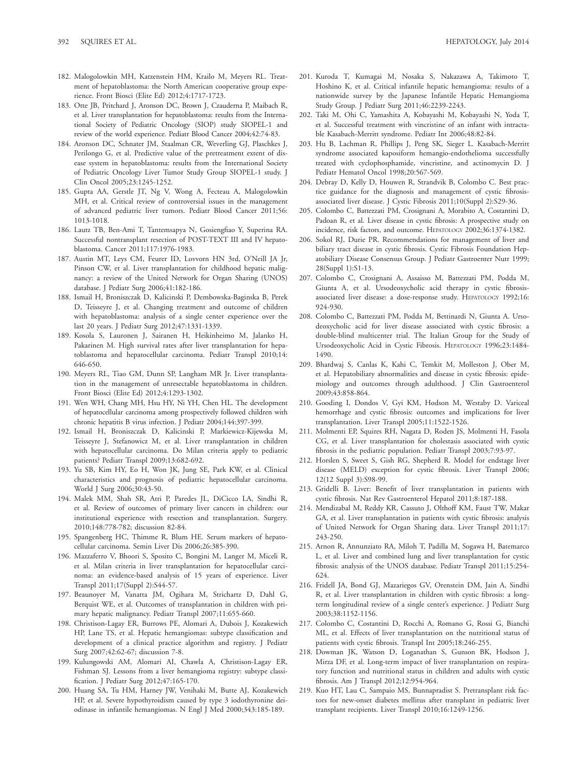- 182. Malogolowkin MH, Katzenstein HM, Krailo M, Meyers RL. Treatment of hepatoblastoma: the North American cooperative group experience. Front Biosci (Elite Ed) 2012;4:1717-1723.
- 183. Otte JB, Pritchard J, Aronson DC, Brown J, Czauderna P, Maibach R, et al. Liver transplantation for hepatoblastoma: results from the International Society of Pediatric Oncology (SIOP) study SIOPEL-1 and review of the world experience. Pediatr Blood Cancer 2004;42:74-83.
- 184. Aronson DC, Schnater JM, Staalman CR, Weverling GJ, Plaschkes J, Perilongo G, et al. Predictive value of the pretreatment extent of disease system in hepatoblastoma: results from the International Society of Pediatric Oncology Liver Tumor Study Group SIOPEL-1 study. J Clin Oncol 2005;23:1245-1252.
- 185. Gupta AA, Gerstle JT, Ng V, Wong A, Fecteau A, Malogolowkin MH, et al. Critical review of controversial issues in the management of advanced pediatric liver tumors. Pediatr Blood Cancer 2011;56: 1013-1018.
- 186. Lautz TB, Ben-Ami T, Tantemsapya N, Gosiengfiao Y, Superina RA. Successful nontransplant resection of POST-TEXT III and IV hepatoblastoma. Cancer 2011;117:1976-1983.
- 187. Austin MT, Leys CM, Feurer ID, Lovvorn HN 3rd, O'Neill JA Jr, Pinson CW, et al. Liver transplantation for childhood hepatic malignancy: a review of the United Network for Organ Sharing (UNOS) database. J Pediatr Surg 2006;41:182-186.
- 188. Ismail H, Broniszczak D, Kalicinski P, Dembowska-Baginska B, Perek D, Teisseyre J, et al. Changing treatment and outcome of children with hepatoblastoma: analysis of a single center experience over the last 20 years. J Pediatr Surg 2012;47:1331-1339.
- 189. Kosola S, Lauronen J, Sairanen H, Heikinheimo M, Jalanko H, Pakarinen M. High survival rates after liver transplantation for hepatoblastoma and hepatocellular carcinoma. Pediatr Transpl 2010;14: 646-650.
- 190. Meyers RL, Tiao GM, Dunn SP, Langham MR Jr. Liver transplantation in the management of unresectable hepatoblastoma in children. Front Biosci (Elite Ed) 2012;4:1293-1302.
- 191. Wen WH, Chang MH, Hsu HY, Ni YH, Chen HL. The development of hepatocellular carcinoma among prospectively followed children with chronic hepatitis B virus infection. J Pediatr 2004;144:397-399.
- 192. Ismail H, Broniszczak D, Kalicinski P, Markiewicz-Kijewska M, Teisseyre J, Stefanowicz M, et al. Liver transplantation in children with hepatocellular carcinoma. Do Milan criteria apply to pediatric patients? Pediatr Transpl 2009;13:682-692.
- 193. Yu SB, Kim HY, Eo H, Won JK, Jung SE, Park KW, et al. Clinical characteristics and prognosis of pediatric hepatocellular carcinoma. World J Surg 2006;30:43-50.
- 194. Malek MM, Shah SR, Atri P, Paredes JL, DiCicco LA, Sindhi R, et al. Review of outcomes of primary liver cancers in children: our institutional experience with resection and transplantation. Surgery. 2010;148:778-782; discussion 82-84.
- 195. Spangenberg HC, Thimme R, Blum HE. Serum markers of hepatocellular carcinoma. Semin Liver Dis 2006;26:385-390.
- 196. Mazzaferro V, Bhoori S, Sposito C, Bongini M, Langer M, Miceli R, et al. Milan criteria in liver transplantation for hepatocellular carcinoma: an evidence-based analysis of 15 years of experience. Liver Transpl 2011;17(Suppl 2):S44-57.
- 197. Beaunoyer M, Vanatta JM, Ogihara M, Strichartz D, Dahl G, Berquist WE, et al. Outcomes of transplantation in children with primary hepatic malignancy. Pediatr Transpl 2007;11:655-660.
- 198. Christison-Lagay ER, Burrows PE, Alomari A, Dubois J, Kozakewich HP, Lane TS, et al. Hepatic hemangiomas: subtype classification and development of a clinical practice algorithm and registry. J Pediatr Surg 2007;42:62-67; discussion 7-8.
- 199. Kulungowski AM, Alomari AI, Chawla A, Christison-Lagay ER, Fishman SJ. Lessons from a liver hemangioma registry: subtype classification. J Pediatr Surg 2012;47:165-170.
- 200. Huang SA, Tu HM, Harney JW, Venihaki M, Butte AJ, Kozakewich HP, et al. Severe hypothyroidism caused by type 3 iodothyronine deiodinase in infantile hemangiomas. N Engl J Med 2000;343:185-189.
- 201. Kuroda T, Kumagai M, Nosaka S, Nakazawa A, Takimoto T, Hoshino K, et al. Critical infantile hepatic hemangioma: results of a nationwide survey by the Japanese Infantile Hepatic Hemangioma Study Group. J Pediatr Surg 2011;46:2239-2243.
- 202. Taki M, Ohi C, Yamashita A, Kobayashi M, Kobayashi N, Yoda T, et al. Successful treatment with vincristine of an infant with intractable Kasabach-Merritt syndrome. Pediatr Int 2006;48:82-84.
- 203. Hu B, Lachman R, Phillips J, Peng SK, Sieger L. Kasabach-Merritt syndrome associated kaposiform hemangio-endothelioma successfully treated with cyclophosphamide, vincristine, and actinomycin D. J Pediatr Hematol Oncol 1998;20:567-569.
- 204. Debray D, Kelly D, Houwen R, Strandvik B, Colombo C. Best practice guidance for the diagnosis and management of cystic fibrosisassociated liver disease. J Cystic Fibrosis 2011;10(Suppl 2):S29-36.
- 205. Colombo C, Battezzati PM, Crosignani A, Morabito A, Costantini D, Padoan R, et al. Liver disease in cystic fibrosis: A prospective study on incidence, risk factors, and outcome. HEPATOLOGY 2002;36:1374-1382.
- 206. Sokol RJ, Durie PR. Recommendations for management of liver and biliary tract disease in cystic fibrosis. Cystic Fibrosis Foundation Hepatobiliary Disease Consensus Group. J Pediatr Gastroenter Nutr 1999; 28(Suppl 1):S1-13.
- 207. Colombo C, Crosignani A, Assaisso M, Battezzati PM, Podda M, Giunta A, et al. Ursodeoxycholic acid therapy in cystic fibrosisassociated liver disease: a dose-response study. HEPATOLOGY 1992;16: 924-930.
- 208. Colombo C, Battezzati PM, Podda M, Bettinardi N, Giunta A. Ursodeoxycholic acid for liver disease associated with cystic fibrosis: a double-blind multicenter trial. The Italian Group for the Study of Ursodeoxycholic Acid in Cystic Fibrosis. HEPATOLOGY 1996;23:1484- 1490.
- 209. Bhardwaj S, Canlas K, Kahi C, Temkit M, Molleston J, Ober M, et al. Hepatobiliary abnormalities and disease in cystic fibrosis: epidemiology and outcomes through adulthood. J Clin Gastroenterol 2009;43:858-864.
- 210. Gooding I, Dondos V, Gyi KM, Hodson M, Westaby D. Variceal hemorrhage and cystic fibrosis: outcomes and implications for liver transplantation. Liver Transpl 2005;11:1522-1526.
- 211. Molmenti EP, Squires RH, Nagata D, Roden JS, Molmenti H, Fasola CG, et al. Liver transplantation for cholestasis associated with cystic fibrosis in the pediatric population. Pediatr Transpl 2003;7:93-97.
- 212. Horslen S, Sweet S, Gish RG, Shepherd R. Model for endstage liver disease (MELD) exception for cystic fibrosis. Liver Transpl 2006; 12(12 Suppl 3):S98-99.
- 213. Gridelli B. Liver: Benefit of liver transplantation in patients with cystic fibrosis. Nat Rev Gastroenterol Hepatol 2011;8:187-188.
- 214. Mendizabal M, Reddy KR, Cassuto J, Olthoff KM, Faust TW, Makar GA, et al. Liver transplantation in patients with cystic fibrosis: analysis of United Network for Organ Sharing data. Liver Transpl 2011;17: 243-250.
- 215. Arnon R, Annunziato RA, Miloh T, Padilla M, Sogawa H, Batemarco L, et al. Liver and combined lung and liver transplantation for cystic fibrosis: analysis of the UNOS database. Pediatr Transpl 2011;15:254- 624.
- 216. Fridell JA, Bond GJ, Mazariegos GV, Orenstein DM, Jain A, Sindhi R, et al. Liver transplantation in children with cystic fibrosis: a longterm longitudinal review of a single center's experience. J Pediatr Surg 2003;38:1152-1156.
- 217. Colombo C, Costantini D, Rocchi A, Romano G, Rossi G, Bianchi ML, et al. Effects of liver transplantation on the nutritional status of patients with cystic fibrosis. Transpl Int 2005;18:246-255.
- 218. Dowman JK, Watson D, Loganathan S, Gunson BK, Hodson J, Mirza DF, et al. Long-term impact of liver transplantation on respiratory function and nutritional status in children and adults with cystic fibrosis. Am J Transpl 2012;12:954-964.
- 219. Kuo HT, Lau C, Sampaio MS, Bunnapradist S. Pretransplant risk factors for new-onset diabetes mellitus after transplant in pediatric liver transplant recipients. Liver Transpl 2010;16:1249-1256.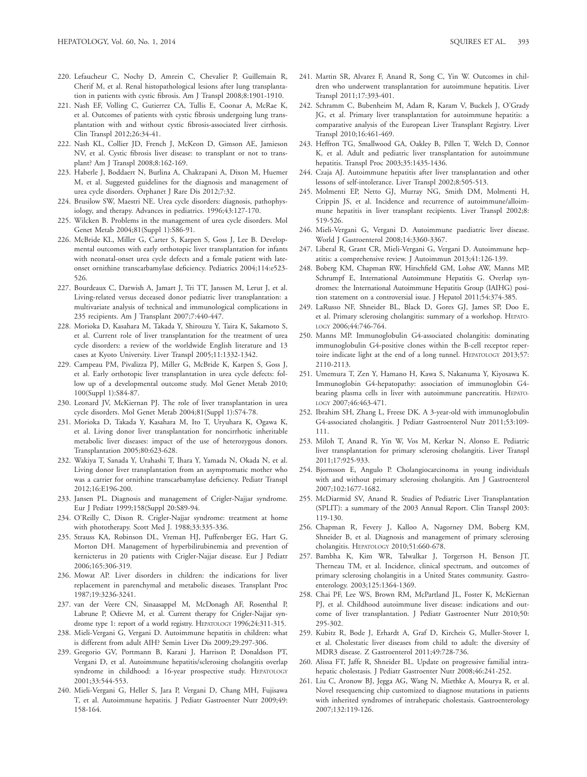- 220. Lefaucheur C, Nochy D, Amrein C, Chevalier P, Guillemain R, Cherif M, et al. Renal histopathological lesions after lung transplantation in patients with cystic fibrosis. Am J Transpl 2008;8:1901-1910.
- 221. Nash EF, Volling C, Gutierrez CA, Tullis E, Coonar A, McRae K, et al. Outcomes of patients with cystic fibrosis undergoing lung transplantation with and without cystic fibrosis-associated liver cirrhosis. Clin Transpl 2012;26:34-41.
- 222. Nash KL, Collier JD, French J, McKeon D, Gimson AE, Jamieson NV, et al. Cystic fibrosis liver disease: to transplant or not to transplant? Am J Transpl 2008;8:162-169.
- 223. Haberle J, Boddaert N, Burlina A, Chakrapani A, Dixon M, Huemer M, et al. Suggested guidelines for the diagnosis and management of urea cycle disorders. Orphanet J Rare Dis 2012;7:32.
- 224. Brusilow SW, Maestri NE. Urea cycle disorders: diagnosis, pathophysiology, and therapy. Advances in pediatrics. 1996;43:127-170.
- 225. Wilcken B. Problems in the management of urea cycle disorders. Mol Genet Metab 2004;81(Suppl 1):S86-91.
- 226. McBride KL, Miller G, Carter S, Karpen S, Goss J, Lee B. Developmental outcomes with early orthotopic liver transplantation for infants with neonatal-onset urea cycle defects and a female patient with lateonset ornithine transcarbamylase deficiency. Pediatrics 2004;114:e523- 526.
- 227. Bourdeaux C, Darwish A, Jamart J, Tri TT, Janssen M, Lerut J, et al. Living-related versus deceased donor pediatric liver transplantation: a multivariate analysis of technical and immunological complications in 235 recipients. Am J Transplant 2007;7:440-447.
- 228. Morioka D, Kasahara M, Takada Y, Shirouzu Y, Taira K, Sakamoto S, et al. Current role of liver transplantation for the treatment of urea cycle disorders: a review of the worldwide English literature and 13 cases at Kyoto University. Liver Transpl 2005;11:1332-1342.
- 229. Campeau PM, Pivalizza PJ, Miller G, McBride K, Karpen S, Goss J, et al. Early orthotopic liver transplantation in urea cycle defects: follow up of a developmental outcome study. Mol Genet Metab 2010; 100(Suppl 1):S84-87.
- 230. Leonard JV, McKiernan PJ. The role of liver transplantation in urea cycle disorders. Mol Genet Metab 2004;81(Suppl 1):S74-78.
- 231. Morioka D, Takada Y, Kasahara M, Ito T, Uryuhara K, Ogawa K, et al. Living donor liver transplantation for noncirrhotic inheritable metabolic liver diseases: impact of the use of heterozygous donors. Transplantation 2005;80:623-628.
- 232. Wakiya T, Sanada Y, Urahashi T, Ihara Y, Yamada N, Okada N, et al. Living donor liver transplantation from an asymptomatic mother who was a carrier for ornithine transcarbamylase deficiency. Pediatr Transpl 2012;16:E196-200.
- 233. Jansen PL. Diagnosis and management of Crigler-Najjar syndrome. Eur J Pediatr 1999;158(Suppl 20:S89-94.
- 234. O'Reilly C, Dixon R. Crigler-Najjar syndrome: treatment at home with phototherapy. Scott Med J. 1988;33:335-336.
- 235. Strauss KA, Robinson DL, Vreman HJ, Puffenberger EG, Hart G, Morton DH. Management of hyperbilirubinemia and prevention of kernicterus in 20 patients with Crigler-Najjar disease. Eur J Pediatr 2006;165:306-319.
- 236. Mowat AP. Liver disorders in children: the indications for liver replacement in parenchymal and metabolic diseases. Transplant Proc 1987;19:3236-3241.
- 237. van der Veere CN, Sinaasappel M, McDonagh AF, Rosenthal P, Labrune P, Odievre M, et al. Current therapy for Crigler-Najjar syndrome type 1: report of a world registry. HEPATOLOGY 1996;24:311-315.
- 238. Mieli-Vergani G, Vergani D. Autoimmune hepatitis in children: what is different from adult AIH? Semin Liver Dis 2009;29:297-306.
- 239. Gregorio GV, Portmann B, Karani J, Harrison P, Donaldson PT, Vergani D, et al. Autoimmune hepatitis/sclerosing cholangitis overlap syndrome in childhood: a 16-year prospective study. HEPATOLOGY 2001;33:544-553.
- 240. Mieli-Vergani G, Heller S, Jara P, Vergani D, Chang MH, Fujisawa T, et al. Autoimmune hepatitis. J Pediatr Gastroenter Nutr 2009;49: 158-164.
- 241. Martin SR, Alvarez F, Anand R, Song C, Yin W. Outcomes in children who underwent transplantation for autoimmune hepatitis. Liver Transpl 2011;17:393-401.
- 242. Schramm C, Bubenheim M, Adam R, Karam V, Buckels J, O'Grady JG, et al. Primary liver transplantation for autoimmune hepatitis: a comparative analysis of the European Liver Transplant Registry. Liver Transpl 2010;16:461-469.
- 243. Heffron TG, Smallwood GA, Oakley B, Pillen T, Welch D, Connor K, et al. Adult and pediatric liver transplantation for autoimmune hepatitis. Transpl Proc 2003;35:1435-1436.
- 244. Czaja AJ. Autoimmune hepatitis after liver transplantation and other lessons of self-intolerance. Liver Transpl 2002;8:505-513.
- 245. Molmenti EP, Netto GJ, Murray NG, Smith DM, Molmenti H, Crippin JS, et al. Incidence and recurrence of autoimmune/alloimmune hepatitis in liver transplant recipients. Liver Transpl 2002;8: 519-526.
- 246. Mieli-Vergani G, Vergani D. Autoimmune paediatric liver disease. World J Gastroenterol 2008;14:3360-3367.
- 247. Liberal R, Grant CR, Mieli-Vergani G, Vergani D. Autoimmune hepatitis: a comprehensive review. J Autoimmun 2013;41:126-139.
- 248. Boberg KM, Chapman RW, Hirschfield GM, Lohse AW, Manns MP, Schrumpf E, International Autoimmune Hepatitis G. Overlap syndromes: the International Autoimmune Hepatitis Group (IAIHG) position statement on a controversial issue. J Hepatol 2011;54:374-385.
- 249. LaRusso NF, Shneider BL, Black D, Gores GJ, James SP, Doo E, et al. Primary sclerosing cholangitis: summary of a workshop. HEPATO-LOGY 2006;44:746-764.
- 250. Manns MP. Immunoglobulin G4-associated cholangitis: dominating immunoglobulin G4-positive clones within the B-cell receptor repertoire indicate light at the end of a long tunnel. HEPATOLOGY 2013;57: 2110-2113.
- 251. Umemura T, Zen Y, Hamano H, Kawa S, Nakanuma Y, Kiyosawa K. Immunoglobin G4-hepatopathy: association of immunoglobin G4 bearing plasma cells in liver with autoimmune pancreatitis. HEPATO-LOGY 2007;46:463-471.
- 252. Ibrahim SH, Zhang L, Freese DK. A 3-year-old with immunoglobulin G4-associated cholangitis. J Pediatr Gastroenterol Nutr 2011;53:109- 111.
- 253. Miloh T, Anand R, Yin W, Vos M, Kerkar N, Alonso E. Pediatric liver transplantation for primary sclerosing cholangitis. Liver Transpl 2011;17:925-933.
- 254. Bjornsson E, Angulo P. Cholangiocarcinoma in young individuals with and without primary sclerosing cholangitis. Am J Gastroenterol 2007;102:1677-1682.
- 255. McDiarmid SV, Anand R. Studies of Pediatric Liver Transplantation (SPLIT): a summary of the 2003 Annual Report. Clin Transpl 2003: 119-130.
- 256. Chapman R, Fevery J, Kalloo A, Nagorney DM, Boberg KM, Shneider B, et al. Diagnosis and management of primary sclerosing cholangitis. HEPATOLOGY 2010;51:660-678.
- 257. Bambha K, Kim WR, Talwalkar J, Torgerson H, Benson JT, Therneau TM, et al. Incidence, clinical spectrum, and outcomes of primary sclerosing cholangitis in a United States community. Gastroenterology. 2003;125:1364-1369.
- 258. Chai PF, Lee WS, Brown RM, McPartland JL, Foster K, McKiernan PJ, et al. Childhood autoimmune liver disease: indications and outcome of liver transplantation. J Pediatr Gastroenter Nutr 2010;50: 295-302.
- 259. Kubitz R, Bode J, Erhardt A, Graf D, Kircheis G, Muller-Stover I, et al. Cholestatic liver diseases from child to adult: the diversity of MDR3 disease. Z Gastroenterol 2011;49:728-736.
- 260. Alissa FT, Jaffe R, Shneider BL. Update on progressive familial intrahepatic cholestasis. J Pediatr Gastroenter Nutr 2008;46:241-252.
- 261. Liu C, Aronow BJ, Jegga AG, Wang N, Miethke A, Mourya R, et al. Novel resequencing chip customized to diagnose mutations in patients with inherited syndromes of intrahepatic cholestasis. Gastroenterology 2007;132:119-126.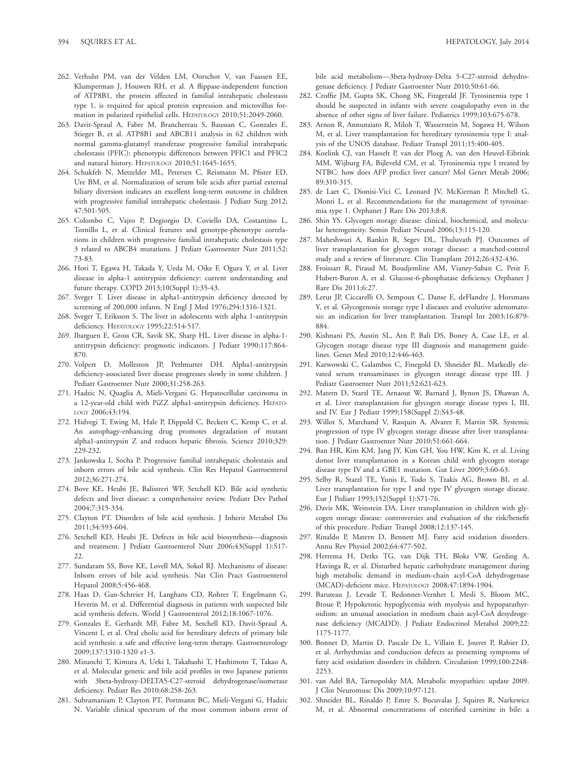- 262. Verhulst PM, van der Velden LM, Oorschot V, van Faassen EE, Klumperman J, Houwen RH, et al. A flippase-independent function of ATP8B1, the protein affected in familial intrahepatic cholestasis type 1, is required for apical protein expression and microvillus formation in polarized epithelial cells. HEPATOLOGY 2010;51:2049-2060.
- 263. Davit-Spraul A, Fabre M, Branchereau S, Baussan C, Gonzales E, Stieger B, et al. ATP8B1 and ABCB11 analysis in 62 children with normal gamma-glutamyl transferase progressive familial intrahepatic cholestasis (PFIC): phenotypic differences between PFIC1 and PFIC2 and natural history. HEPATOLOGY 2010;51:1645-1655.
- 264. Schukfeh N, Metzelder ML, Petersen C, Reismann M, Pfister ED, Ure BM, et al. Normalization of serum bile acids after partial external biliary diversion indicates an excellent long-term outcome in children with progressive familial intrahepatic cholestasis. J Pediatr Surg 2012; 47:501-505.
- 265. Colombo C, Vajro P, Degiorgio D, Coviello DA, Costantino L, Tornillo L, et al. Clinical features and genotype-phenotype correlations in children with progressive familial intrahepatic cholestasis type 3 related to ABCB4 mutations. J Pediatr Gastroenter Nutr 2011;52: 73-83.
- 266. Hori T, Egawa H, Takada Y, Ueda M, Oike F, Ogura Y, et al. Liver disease in alpha-1 antitrypsin deficiency: current understanding and future therapy. COPD 2013;10(Suppl 1):35-43.
- 267. Sveger T. Liver disease in alpha1-antitrypsin deficiency detected by screening of 200,000 infants. N Engl J Med 1976;294:1316-1321.
- 268. Sveger T, Eriksson S. The liver in adolescents with alpha 1-antitrypsin deficiency. HEPATOLOGY 1995;22:514-517.
- 269. Ibarguen E, Gross CR, Savik SK, Sharp HL. Liver disease in alpha-1 antitrypsin deficiency: prognostic indicators. J Pediatr 1990;117:864- 870.
- 270. Volpert D, Molleston JP, Perlmutter DH. Alpha1-antitrypsin deficiency-associated liver disease progresses slowly in some children. J Pediatr Gastroenter Nutr 2000;31:258-263.
- 271. Hadzic N, Quaglia A, Mieli-Vergani G. Hepatocellular carcinoma in a 12-year-old child with PiZZ alpha1-antitrypsin deficiency. HEPATO-LOGY 2006;43:194.
- 272. Hidvegi T, Ewing M, Hale P, Dippold C, Beckett C, Kemp C, et al. An autophagy-enhancing drug promotes degradation of mutant alpha1-antitrypsin Z and reduces hepatic fibrosis. Science 2010;329: 229-232.
- 273. Jankowska I, Socha P. Progressive familial intrahepatic cholestasis and inborn errors of bile acid synthesis. Clin Res Hepatol Gastroenterol 2012;36:271-274.
- 274. Bove KE, Heubi JE, Balistreri WF, Setchell KD. Bile acid synthetic defects and liver disease: a comprehensive review. Pediatr Dev Pathol 2004;7:315-334.
- 275. Clayton PT. Disorders of bile acid synthesis. J Inherit Metabol Dis 2011;34:593-604.
- 276. Setchell KD, Heubi JE. Defects in bile acid biosynthesis—diagnosis and treatment. J Pediatr Gastroenterol Nutr 2006;43(Suppl 1):S17- 22.
- 277. Sundaram SS, Bove KE, Lovell MA, Sokol RJ. Mechanisms of disease: Inborn errors of bile acid synthesis. Nat Clin Pract Gastroenterol Hepatol 2008;5:456-468.
- 278. Haas D, Gan-Schreier H, Langhans CD, Rohrer T, Engelmann G, Heverin M, et al. Differential diagnosis in patients with suspected bile acid synthesis defects. World J Gastroenterol 2012;18:1067-1076.
- 279. Gonzales E, Gerhardt MF, Fabre M, Setchell KD, Davit-Spraul A, Vincent I, et al. Oral cholic acid for hereditary defects of primary bile acid synthesis: a safe and effective long-term therapy. Gastroenterology 2009;137:1310-1320 e1-3.
- 280. Mizuochi T, Kimura A, Ueki I, Takahashi T, Hashimoto T, Takao A, et al. Molecular genetic and bile acid profiles in two Japanese patients with 3beta-hydroxy-DELTA5-C27-steroid dehydrogenase/isomerase deficiency. Pediatr Res 2010;68:258-263.
- 281. Subramaniam P, Clayton PT, Portmann BC, Mieli-Vergani G, Hadzic N. Variable clinical spectrum of the most common inborn error of

bile acid metabolism—3beta-hydroxy-Delta 5-C27-steroid dehydrogenase deficiency. J Pediatr Gastroenter Nutr 2010;50:61-66.

- 282. Croffie JM, Gupta SK, Chong SK, Fitzgerald JF. Tyrosinemia type 1 should be suspected in infants with severe coagulopathy even in the absence of other signs of liver failure. Pediatrics 1999;103:675-678.
- 283. Arnon R, Annunziato R, Miloh T, Wasserstein M, Sogawa H, Wilson M, et al. Liver transplantation for hereditary tyrosinemia type I: analysis of the UNOS database. Pediatr Transpl 2011;15:400-405.
- 284. Koelink CJ, van Hasselt P, van der Ploeg A, van den Heuvel-Eibrink MM, Wijburg FA, Bijleveld CM, et al. Tyrosinemia type I treated by NTBC: how does AFP predict liver cancer? Mol Genet Metab 2006; 89:310-315.
- 285. de Laet C, Dionisi-Vici C, Leonard JV, McKiernan P, Mitchell G, Monti L, et al. Recommendations for the management of tyrosinaemia type 1. Orphanet J Rare Dis 2013;8:8.
- 286. Shin YS. Glycogen storage disease: clinical, biochemical, and molecular heterogeneity. Semin Pediatr Neurol 2006;13:115-120.
- 287. Maheshwari A, Rankin R, Segev DL, Thuluvath PJ. Outcomes of liver transplantation for glycogen storage disease: a matched-control study and a review of literature. Clin Transplant 2012;26:432-436.
- 288. Froissart R, Piraud M, Boudjemline AM, Vianey-Saban C, Petit F, Hubert-Buron A, et al. Glucose-6-phosphatase deficiency. Orphanet J Rare Dis 2011;6:27.
- 289. Lerut JP, Ciccarelli O, Sempoux C, Danse E, deFlandre J, Horsmans Y, et al. Glycogenosis storage type I diseases and evolutive adenomatosis: an indication for liver transplantation. Transpl Int 2003;16:879- 884.
- 290. Kishnani PS, Austin SL, Arn P, Bali DS, Boney A, Case LE, et al. Glycogen storage disease type III diagnosis and management guidelines. Genet Med 2010;12:446-463.
- 291. Karwowski C, Galambos C, Finegold D, Shneider BL. Markedly elevated serum transaminases in glycogen storage disease type III. J Pediatr Gastroenter Nutr 2011;52:621-623.
- 292. Matern D, Starzl TE, Arnaout W, Barnard J, Bynon JS, Dhawan A, et al. Liver transplantation for glycogen storage disease types I, III, and IV. Eur J Pediatr 1999;158(Suppl 2):S43-48.
- 293. Willot S, Marchand V, Rasquin A, Alvarez F, Martin SR. Systemic progression of type IV glycogen storage disease after liver transplantation. J Pediatr Gastroenter Nutr 2010;51:661-664.
- 294. Ban HR, Kim KM, Jang JY, Kim GH, You HW, Kim K, et al. Living donor liver transplantation in a Korean child with glycogen storage disease type IV and a GBE1 mutation. Gut Liver 2009;3:60-63.
- 295. Selby R, Starzl TE, Yunis E, Todo S, Tzakis AG, Brown BI, et al. Liver transplantation for type I and type IV glycogen storage disease. Eur J Pediatr 1993;152(Suppl 1):S71-76.
- 296. Davis MK, Weinstein DA. Liver transplantation in children with glycogen storage disease: controversies and evaluation of the risk/benefit of this procedure. Pediatr Transpl 2008;12:137-145.
- 297. Rinaldo P, Matern D, Bennett MJ. Fatty acid oxidation disorders. Annu Rev Physiol 2002;64:477-502.
- 298. Herrema H, Derks TG, van Dijk TH, Bloks VW, Gerding A, Havinga R, et al. Disturbed hepatic carbohydrate management during high metabolic demand in medium-chain acyl-CoA dehydrogenase (MCAD)-deficient mice. HEPATOLOGY 2008;47:1894-1904.
- 299. Baruteau J, Levade T, Redonnet-Vernhet I, Mesli S, Bloom MC, Broue P. Hypoketotic hypoglycemia with myolysis and hypoparathyroidism: an unusual association in medium chain acyl-CoA desydrogenase deficiency (MCADD). J Pediatr Endocrinol Metabol 2009;22: 1175-1177.
- 300. Bonnet D, Martin D, Pascale De L, Villain E, Jouvet P, Rabier D, et al. Arrhythmias and conduction defects as presenting symptoms of fatty acid oxidation disorders in children. Circulation 1999;100:2248- 2253.
- 301. van Adel BA, Tarnopolsky MA. Metabolic myopathies: update 2009. J Clin Neuromusc Dis 2009;10:97-121.
- 302. Shneider BL, Rinaldo P, Emre S, Bucuvalas J, Squires R, Narkewicz M, et al. Abnormal concentrations of esterified carnitine in bile: a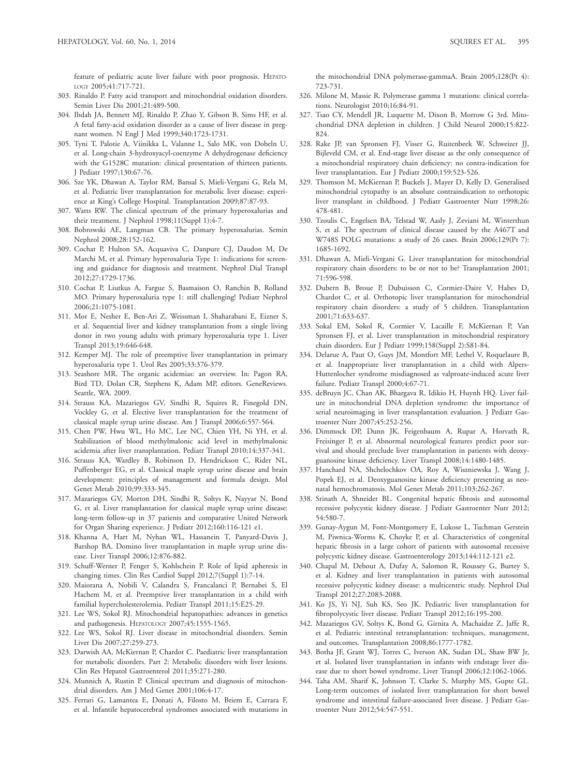feature of pediatric acute liver failure with poor prognosis. HEPATO-LOGY 2005;41:717-721.

- 303. Rinaldo P. Fatty acid transport and mitochondrial oxidation disorders. Semin Liver Dis 2001;21:489-500.
- 304. Ibdah JA, Bennett MJ, Rinaldo P, Zhao Y, Gibson B, Sims HF, et al. A fetal fatty-acid oxidation disorder as a cause of liver disease in pregnant women. N Engl J Med 1999;340:1723-1731.
- 305. Tyni T, Palotie A, Viinikka L, Valanne L, Salo MK, von Dobeln U, et al. Long-chain 3-hydroxyacyl-coenzyme A dehydrogenase deficiency with the G1528C mutation: clinical presentation of thirteen patients. J Pediatr 1997;130:67-76.
- 306. Sze YK, Dhawan A, Taylor RM, Bansal S, Mieli-Vergani G, Rela M, et al. Pediatric liver transplantation for metabolic liver disease: experience at King's College Hospital. Transplantation 2009;87:87-93.
- 307. Watts RW. The clinical spectrum of the primary hyperoxalurias and their treatment. J Nephrol 1998;11(Suppl 1):4-7.
- 308. Bobrowski AE, Langman CB. The primary hyperoxalurias. Semin Nephrol 2008;28:152-162.
- 309. Cochat P, Hulton SA, Acquaviva C, Danpure CJ, Daudon M, De Marchi M, et al. Primary hyperoxaluria Type 1: indications for screening and guidance for diagnosis and treatment. Nephrol Dial Transpl 2012;27:1729-1736.
- 310. Cochat P, Liutkus A, Fargue S, Basmaison O, Ranchin B, Rolland MO. Primary hyperoxaluria type 1: still challenging! Pediatr Nephrol 2006;21:1075-1081.
- 311. Mor E, Nesher E, Ben-Ari Z, Weissman I, Shaharabani E, Eizner S, et al. Sequential liver and kidney transplantation from a single living donor in two young adults with primary hyperoxaluria type 1. Liver Transpl 2013;19:646-648.
- 312. Kemper MJ. The role of preemptive liver transplantation in primary hyperoxaluria type 1. Urol Res 2005;33:376-379.
- 313. Seashore MR. The organic acidemias: an overview. In: Pagon RA, Bird TD, Dolan CR, Stephens K, Adam MP, editors. GeneReviews. Seattle, WA. 2009.
- 314. Strauss KA, Mazariegos GV, Sindhi R, Squires R, Finegold DN, Vockley G, et al. Elective liver transplantation for the treatment of classical maple syrup urine disease. Am J Transpl 2006;6:557-564.
- 315. Chen PW, Hwu WL, Ho MC, Lee NC, Chien YH, Ni YH, et al. Stabilization of blood methylmalonic acid level in methylmalonic acidemia after liver transplantation. Pediatr Transpl 2010;14:337-341.
- 316. Strauss KA, Wardley B, Robinson D, Hendrickson C, Rider NL, Puffenberger EG, et al. Classical maple syrup urine disease and brain development: principles of management and formula design. Mol Genet Metab 2010;99:333-345.
- 317. Mazariegos GV, Morton DH, Sindhi R, Soltys K, Nayyar N, Bond G, et al. Liver transplantation for classical maple syrup urine disease: long-term follow-up in 37 patients and comparative United Network for Organ Sharing experience. J Pediatr 2012;160:116-121 e1.
- 318. Khanna A, Hart M, Nyhan WL, Hassanein T, Panyard-Davis J, Barshop BA. Domino liver transplantation in maple syrup urine disease. Liver Transpl 2006;12:876-882.
- 319. Schuff-Werner P, Fenger S, Kohlschein P. Role of lipid apheresis in changing times. Clin Res Cardiol Suppl 2012;7(Suppl 1):7-14.
- 320. Maiorana A, Nobili V, Calandra S, Francalanci P, Bernabei S, El Hachem M, et al. Preemptive liver transplantation in a child with familial hypercholesterolemia. Pediatr Transpl 2011;15:E25-29.
- 321. Lee WS, Sokol RJ. Mitochondrial hepatopathies: advances in genetics and pathogenesis. HEPATOLOGY 2007;45:1555-1565.
- 322. Lee WS, Sokol RJ. Liver disease in mitochondrial disorders. Semin Liver Dis 2007;27:259-273.
- 323. Darwish AA, McKiernan P, Chardot C. Paediatric liver transplantation for metabolic disorders. Part 2: Metabolic disorders with liver lesions. Clin Res Hepatol Gastroenterol 2011;35:271-280.
- 324. Munnich A, Rustin P. Clinical spectrum and diagnosis of mitochondrial disorders. Am J Med Genet 2001;106:4-17.
- 325. Ferrari G, Lamantea E, Donati A, Filosto M, Briem E, Carrara F, et al. Infantile hepatocerebral syndromes associated with mutations in

the mitochondrial DNA polymerase-gammaA. Brain 2005;128(Pt 4): 723-731.

- 326. Milone M, Massie R. Polymerase gamma 1 mutations: clinical correlations. Neurologist 2010;16:84-91.
- 327. Tsao CY, Mendell JR, Luquette M, Dixon B, Morrow G 3rd. Mitochondrial DNA depletion in children. J Child Neurol 2000;15:822- 824.
- 328. Rake JP, van Spronsen FJ, Visser G, Ruitenbeek W, Schweizer JJ, Bijleveld CM, et al. End-stage liver disease as the only consequence of a mitochondrial respiratory chain deficiency: no contra-indication for liver transplantation. Eur J Pediatr 2000;159:523-526.
- 329. Thomson M, McKiernan P, Buckels J, Mayer D, Kelly D. Generalised mitochondrial cytopathy is an absolute contraindication to orthotopic liver transplant in childhood. J Pediatr Gastroenter Nutr 1998;26: 478-481.
- 330. Tzoulis C, Engelsen BA, Telstad W, Aasly J, Zeviani M, Winterthun S, et al. The spectrum of clinical disease caused by the A467T and W748S POLG mutations: a study of 26 cases. Brain 2006;129(Pt 7): 1685-1692.
- 331. Dhawan A, Mieli-Vergani G. Liver transplantation for mitochondrial respiratory chain disorders: to be or not to be? Transplantation 2001; 71:596-598.
- 332. Dubern B, Broue P, Dubuisson C, Cormier-Daire V, Habes D, Chardot C, et al. Orthotopic liver transplantation for mitochondrial respiratory chain disorders: a study of 5 children. Transplantation 2001;71:633-637.
- 333. Sokal EM, Sokol R, Cormier V, Lacaille F, McKiernan P, Van Spronsen FJ, et al. Liver transplantation in mitochondrial respiratory chain disorders. Eur J Pediatr 1999;158(Suppl 2):S81-84.
- 334. Delarue A, Paut O, Guys JM, Montfort MF, Lethel V, Roquelaure B, et al. Inappropriate liver transplantation in a child with Alpers-Huttenlocher syndrome misdiagnosed as valproate-induced acute liver failure. Pediatr Transpl 2000;4:67-71.
- 335. deBruyn JC, Chan AK, Bhargava R, Idikio H, Huynh HQ. Liver failure in mitochondrial DNA depletion syndrome: the importance of serial neuroimaging in liver transplantation evaluation. J Pediatr Gastroenter Nutr 2007;45:252-256.
- 336. Dimmock DP, Dunn JK, Feigenbaum A, Rupar A, Horvath R, Freisinger P, et al. Abnormal neurological features predict poor survival and should preclude liver transplantation in patients with deoxyguanosine kinase deficiency. Liver Transpl 2008;14:1480-1485.
- 337. Hanchard NA, Shchelochkov OA, Roy A, Wiszniewska J, Wang J, Popek EJ, et al. Deoxyguanosine kinase deficiency presenting as neonatal hemochromatosis. Mol Genet Metab 2011;103:262-267.
- 338. Srinath A, Shneider BL. Congenital hepatic fibrosis and autosomal recessive polycystic kidney disease. J Pediatr Gastroenter Nutr 2012; 54:580-7.
- 339. Gunay-Aygun M, Font-Montgomery E, Lukose L, Tuchman Gerstein M, Piwnica-Worms K, Choyke P, et al. Characteristics of congenital hepatic fibrosis in a large cohort of patients with autosomal recessive polycystic kidney disease. Gastroenterology 2013;144:112-121 e2.
- 340. Chapal M, Debout A, Dufay A, Salomon R, Roussey G, Burtey S, et al. Kidney and liver transplantation in patients with autosomal recessive polycystic kidney disease: a multicentric study. Nephrol Dial Transpl 2012;27:2083-2088.
- 341. Ko JS, Yi NJ, Suh KS, Seo JK. Pediatric liver transplantation for fibropolycystic liver disease. Pediatr Transpl 2012;16:195-200.
- 342. Mazariegos GV, Soltys K, Bond G, Girnita A, Machaidze Z, Jaffe R, et al. Pediatric intestinal retransplantation: techniques, management, and outcomes. Transplantation 2008;86:1777-1782.
- 343. Botha JF, Grant WJ, Torres C, Iverson AK, Sudan DL, Shaw BW Jr, et al. Isolated liver transplantation in infants with endstage liver disease due to short bowel syndrome. Liver Transpl 2006;12:1062-1066.
- 344. Taha AM, Sharif K, Johnson T, Clarke S, Murphy MS, Gupte GL. Long-term outcomes of isolated liver transplantation for short bowel syndrome and intestinal failure-associated liver disease. J Pediatr Gastroenter Nutr 2012;54:547-551.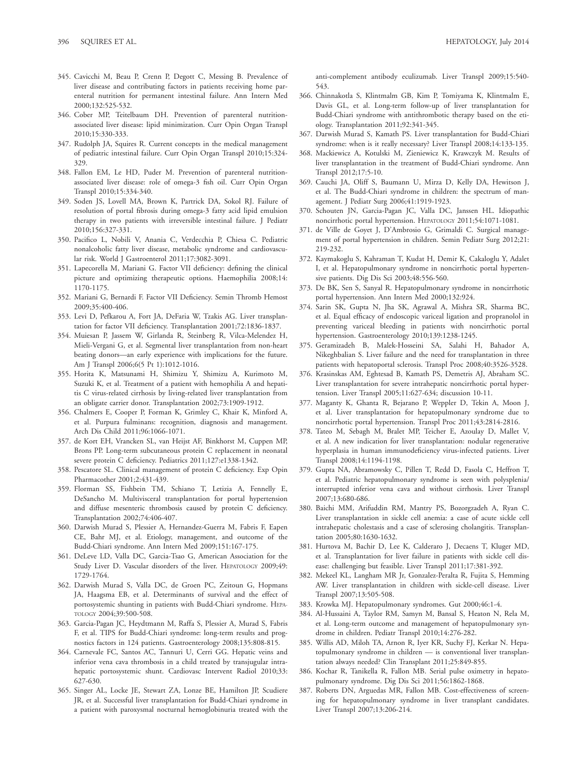- 345. Cavicchi M, Beau P, Crenn P, Degott C, Messing B. Prevalence of liver disease and contributing factors in patients receiving home parenteral nutrition for permanent intestinal failure. Ann Intern Med 2000;132:525-532.
- 346. Cober MP, Teitelbaum DH. Prevention of parenteral nutritionassociated liver disease: lipid minimization. Curr Opin Organ Transpl 2010;15:330-333.
- 347. Rudolph JA, Squires R. Current concepts in the medical management of pediatric intestinal failure. Curr Opin Organ Transpl 2010;15:324- 329.
- 348. Fallon EM, Le HD, Puder M. Prevention of parenteral nutritionassociated liver disease: role of omega-3 fish oil. Curr Opin Organ Transpl 2010;15:334-340.
- 349. Soden JS, Lovell MA, Brown K, Partrick DA, Sokol RJ. Failure of resolution of portal fibrosis during omega-3 fatty acid lipid emulsion therapy in two patients with irreversible intestinal failure. J Pediatr 2010;156:327-331.
- 350. Pacifico L, Nobili V, Anania C, Verdecchia P, Chiesa C. Pediatric nonalcoholic fatty liver disease, metabolic syndrome and cardiovascular risk. World J Gastroenterol 2011;17:3082-3091.
- 351. Lapecorella M, Mariani G. Factor VII deficiency: defining the clinical picture and optimizing therapeutic options. Haemophilia 2008;14: 1170-1175.
- 352. Mariani G, Bernardi F. Factor VII Deficiency. Semin Thromb Hemost 2009;35:400-406.
- 353. Levi D, Pefkarou A, Fort JA, DeFaria W, Tzakis AG. Liver transplantation for factor VII deficiency. Transplantation 2001;72:1836-1837.
- 354. Muiesan P, Jassem W, Girlanda R, Steinberg R, Vilca-Melendez H, Mieli-Vergani G, et al. Segmental liver transplantation from non-heart beating donors—an early experience with implications for the future. Am J Transpl 2006;6(5 Pt 1):1012-1016.
- 355. Horita K, Matsunami H, Shimizu Y, Shimizu A, Kurimoto M, Suzuki K, et al. Treatment of a patient with hemophilia A and hepatitis C virus-related cirrhosis by living-related liver transplantation from an obligate carrier donor. Transplantation 2002;73:1909-1912.
- 356. Chalmers E, Cooper P, Forman K, Grimley C, Khair K, Minford A, et al. Purpura fulminans: recognition, diagnosis and management. Arch Dis Child 2011;96:1066-1071.
- 357. de Kort EH, Vrancken SL, van Heijst AF, Binkhorst M, Cuppen MP, Brons PP. Long-term subcutaneous protein C replacement in neonatal severe protein C deficiency. Pediatrics 2011;127:e1338-1342.
- 358. Pescatore SL. Clinical management of protein C deficiency. Exp Opin Pharmacother 2001;2:431-439.
- 359. Florman SS, Fishbein TM, Schiano T, Letizia A, Fennelly E, DeSancho M. Multivisceral transplantation for portal hypertension and diffuse mesenteric thrombosis caused by protein C deficiency. Transplantation 2002;74:406-407.
- 360. Darwish Murad S, Plessier A, Hernandez-Guerra M, Fabris F, Eapen CE, Bahr MJ, et al. Etiology, management, and outcome of the Budd-Chiari syndrome. Ann Intern Med 2009;151:167-175.
- 361. DeLeve LD, Valla DC, Garcia-Tsao G, American Association for the Study Liver D. Vascular disorders of the liver. HEPATOLOGY 2009;49: 1729-1764.
- 362. Darwish Murad S, Valla DC, de Groen PC, Zeitoun G, Hopmans JA, Haagsma EB, et al. Determinants of survival and the effect of portosystemic shunting in patients with Budd-Chiari syndrome. HEPA-TOLOGY 2004;39:500-508.
- 363. Garcia-Pagan JC, Heydtmann M, Raffa S, Plessier A, Murad S, Fabris F, et al. TIPS for Budd-Chiari syndrome: long-term results and prognostics factors in 124 patients. Gastroenterology 2008;135:808-815.
- 364. Carnevale FC, Santos AC, Tannuri U, Cerri GG. Hepatic veins and inferior vena cava thrombosis in a child treated by transjugular intrahepatic portosystemic shunt. Cardiovasc Intervent Radiol 2010;33: 627-630.
- 365. Singer AL, Locke JE, Stewart ZA, Lonze BE, Hamilton JP, Scudiere JR, et al. Successful liver transplantation for Budd-Chiari syndrome in a patient with paroxysmal nocturnal hemoglobinuria treated with the

anti-complement antibody eculizumab. Liver Transpl 2009;15:540- 543.

- 366. Chinnakotla S, Klintmalm GB, Kim P, Tomiyama K, Klintmalm E, Davis GL, et al. Long-term follow-up of liver transplantation for Budd-Chiari syndrome with antithrombotic therapy based on the etiology. Transplantation 2011;92:341-345.
- 367. Darwish Murad S, Kamath PS. Liver transplantation for Budd-Chiari syndrome: when is it really necessary? Liver Transpl 2008;14:133-135.
- 368. Mackiewicz A, Kotulski M, Zieniewicz K, Krawczyk M. Results of liver transplantation in the treatment of Budd-Chiari syndrome. Ann Transpl 2012;17:5-10.
- 369. Cauchi JA, Oliff S, Baumann U, Mirza D, Kelly DA, Hewitson J, et al. The Budd-Chiari syndrome in children: the spectrum of management. J Pediatr Surg 2006;41:1919-1923.
- 370. Schouten JN, Garcia-Pagan JC, Valla DC, Janssen HL. Idiopathic noncirrhotic portal hypertension. HEPATOLOGY 2011;54:1071-1081.
- 371. de Ville de Goyet J, D'Ambrosio G, Grimaldi C. Surgical management of portal hypertension in children. Semin Pediatr Surg 2012;21: 219-232.
- 372. Kaymakoglu S, Kahraman T, Kudat H, Demir K, Cakaloglu Y, Adalet I, et al. Hepatopulmonary syndrome in noncirrhotic portal hypertensive patients. Dig Dis Sci 2003;48:556-560.
- 373. De BK, Sen S, Sanyal R. Hepatopulmonary syndrome in noncirrhotic portal hypertension. Ann Intern Med 2000;132:924.
- 374. Sarin SK, Gupta N, Jha SK, Agrawal A, Mishra SR, Sharma BC, et al. Equal efficacy of endoscopic variceal ligation and propranolol in preventing variceal bleeding in patients with noncirrhotic portal hypertension. Gastroenterology 2010;139:1238-1245.
- 375. Geramizadeh B, Malek-Hosseini SA, Salahi H, Bahador A, Nikeghbalian S. Liver failure and the need for transplantation in three patients with hepatoportal sclerosis. Transpl Proc 2008;40:3526-3528.
- 376. Krasinskas AM, Eghtesad B, Kamath PS, Demetris AJ, Abraham SC. Liver transplantation for severe intrahepatic noncirrhotic portal hypertension. Liver Transpl 2005;11:627-634; discussion 10-11.
- 377. Maganty K, Ghanta R, Bejarano P, Weppler D, Tekin A, Moon J, et al. Liver transplantation for hepatopulmonary syndrome due to noncirrhotic portal hypertension. Transpl Proc 2011;43:2814-2816.
- 378. Tateo M, Sebagh M, Bralet MP, Teicher E, Azoulay D, Mallet V, et al. A new indication for liver transplantation: nodular regenerative hyperplasia in human immunodeficiency virus-infected patients. Liver Transpl 2008;14:1194-1198.
- 379. Gupta NA, Abramowsky C, Pillen T, Redd D, Fasola C, Heffron T, et al. Pediatric hepatopulmonary syndrome is seen with polysplenia/ interrupted inferior vena cava and without cirrhosis. Liver Transpl 2007;13:680-686.
- 380. Baichi MM, Arifuddin RM, Mantry PS, Bozorgzadeh A, Ryan C. Liver transplantation in sickle cell anemia: a case of acute sickle cell intrahepatic cholestasis and a case of sclerosing cholangitis. Transplantation 2005;80:1630-1632.
- 381. Hurtova M, Bachir D, Lee K, Calderaro J, Decaens T, Kluger MD, et al. Transplantation for liver failure in patients with sickle cell disease: challenging but feasible. Liver Transpl 2011;17:381-392.
- 382. Mekeel KL, Langham MR Jr, Gonzalez-Peralta R, Fujita S, Hemming AW. Liver transplantation in children with sickle-cell disease. Liver Transpl 2007;13:505-508.
- 383. Krowka MJ. Hepatopulmonary syndromes. Gut 2000;46:1-4.
- 384. Al-Hussaini A, Taylor RM, Samyn M, Bansal S, Heaton N, Rela M, et al. Long-term outcome and management of hepatopulmonary syndrome in children. Pediatr Transpl 2010;14:276-282.
- 385. Willis AD, Miloh TA, Arnon R, Iyer KR, Suchy FJ, Kerkar N. Hepatopulmonary syndrome in children — is conventional liver transplantation always needed? Clin Transplant 2011;25:849-855.
- 386. Kochar R, Tanikella R, Fallon MB. Serial pulse oximetry in hepatopulmonary syndrome. Dig Dis Sci 2011;56:1862-1868.
- 387. Roberts DN, Arguedas MR, Fallon MB. Cost-effectiveness of screening for hepatopulmonary syndrome in liver transplant candidates. Liver Transpl 2007;13:206-214.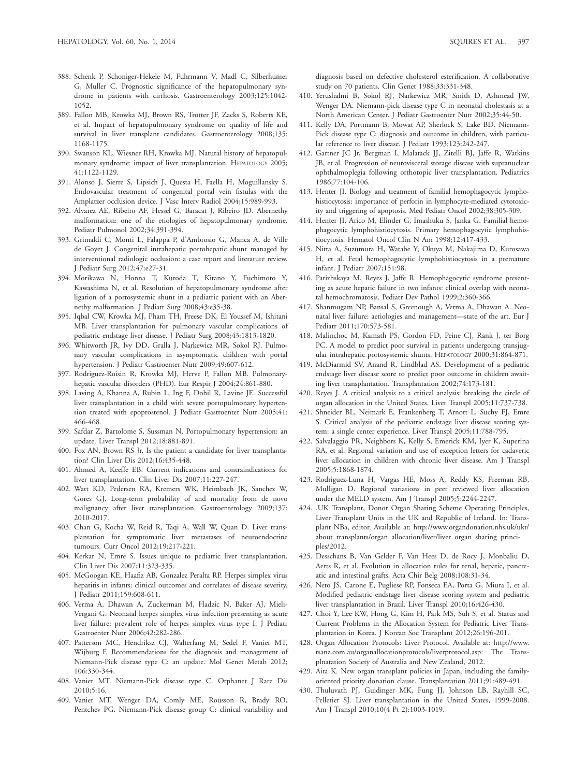- 388. Schenk P, Schoniger-Hekele M, Fuhrmann V, Madl C, Silberhumer G, Muller C. Prognostic significance of the hepatopulmonary syndrome in patients with cirrhosis. Gastroenterology 2003;125:1042- 1052.
- 389. Fallon MB, Krowka MJ, Brown RS, Trotter JF, Zacks S, Roberts KE, et al. Impact of hepatopulmonary syndrome on quality of life and survival in liver transplant candidates. Gastroenterology 2008;135: 1168-1175.
- 390. Swanson KL, Wiesner RH, Krowka MJ. Natural history of hepatopulmonary syndrome: impact of liver transplantation. HEPATOLOGY 2005; 41:1122-1129.
- 391. Alonso J, Sierre S, Lipsich J, Questa H, Faella H, Moguillansky S. Endovascular treatment of congenital portal vein fistulas with the Amplatzer occlusion device. J Vasc Interv Radiol 2004;15:989-993.
- 392. Alvarez AE, Ribeiro AF, Hessel G, Baracat J, Ribeiro JD. Abernethy malformation: one of the etiologies of hepatopulmonary syndrome. Pediatr Pulmonol 2002;34:391-394.
- 393. Grimaldi C, Monti L, Falappa P, d'Ambrosio G, Manca A, de Ville de Goyet J. Congenital intrahepatic portohepatic shunt managed by interventional radiologic occlusion: a case report and literature review. J Pediatr Surg 2012;47:e27-31.
- 394. Morikawa N, Honna T, Kuroda T, Kitano Y, Fuchimoto Y, Kawashima N, et al. Resolution of hepatopulmonary syndrome after ligation of a portosystemic shunt in a pediatric patient with an Abernethy malformation. J Pediatr Surg 2008;43:e35-38.
- 395. Iqbal CW, Krowka MJ, Pham TH, Freese DK, El Youssef M, Ishitani MB. Liver transplantation for pulmonary vascular complications of pediatric endstage liver disease. J Pediatr Surg 2008;43:1813-1820.
- 396. Whitworth JR, Ivy DD, Gralla J, Narkewicz MR, Sokol RJ. Pulmonary vascular complications in asymptomatic children with portal hypertension. J Pediatr Gastroenter Nutr 2009;49:607-612.
- 397. Rodriguez-Roisin R, Krowka MJ, Herve P, Fallon MB. Pulmonaryhepatic vascular disorders (PHD). Eur Respir J 2004;24:861-880.
- 398. Laving A, Khanna A, Rubin L, Ing F, Dohil R, Lavine JE. Successful liver transplantation in a child with severe portopulmonary hypertension treated with epoprostenol. J Pediatr Gastroenter Nutr 2005;41: 466-468.
- 399. Safdar Z, Bartolome S, Sussman N. Portopulmonary hypertension: an update. Liver Transpl 2012;18:881-891.
- 400. Fox AN, Brown RS Jr. Is the patient a candidate for liver transplantation? Clin Liver Dis 2012;16:435-448.
- 401. Ahmed A, Keeffe EB. Current indications and contraindications for liver transplantation. Clin Liver Dis 2007;11:227-247.
- 402. Watt KD, Pedersen RA, Kremers WK, Heimbach JK, Sanchez W, Gores GJ. Long-term probability of and mortality from de novo malignancy after liver transplantation. Gastroenterology 2009;137: 2010-2017.
- 403. Chan G, Kocha W, Reid R, Taqi A, Wall W, Quan D. Liver transplantation for symptomatic liver metastases of neuroendocrine tumours. Curr Oncol 2012;19:217-221.
- 404. Kerkar N, Emre S. Issues unique to pediatric liver transplantation. Clin Liver Dis 2007;11:323-335.
- 405. McGoogan KE, Haafiz AB, Gonzalez Peralta RP. Herpes simplex virus hepatitis in infants: clinical outcomes and correlates of disease severity. J Pediatr 2011;159:608-611.
- 406. Verma A, Dhawan A, Zuckerman M, Hadzic N, Baker AJ, Mieli-Vergani G. Neonatal herpes simplex virus infection presenting as acute liver failure: prevalent role of herpes simplex virus type I. J Pediatr Gastroenter Nutr 2006;42:282-286.
- 407. Patterson MC, Hendriksz CJ, Walterfang M, Sedel F, Vanier MT, Wijburg F. Recommendations for the diagnosis and management of Niemann-Pick disease type C: an update. Mol Genet Metab 2012; 106:330-344.
- 408. Vanier MT. Niemann-Pick disease type C. Orphanet J Rare Dis 2010;5:16.
- 409. Vanier MT, Wenger DA, Comly ME, Rousson R, Brady RO, Pentchev PG. Niemann-Pick disease group C: clinical variability and

diagnosis based on defective cholesterol esterification. A collaborative study on 70 patients. Clin Genet 1988;33:331-348.

- 410. Yerushalmi B, Sokol RJ, Narkewicz MR, Smith D, Ashmead JW, Wenger DA. Niemann-pick disease type C in neonatal cholestasis at a North American Center. J Pediatr Gastroenter Nutr 2002;35:44-50.
- 411. Kelly DA, Portmann B, Mowat AP, Sherlock S, Lake BD. Niemann-Pick disease type C: diagnosis and outcome in children, with particular reference to liver disease. J Pediatr 1993;123:242-247.
- 412. Gartner JC Jr, Bergman I, Malatack JJ, Zitelli BJ, Jaffe R, Watkins JB, et al. Progression of neurovisceral storage disease with supranuclear ophthalmoplegia following orthotopic liver transplantation. Pediatrics 1986;77:104-106.
- 413. Henter JI. Biology and treatment of familial hemophagocytic lymphohistiocytosis: importance of perforin in lymphocyte-mediated cytotoxicity and triggering of apoptosis. Med Pediatr Oncol 2002;38:305-309.
- 414. Henter JI, Arico M, Elinder G, Imashuku S, Janka G. Familial hemophagocytic lymphohistiocytosis. Primary hemophagocytic lymphohistiocytosis. Hematol Oncol Clin N Am 1998;12:417-433.
- 415. Nitta A, Suzumura H, Watabe Y, Okuya M, Nakajima D, Kurosawa H, et al. Fetal hemophagocytic lymphohistiocytosis in a premature infant. J Pediatr 2007;151:98.
- 416. Parizhskaya M, Reyes J, Jaffe R. Hemophagocytic syndrome presenting as acute hepatic failure in two infants: clinical overlap with neonatal hemochromatosis. Pediatr Dev Pathol 1999;2:360-366.
- 417. Shanmugam NP, Bansal S, Greenough A, Verma A, Dhawan A. Neonatal liver failure: aetiologies and management—state of the art. Eur J Pediatr 2011;170:573-581.
- 418. Malinchoc M, Kamath PS, Gordon FD, Peine CJ, Rank J, ter Borg PC. A model to predict poor survival in patients undergoing transjugular intrahepatic portosystemic shunts. HEPATOLOGY 2000;31:864-871.
- 419. McDiarmid SV, Anand R, Lindblad AS. Development of a pediatric endstage liver disease score to predict poor outcome in children awaiting liver transplantation. Transplantation 2002;74:173-181.
- 420. Reyes J. A critical analysis to a critical analysis: breaking the circle of organ allocation in the United States. Liver Transpl 2005;11:737-738.
- 421. Shneider BL, Neimark E, Frankenberg T, Arnott L, Suchy FJ, Emre S. Critical analysis of the pediatric endstage liver disease scoring system: a single center experience. Liver Transpl 2005;11:788-795.
- 422. Salvalaggio PR, Neighbors K, Kelly S, Emerick KM, Iyer K, Superina RA, et al. Regional variation and use of exception letters for cadaveric liver allocation in children with chronic liver disease. Am J Transpl 2005;5:1868-1874.
- 423. Rodriguez-Luna H, Vargas HE, Moss A, Reddy KS, Freeman RB, Mulligan D. Regional variations in peer reviewed liver allocation under the MELD system. Am J Transpl 2005;5:2244-2247.
- 424. .UK Transplant, Donor Organ Sharing Scheme Operating Principles, Liver Transplant Units in the UK and Republic of Ireland. In: Transplant NBa, editor. Available at: [http://www.organdonation.nhs.uk/ukt/](http://www.organdonation.nhs.uk/ukt/about_transplants/organ_allocation/liver/liver_organ_sharing_principles/2012) [about\\_transplants/organ\\_allocation/liver/liver\\_organ\\_sharing\\_princi](http://www.organdonation.nhs.uk/ukt/about_transplants/organ_allocation/liver/liver_organ_sharing_principles/2012)[ples/2012.](http://www.organdonation.nhs.uk/ukt/about_transplants/organ_allocation/liver/liver_organ_sharing_principles/2012)
- 425. Desschans B, Van Gelder F, Van Hees D, de Rocy J, Monbaliu D, Aerts R, et al. Evolution in allocation rules for renal, hepatic, pancreatic and intestinal grafts. Acta Chir Belg 2008;108:31-34.
- 426. Neto JS, Carone E, Pugliese RP, Fonseca EA, Porta G, Miura I, et al. Modified pediatric endstage liver disease scoring system and pediatric liver transplantation in Brazil. Liver Transpl 2010;16:426-430.
- 427. Choi Y, Lee KW, Hong G, Kim H, Park MS, Suh S, et al. Status and Current Problems in the Allocation System for Pediatric Liver Transplantation in Korea. J Korean Soc Transplant 2012;26:196-201.
- 428. Organ Allocation Protocols: Liver Protocol. Available at: [http://www.](http://www.tsanz.com.au/organallocationprotocols/liverprotocol.asp) [tsanz.com.au/organallocationprotocols/liverprotocol.asp:](http://www.tsanz.com.au/organallocationprotocols/liverprotocol.asp) The Transplnatation Society of Australia and New Zealand, 2012.
- 429. Aita K. New organ transplant policies in Japan, including the familyoriented priority donation clause. Transplantation 2011;91:489-491.
- 430. Thuluvath PJ, Guidinger MK, Fung JJ, Johnson LB, Rayhill SC, Pelletier SJ. Liver transplantation in the United States, 1999-2008. Am J Transpl 2010;10(4 Pt 2):1003-1019.